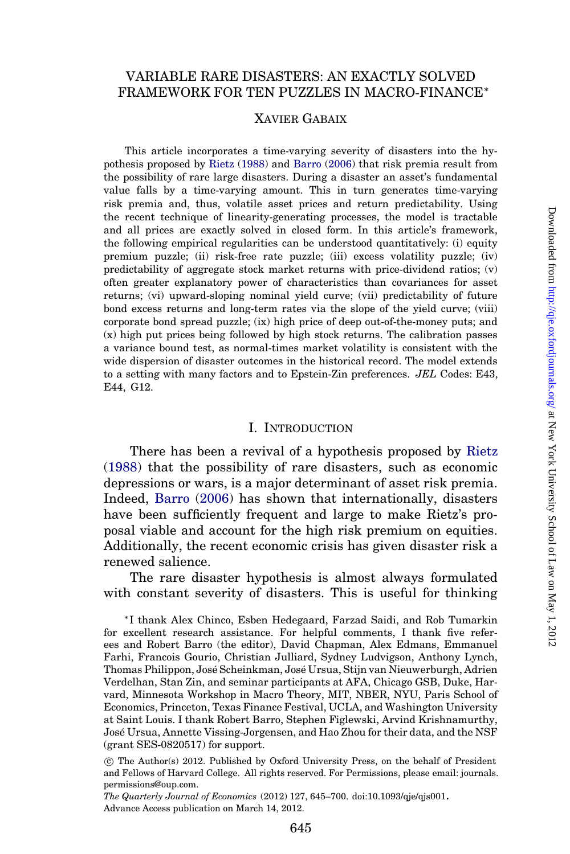# VARIABLE RARE DISASTERS: AN EXACTLY SOLVED FRAMEWORK FOR TEN PUZZLES IN MACRO-FINANCE∗

## XAVIER GABAIX

This article incorporates a time-varying severity of disasters into the hypothesis proposed by [Rietz](#page-55-0) [\(1988\)](#page-55-0) and [Barro](#page-53-0) [\(2006\)](#page-53-0) that risk premia result from the possibility of rare large disasters. During a disaster an asset's fundamental value falls by a time-varying amount. This in turn generates time-varying risk premia and, thus, volatile asset prices and return predictability. Using the recent technique of linearity-generating processes, the model is tractable and all prices are exactly solved in closed form. In this article's framework, the following empirical regularities can be understood quantitatively: (i) equity premium puzzle; (ii) risk-free rate puzzle; (iii) excess volatility puzzle; (iv) predictability of aggregate stock market returns with price-dividend ratios; (v) often greater explanatory power of characteristics than covariances for asset returns; (vi) upward-sloping nominal yield curve; (vii) predictability of future bond excess returns and long-term rates via the slope of the yield curve; (viii) corporate bond spread puzzle; (ix) high price of deep out-of-the-money puts; and (x) high put prices being followed by high stock returns. The calibration passes a variance bound test, as normal-times market volatility is consistent with the wide dispersion of disaster outcomes in the historical record. The model extends to a setting with many factors and to Epstein-Zin preferences. *JEL* Codes: E43, E44, G12.

## I. INTRODUCTION

There has been a revival of a hypothesis proposed by [Rietz](#page-55-0) [\(1988](#page-55-0)) that the possibility of rare disasters, such as economic depressions or wars, is a major determinant of asset risk premia. Indeed, [Barro](#page-53-0) [\(2006\)](#page-53-0) has shown that internationally, disasters have been sufficiently frequent and large to make Rietz's proposal viable and account for the high risk premium on equities. Additionally, the recent economic crisis has given disaster risk a renewed salience.

The rare disaster hypothesis is almost always formulated with constant severity of disasters. This is useful for thinking

∗I thank Alex Chinco, Esben Hedegaard, Farzad Saidi, and Rob Tumarkin for excellent research assistance. For helpful comments, I thank five referees and Robert Barro (the editor), David Chapman, Alex Edmans, Emmanuel Farhi, Francois Gourio, Christian Julliard, Sydney Ludvigson, Anthony Lynch, Thomas Philippon, José Scheinkman, José Ursua, Stijn van Nieuwerburgh, Adrien Verdelhan, Stan Zin, and seminar participants at AFA, Chicago GSB, Duke, Harvard, Minnesota Workshop in Macro Theory, MIT, NBER, NYU, Paris School of Economics, Princeton, Texas Finance Festival, UCLA, and Washington University at Saint Louis. I thank Robert Barro, Stephen Figlewski, Arvind Krishnamurthy, José Ursua, Annette Vissing-Jorgensen, and Hao Zhou for their data, and the NSF (grant SES-0820517) for support.

 c The Author(s) 2012. Published by Oxford University Press, on the behalf of President and Fellows of Harvard College. All rights reserved. For Permissions, please email: journals. permissions@oup.com.

*The Quarterly Journal of Economics* (2012) 127, 645–700. doi:10.1093/qje/qjs001. Advance Access publication on March 14, 2012.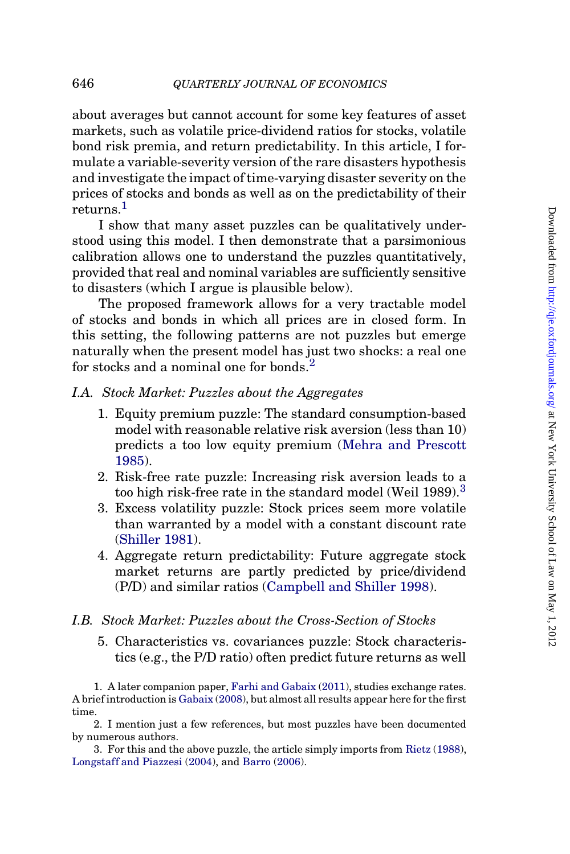about averages but cannot account for some key features of asset markets, such as volatile price-dividend ratios for stocks, volatile bond risk premia, and return predictability. In this article, I formulate a variable-severity version of the rare disasters hypothesis and investigate the impact of time-varying disaster severity on the prices of stocks and bonds as well as on the predictability of their returns.<sup>1</sup>

I show that many asset puzzles can be qualitatively understood using this model. I then demonstrate that a parsimonious calibration allows one to understand the puzzles quantitatively, provided that real and nominal variables are sufficiently sensitive to disasters (which I argue is plausible below).

The proposed framework allows for a very tractable model of stocks and bonds in which all prices are in closed form. In this setting, the following patterns are not puzzles but emerge naturally when the present model has just two shocks: a real one for stocks and a nominal one for bonds.<sup>2</sup>

## *I.A. Stock Market: Puzzles about the Aggregates*

- 1. Equity premium puzzle: The standard consumption-based model with reasonable relative risk aversion (less than 10) predicts a too low equity premium [\(Mehra and Prescott](#page-55-0) [1985\)](#page-55-0).
- 2. Risk-free rate puzzle: Increasing risk aversion leads to a too high risk-free rate in the standard model (Weil 1989).<sup>3</sup>
- 3. Excess volatility puzzle: Stock prices seem more volatile than warranted by a model with a constant discount rate [\(Shiller 1981\)](#page-55-0).
- 4. Aggregate return predictability: Future aggregate stock market returns are partly predicted by price/dividend (P/D) and similar ratios [\(Campbell and Shiller 1998](#page-53-0)).

## *I.B. Stock Market: Puzzles about the Cross-Section of Stocks*

5. Characteristics vs. covariances puzzle: Stock characteristics (e.g., the P/D ratio) often predict future returns as well

1. A later companion paper, Farhi and Gabaix [\(2011\)](#page-54-0), studies exchange rates. A brief introduction is Gabaix (2008), but almost all results appear here for the first time.

2. I mention just a few references, but most puzzles have been documented by numerous authors.

3. For this and the above puzzle, the article simply imports from [Rietz](#page-55-0) [\(1988\)](#page-55-0), [Longstaff and Piazzesi](#page-55-0) [\(2004\)](#page-55-0), and [Barro](#page-53-0) [\(2006\)](#page-53-0).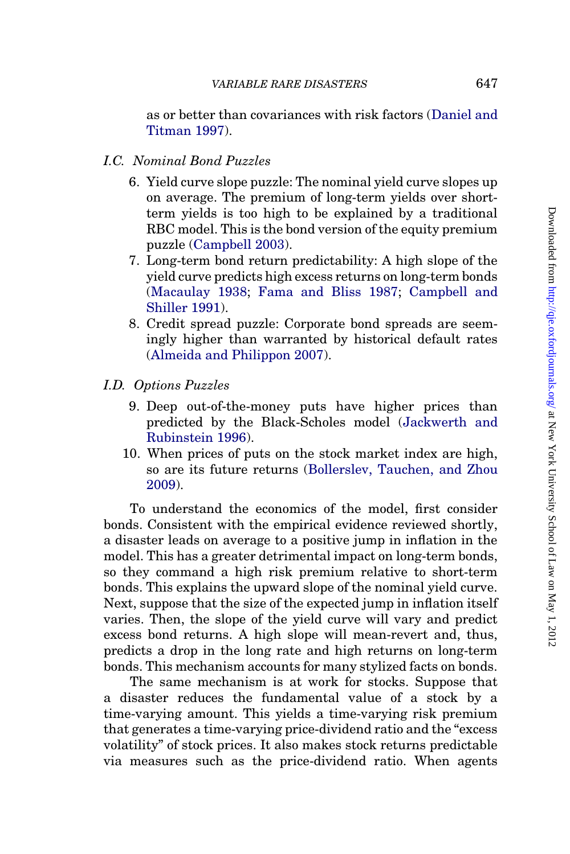as or better than covariances with risk factors [\(Daniel and](#page-54-0) [Titman 1997](#page-54-0)).

# *I.C. Nominal Bond Puzzles*

- 6. Yield curve slope puzzle: The nominal yield curve slopes up on average. The premium of long-term yields over shortterm yields is too high to be explained by a traditional RBC model. This is the bond version of the equity premium puzzle [\(Campbell 2003\)](#page-53-0).
- 7. Long-term bond return predictability: A high slope of the yield curve predicts high excess returns on long-term bonds [\(Macaulay 1938](#page-55-0); [Fama and Bliss 1987;](#page-54-0) [Campbell and](#page-53-0) [Shiller 1991](#page-53-0)).
- 8. Credit spread puzzle: Corporate bond spreads are seemingly higher than warranted by historical default rates [\(Almeida and Philippon 2007\)](#page-52-0).
- *I.D. Options Puzzles*
	- 9. Deep out-of-the-money puts have higher prices than predicted by the Black-Scholes model [\(Jackwerth and](#page-54-0) [Rubinstein 1996\)](#page-54-0).
	- 10. When prices of puts on the stock market index are high, so are its future returns [\(Bollerslev, Tauchen, and Zhou](#page-53-0) [2009](#page-53-0)).

To understand the economics of the model, first consider bonds. Consistent with the empirical evidence reviewed shortly, a disaster leads on average to a positive jump in inflation in the model. This has a greater detrimental impact on long-term bonds, so they command a high risk premium relative to short-term bonds. This explains the upward slope of the nominal yield curve. Next, suppose that the size of the expected jump in inflation itself varies. Then, the slope of the yield curve will vary and predict excess bond returns. A high slope will mean-revert and, thus, predicts a drop in the long rate and high returns on long-term bonds. This mechanism accounts for many stylized facts on bonds.

The same mechanism is at work for stocks. Suppose that a disaster reduces the fundamental value of a stock by a time-varying amount. This yields a time-varying risk premium that generates a time-varying price-dividend ratio and the "excess" volatility" of stock prices. It also makes stock returns predictable via measures such as the price-dividend ratio. When agents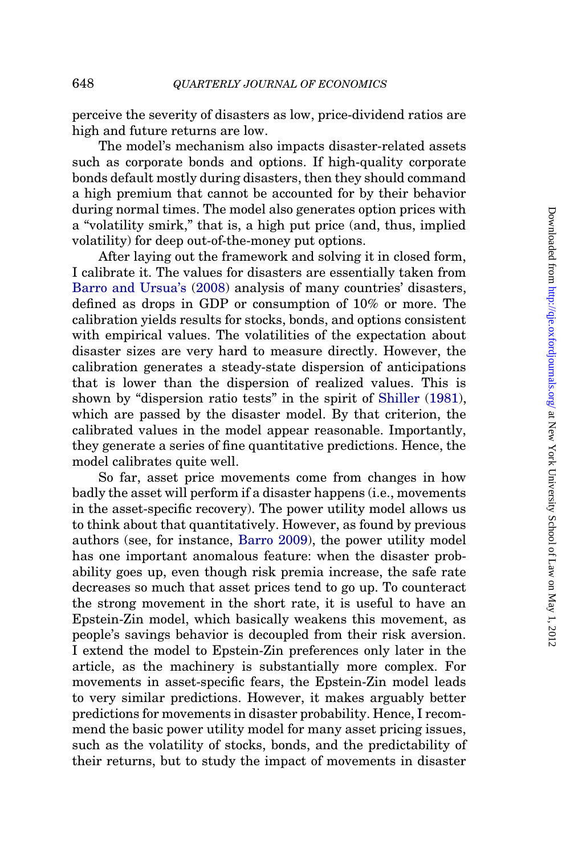perceive the severity of disasters as low, price-dividend ratios are high and future returns are low.

The model's mechanism also impacts disaster-related assets such as corporate bonds and options. If high-quality corporate bonds default mostly during disasters, then they should command a high premium that cannot be accounted for by their behavior during normal times. The model also generates option prices with a "volatility smirk," that is, a high put price (and, thus, implied volatility) for deep out-of-the-money put options.

After laying out the framework and solving it in closed form, I calibrate it. The values for disasters are essentially taken from [Barro and Ursua's](#page-53-0) [\(2008\)](#page-53-0) analysis of many countries' disasters, defined as drops in GDP or consumption of 10% or more. The calibration yields results for stocks, bonds, and options consistent with empirical values. The volatilities of the expectation about disaster sizes are very hard to measure directly. However, the calibration generates a steady-state dispersion of anticipations that is lower than the dispersion of realized values. This is shown by "dispersion ratio tests" in the spirit of [Shiller](#page-55-0) [\(1981\)](#page-55-0), which are passed by the disaster model. By that criterion, the calibrated values in the model appear reasonable. Importantly, they generate a series of fine quantitative predictions. Hence, the model calibrates quite well.

So far, asset price movements come from changes in how badly the asset will perform if a disaster happens (i.e., movements in the asset-specific recovery). The power utility model allows us to think about that quantitatively. However, as found by previous authors (see, for instance, [Barro 2009](#page-53-0)), the power utility model has one important anomalous feature: when the disaster probability goes up, even though risk premia increase, the safe rate decreases so much that asset prices tend to go up. To counteract the strong movement in the short rate, it is useful to have an Epstein-Zin model, which basically weakens this movement, as people's savings behavior is decoupled from their risk aversion. I extend the model to Epstein-Zin preferences only later in the article, as the machinery is substantially more complex. For movements in asset-specific fears, the Epstein-Zin model leads to very similar predictions. However, it makes arguably better predictions for movements in disaster probability. Hence, I recommend the basic power utility model for many asset pricing issues, such as the volatility of stocks, bonds, and the predictability of their returns, but to study the impact of movements in disaster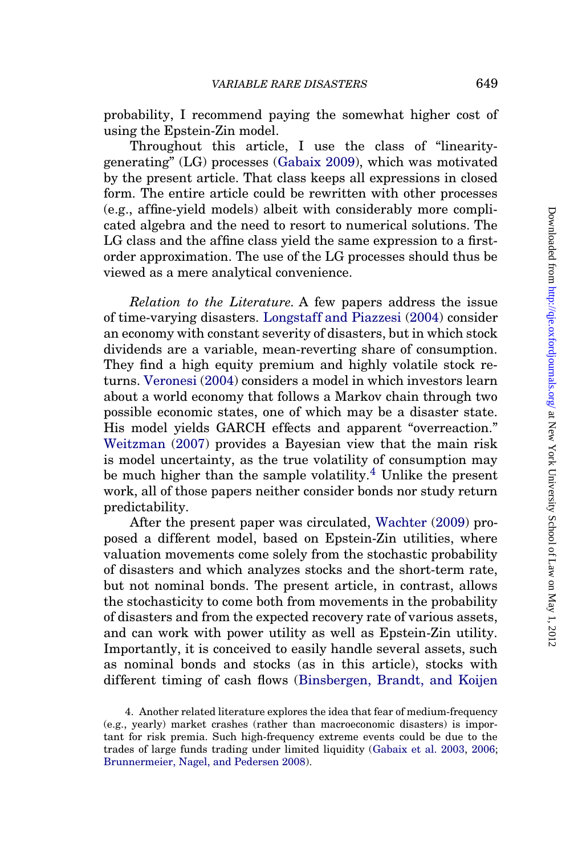probability, I recommend paying the somewhat higher cost of using the Epstein-Zin model.

Throughout this article, I use the class of "linearitygenerating" (LG) processes [\(Gabaix 2009](#page-54-0)), which was motivated by the present article. That class keeps all expressions in closed form. The entire article could be rewritten with other processes (e.g., affine-yield models) albeit with considerably more complicated algebra and the need to resort to numerical solutions. The LG class and the affine class yield the same expression to a firstorder approximation. The use of the LG processes should thus be viewed as a mere analytical convenience.

*Relation to the Literature.* A few papers address the issue of time-varying disasters. [Longstaff and Piazzesi](#page-55-0) [\(2004\)](#page-55-0) consider an economy with constant severity of disasters, but in which stock dividends are a variable, mean-reverting share of consumption. They find a high equity premium and highly volatile stock returns. [Veronesi](#page-55-0) [\(2004](#page-55-0)) considers a model in which investors learn about a world economy that follows a Markov chain through two possible economic states, one of which may be a disaster state. His model yields GARCH effects and apparent "overreaction." [Weitzman](#page-55-0) [\(2007\)](#page-55-0) provides a Bayesian view that the main risk is model uncertainty, as the true volatility of consumption may be much higher than the sample volatility.<sup>4</sup> Unlike the present work, all of those papers neither consider bonds nor study return predictability.

After the present paper was circulated, [Wachter](#page-55-0) [\(2009\)](#page-55-0) proposed a different model, based on Epstein-Zin utilities, where valuation movements come solely from the stochastic probability of disasters and which analyzes stocks and the short-term rate, but not nominal bonds. The present article, in contrast, allows the stochasticity to come both from movements in the probability of disasters and from the expected recovery rate of various assets, and can work with power utility as well as Epstein-Zin utility. Importantly, it is conceived to easily handle several assets, such as nominal bonds and stocks (as in this article), stocks with different timing of cash flows [\(Binsbergen, Brandt, and Koijen](#page-53-0)

<sup>4.</sup> Another related literature explores the idea that fear of medium-frequency (e.g., yearly) market crashes (rather than macroeconomic disasters) is important for risk premia. Such high-frequency extreme events could be due to the trades of large funds trading under limited liquidity [\(Gabaix et al. 2003](#page-54-0), [2006](#page-54-0); [Brunnermeier, Nagel, and Pedersen 2008\)](#page-53-0).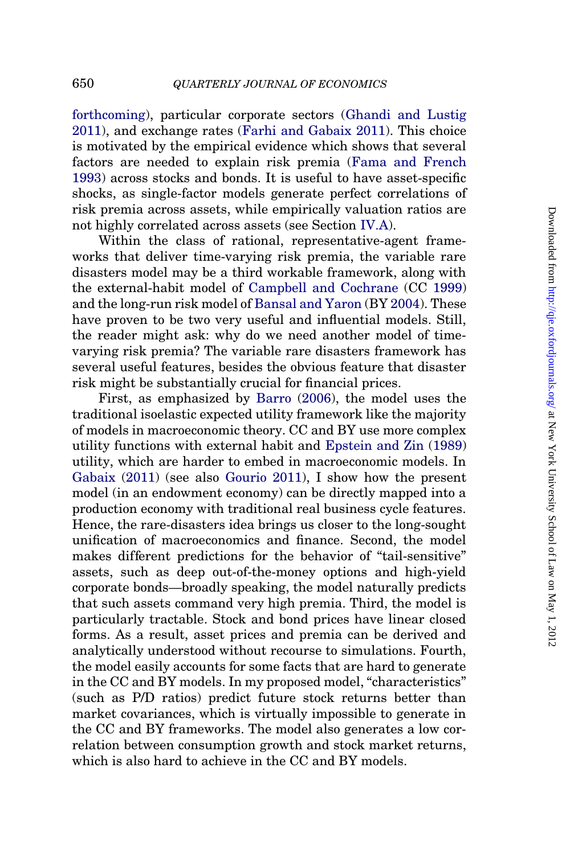[forthcoming\)](#page-53-0), particular corporate sectors [\(Ghandi and Lustig](#page-54-0) [2011\)](#page-54-0), and exchange rates [\(Farhi and Gabaix 2011](#page-54-0)). This choice is motivated by the empirical evidence which shows that several factors are needed to explain risk premia ([Fama and French](#page-54-0) [1993\)](#page-54-0) across stocks and bonds. It is useful to have asset-specific shocks, as single-factor models generate perfect correlations of risk premia across assets, while empirically valuation ratios are not highly correlated across assets (see Section [IV.A\)](#page-17-0).

Within the class of rational, representative-agent frameworks that deliver time-varying risk premia, the variable rare disasters model may be a third workable framework, along with the external-habit model of [Campbell and Cochrane](#page-53-0) (CC [1999](#page-53-0)) and the long-run risk model of Bansal and Yaron (BY [2004](#page-53-0)). These have proven to be two very useful and influential models. Still, the reader might ask: why do we need another model of timevarying risk premia? The variable rare disasters framework has several useful features, besides the obvious feature that disaster risk might be substantially crucial for financial prices.

First, as emphasized by [Barro](#page-53-0) [\(2006\)](#page-53-0), the model uses the traditional isoelasticexpected utility framework like the majority of models in macroeconomictheory. CC and BY use more complex utility functions with external habit and [Epstein and Zin](#page-54-0) [\(1989](#page-54-0)) utility, which are harder to embed in macroeconomic models. In [Gabaix](#page-54-0) [\(2011\)](#page-54-0) (see also [Gourio 2011\)](#page-54-0), I show how the present model (in an endowment economy) can be directly mapped into a production economy with traditional real business cycle features. Hence, the rare-disasters idea brings us closer to the long-sought unification of macroeconomics and finance. Second, the model makes different predictions for the behavior of "tail-sensitive" assets, such as deep out-of-the-money options and high-yield corporate bonds—broadly speaking, the model naturally predicts that such assets command very high premia. Third, the model is particularly tractable. Stock and bond prices have linear closed forms. As a result, asset prices and premia can be derived and analytically understood without recourse to simulations. Fourth, the model easily accounts for some facts that are hard togenerate in the CC and BY models. In my proposed model, "characteristics" (such as P/D ratios) predict future stock returns better than market covariances, which is virtually impossible to generate in the CC and BY frameworks. The model also generates a low correlation between consumption growth and stock market returns, which is also hard to achieve in the CC and BY models.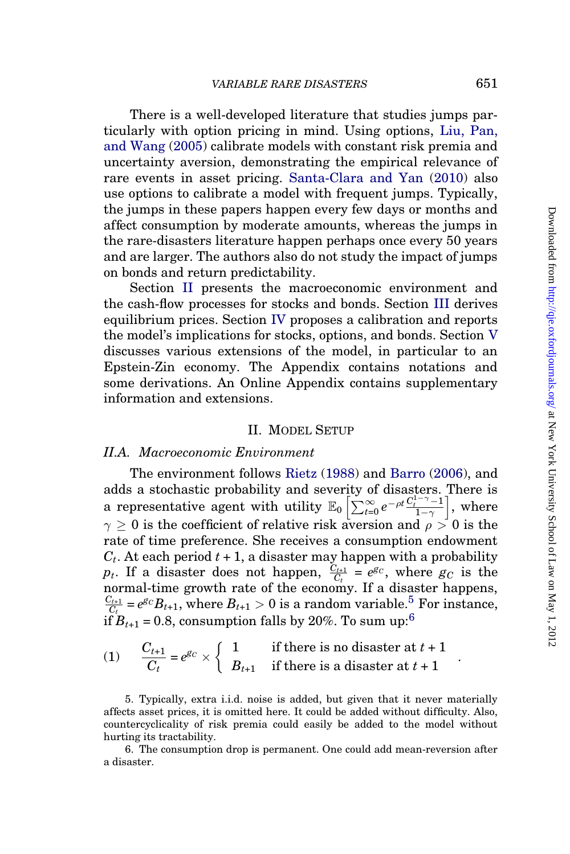There is a well-developed literature that studies jumps particularly with option pricing in mind. Using options, [Liu, Pan,](#page-55-0) [and Wang](#page-55-0) [\(2005\)](#page-55-0) calibrate models with constant risk premia and uncertainty aversion, demonstrating the empirical relevance of rare events in asset pricing. [Santa-Clara and Yan](#page-55-0) [\(2010](#page-55-0)) also use options to calibrate a model with frequent jumps. Typically, the jumps in these papers happen every few days or months and affect consumption by moderate amounts, whereas the jumps in the rare-disasters literature happen perhaps once every 50 years and are larger. The authors alsodonot study the impact of jumps on bonds and return predictability.

Section II presents the macroeconomic environment and the cash-flow processes for stocks and bonds. Section [III](#page-11-0) derives equilibrium prices. Section [IV](#page-17-0) proposes a calibration and reports the model's implications for stocks, options, and bonds. Section [V](#page-36-0) discusses various extensions of the model, in particular to an Epstein-Zin economy. The Appendix contains notations and some derivations. An Online Appendix contains supplementary information and extensions.

## II. MODEL SETUP

## *II.A. Macroeconomic Environment*

The environment follows [Rietz](#page-55-0) [\(1988\)](#page-55-0) and [Barro](#page-53-0) [\(2006\)](#page-53-0), and adds a stochastic probability and severity of disasters. There is a representative agent with utility  $\mathbb{E}_0 \left[ \sum_{t=0}^{\infty} e^{-\rho t} \frac{C_t^{1-\gamma} - 1}{1-\gamma} \right]$  $\frac{1-\gamma}{\pi}$ i , where  $\gamma \geq 0$  is the coefficient of relative risk aversion and  $\rho > 0$  is the rate of time preference. She receives a consumption endowment  $C_t$ . At each period  $t + 1$ , a disaster may happen with a probability *p<sub>t</sub>*. If a disaster does not happen,  $\frac{C_{t+1}}{C_t} = e^{g_c}$ , where  $g_c$  is the normal-time growth rate of the economy. If a disaster happens,  $\frac{C_{t+1}}{C_t} = e^{g_C} B_{t+1}$ , where  $B_{t+1} > 0$  is a random variable.<sup>5</sup> For instance, if  $B_{t+1} = 0.8$ , consumption falls by 20%. To sum up:<sup>6</sup>

(1) 
$$
\frac{C_{t+1}}{C_t} = e^{gc} \times \begin{cases} 1 & \text{if there is no disaster at } t+1 \\ B_{t+1} & \text{if there is a disaster at } t+1 \end{cases}.
$$

5. Typically, extra i.i.d. noise is added, but given that it never materially affects asset prices, it is omitted here. It could be added without difficulty. Also, countercyclicality of risk premia could easily be added to the model without hurting its tractability.

6. The consumption drop is permanent. One could add mean-reversion after a disaster.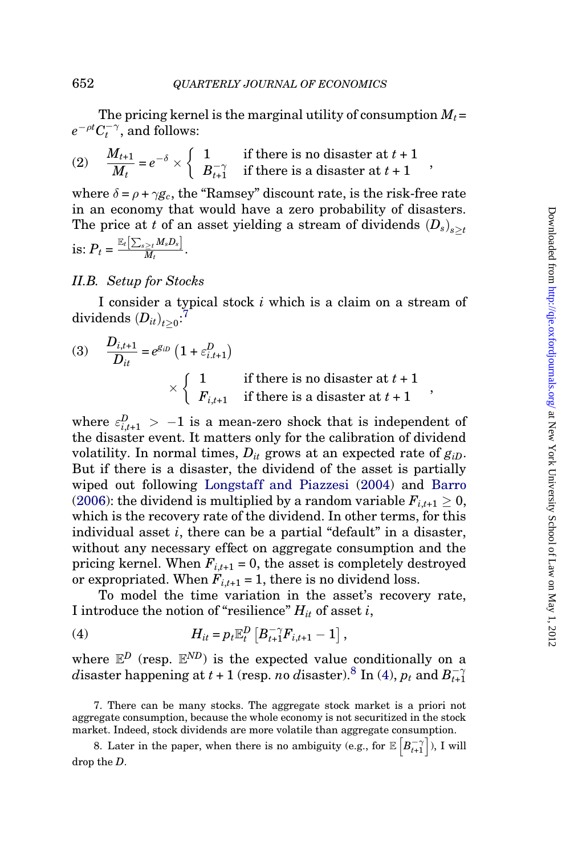<span id="page-7-0"></span>The pricing kernel is the marginal utility of consumption  $M_t =$  $e^{-\rho t} C_t^{-\gamma}$ , and follows:

(2) 
$$
\frac{M_{t+1}}{M_t} = e^{-\delta} \times \left\{ \begin{array}{ll} 1 & \text{if there is no disaster at } t+1 \\ B_{t+1}^{-\gamma} & \text{if there is a disaster at } t+1 \end{array} \right.\,,
$$

where  $\delta = \rho + \gamma g_c$ , the "Ramsey" discount rate, is the risk-free rate in an economy that would have a zero probability of disasters. The price at *t* of an asset yielding a stream of dividends  $(D_s)_{s \geq t}$  $\text{is: } P_t = \frac{\mathbb{E}_t\left[\sum_{s\geq t}M_s D_s\right]}{\overline{M}_t}.$ 

## *II.B. Setup for Stocks*

I consider a typical stock *i* which is a claim on a stream of dividends  $(D_{it})_{t\geq 0}$ :<sup>7</sup>

(3) 
$$
\frac{D_{i,t+1}}{D_{it}} = e^{g_{iD}} \left( 1 + \varepsilon_{i,t+1}^D \right)
$$

$$
\times \left\{ \begin{array}{ll} 1 & \text{if there is no disaster at } t+1 \\ F_{i,t+1} & \text{if there is a disaster at } t+1 \end{array} \right\}
$$

where  $\varepsilon_{i,t+1}^D$  > −1 is a mean-zero shock that is independent of the disaster event. It matters only for the calibration of dividend volatility. In normal times,  $D_{it}$  grows at an expected rate of  $g_{iD}$ . But if there is a disaster, the dividend of the asset is partially wiped out following [Longstaff and Piazzesi](#page-55-0) [\(2004\)](#page-55-0) and [Barro](#page-53-0) [\(2006](#page-53-0)): the dividend is multiplied by a random variable  $F_{i,t+1} \geq 0$ , which is the recovery rate of the dividend. In other terms, for this individual asset *i*, there can be a partial "default" in a disaster, without any necessary effect on aggregate consumption and the pricing kernel. When  $F_{i,t+1} = 0$ , the asset is completely destroyed or expropriated. When  $F_{i,t+1} = 1$ , there is no dividend loss.

To model the time variation in the asset's recovery rate, I introduce the notion of "resilience" *Hit* of asset *i*,

(4) 
$$
H_{it} = p_t \mathbb{E}_t^D \left[ B_{t+1}^{-\gamma} F_{i,t+1} - 1 \right],
$$

where  $\mathbb{E}^D$  (resp.  $\mathbb{E}^{ND}$ ) is the expected value conditionally on a *d*isaster happening at *t* + 1 (resp. *no d*isaster).<sup>8</sup> In (4),  $p_t$  and  $B_{t+1}^{-\gamma}$ 

7. There can be many stocks. The aggregate stock market is a priori not aggregate consumption, because the whole economy is not securitized in the stock market. Indeed, stock dividends are more volatile than aggregate consumption.

8. Later in the paper, when there is no ambiguity (e.g., for  $\mathbb{E}\left[B_{t+1}^{-\gamma}\right],$  I will drop the *D*.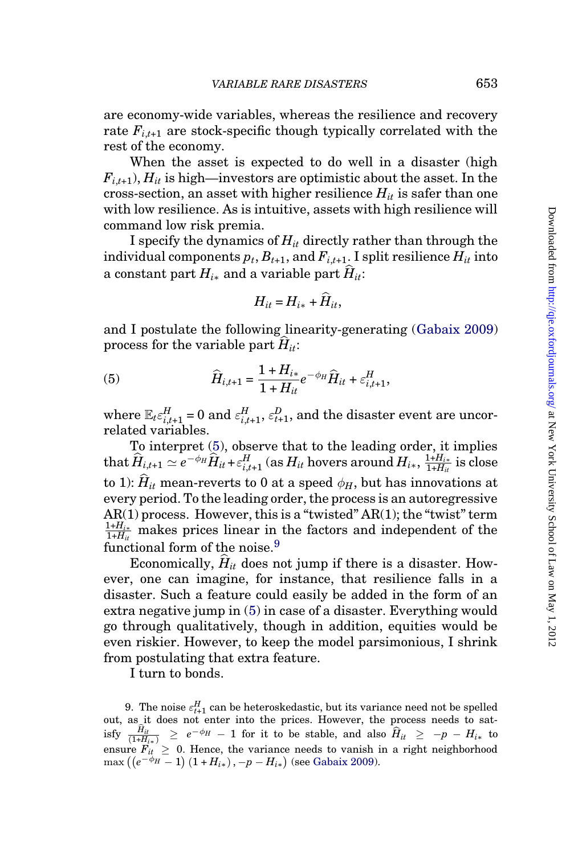<span id="page-8-0"></span>are economy-wide variables, whereas the resilience and recovery rate  $F_{i,t+1}$  are stock-specific though typically correlated with the rest of the economy.

When the asset is expected to do well in a disaster (high  $F_{i,t+1}$ ,  $H_{it}$  is high—investors are optimistic about the asset. In the cross-section, an asset with higher resilience  $H_{it}$  is safer than one with low resilience. As is intuitive, assets with high resilience will command low risk premia.

I specify the dynamics of *Hit* directly rather than through the individual components  $p_t$ ,  $B_{t+1}$ , and  $F_{i,t+1}$ . I split resilience  $H_{it}$  into a constant part  $H_{i*}$  and a variable part  $\hat{H}_{ii}$ :

$$
H_{it} = H_{i*} + \widehat{H}_{it},
$$

and I postulate the following linearity-generating ([Gabaix 2009](#page-54-0)) process for the variable part  $H_{it}$ :

(5) 
$$
\widehat{H}_{i,t+1} = \frac{1 + H_{i*}}{1 + H_{it}} e^{-\phi_H} \widehat{H}_{it} + \varepsilon_{i,t+1}^H,
$$

where  $\mathbb{E}_{t} \varepsilon_{i,t+1}^{H} = 0$  and  $\varepsilon_{i,t+1}^{H}, \varepsilon_{t+1}^{D}$ , and the disaster event are uncorrelated variables.

To interpret (5), observe that to the leading order, it implies  $\text{that } \widehat{H}_{i,t+1} \simeq e^{-\phi_H} \widehat{H}_{it} + \varepsilon^H_{i,t+1} \text{ (as } H_{it} \text{ hovers around } H_{i*}, \frac{1+H_{i*}}{1+H_{it}} \text{ is close}$ to 1):  $H_{it}$  mean-reverts to 0 at a speed  $\phi_H$ , but has innovations at every period. To the leading order, the process is an autoregressive  $AR(1)$  process. However, this is a "twisted"  $AR(1)$ ; the "twist" term  $\frac{1+H_{i*}}{1+H_{ii}}$  makes prices linear in the factors and independent of the functional form of the noise.<sup>9</sup>

Economically,  $H_{it}$  does not jump if there is a disaster. However, one can imagine, for instance, that resilience falls in a disaster. Such a feature could easily be added in the form of an extra negative jump in (5) in case of a disaster. Everything would go through qualitatively, though in addition, equities would be even riskier. However, to keep the model parsimonious, I shrink from postulating that extra feature.

I turn to bonds.

9. The noise  $\varepsilon_{t+1}^H$  can be heteroskedastic, but its variance need not be spelled out, as it does not enter into the prices. However, the process needs to satisfy  $\frac{H_{it}}{(1+H_{it})} \geq e^{-\phi_H} - 1$  for it to be stable, and also  $\hat{H}_{it} \geq -p - H_{i*}$  to ensure  $F_{it} \geq 0$ . Hence, the variance needs to vanish in a right neighborhood max  $((e^{-\phi_H} - 1) (1 + H_{i*}), -p - H_{i*})$  (see [Gabaix 2009\)](#page-54-0).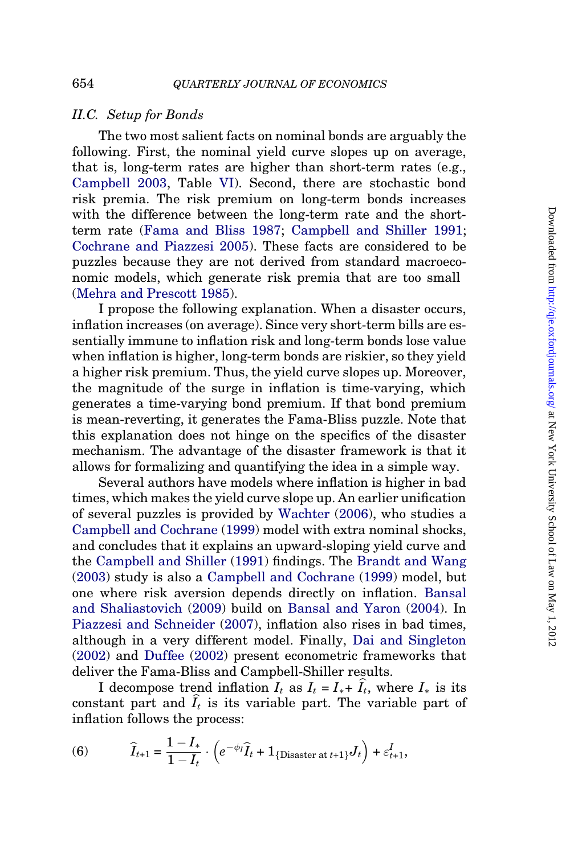## *II.C. Setup for Bonds*

The two most salient facts on nominal bonds are arguably the following. First, the nominal yield curve slopes up on average, that is, long-term rates are higher than short-term rates (e.g., [Campbell 2003,](#page-53-0) Table [VI\)](#page-28-0). Second, there are stochastic bond risk premia. The risk premium on long-term bonds increases with the difference between the long-term rate and the shortterm rate [\(Fama and Bliss 1987](#page-54-0); [Campbell and Shiller 1991;](#page-53-0) [Cochrane and Piazzesi 2005\)](#page-53-0). These facts are considered to be puzzles because they are not derived from standard macroeconomic models, which generate risk premia that are too small [\(Mehra and Prescott 1985](#page-55-0)).

I propose the following explanation. When a disaster occurs, inflation increases (on average). Since very short-term bills are essentially immune to inflation risk and long-term bonds lose value when inflation is higher, long-term bonds are riskier, so they yield a higher risk premium. Thus, the yield curve slopes up. Moreover, the magnitude of the surge in inflation is time-varying, which generates a time-varying bond premium. If that bond premium is mean-reverting, it generates the Fama-Bliss puzzle. Note that this explanation does not hinge on the specifics of the disaster mechanism. The advantage of the disaster framework is that it allows for formalizing and quantifying the idea in a simple way.

Several authors have models where inflation is higher in bad times, which makes the yield curve slope up. An earlier unification of several puzzles is provided by [Wachter](#page-55-0) [\(2006](#page-55-0)), who studies a [Campbell and Cochrane](#page-53-0) [\(1999](#page-53-0)) model with extra nominal shocks, and concludes that it explains an upward-sloping yield curve and the [Campbell and Shiller](#page-53-0) [\(1991](#page-53-0)) findings. The [Brandt and Wang](#page-53-0) [\(2003](#page-53-0)) study is also a [Campbell and Cochrane](#page-53-0) [\(1999\)](#page-53-0) model, but one where risk aversion depends directly on inflation. [Bansal](#page-53-0) [and Shaliastovich](#page-53-0) [\(2009\)](#page-53-0) build on [Bansal and Yaron](#page-53-0) [\(2004](#page-53-0)). In [Piazzesi and Schneider](#page-55-0) [\(2007](#page-55-0)), inflation also rises in bad times, although in a very different model. Finally, [Dai and Singleton](#page-54-0) [\(2002](#page-54-0)) and [Duffee](#page-54-0) [\(2002\)](#page-54-0) present econometric frameworks that deliver the Fama-Bliss and Campbell-Shiller results.

I decompose trend inflation  $I_t$  as  $I_t = I_{*} + I_t$ , where  $I_*$  is its constant part and  $I_t$  is its variable part. The variable part of inflation follows the process:

(6) 
$$
\widehat{I}_{t+1} = \frac{1 - I_*}{1 - I_t} \cdot \left( e^{-\phi_I} \widehat{I}_t + 1_{\{\text{Disaster at } t+1\}} J_t \right) + \varepsilon_{t+1}^I,
$$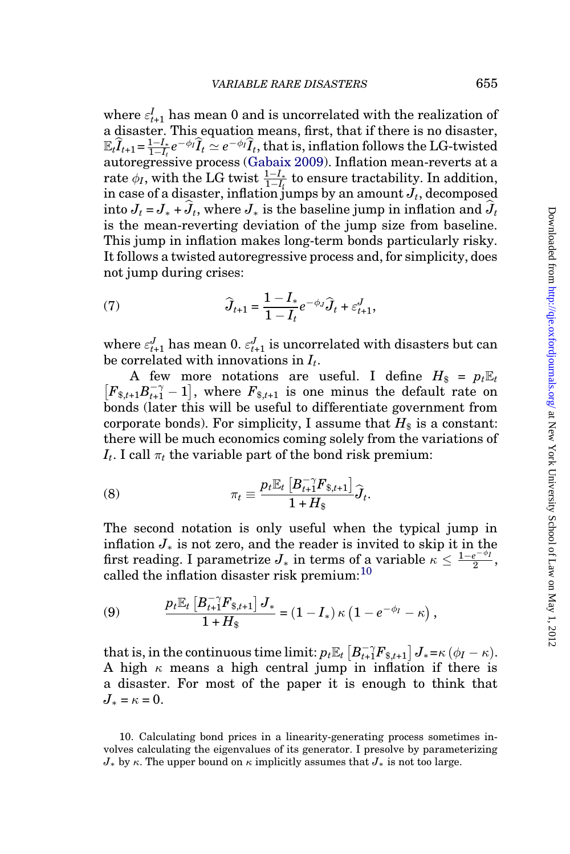<span id="page-10-0"></span>where  $\varepsilon_{t+1}^I$  has mean 0 and is uncorrelated with the realization of a disaster. This equation means, first, that if there is no disaster,  $\mathbb{E}_t \hat{I}_{t+1} = \frac{1-I_*}{1-I_t} e^{-\phi_I} \hat{I}_t \simeq e^{-\phi_I} \hat{I}_t$ , that is, inflation follows the LG-twisted  $\mu_{t}$ <sub> $t$ </sub> $\mu_{t+1}$  –  $\mu_{t}$ <sub> $t$ </sub> $\mu_{t}$  =  $\epsilon$  –  $\mu_{t}$ , that is, imitation follows the BO-twisted autoregressive process [\(Gabaix 2009](#page-54-0)). Inflation mean-reverts at a rate  $\phi_I$ , with the LG twist  $\frac{1-I_*}{1-I_i}$  to ensure tractability. In addition, in case of a disaster, inflation jumps by an amount  $J_t$ , decomposed into  $J_t = J_* + J_t$ , where  $J_*$  is the baseline jump in inflation and  $J_t$ is the mean-reverting deviation of the jump size from baseline. This jump in inflation makes long-term bonds particularly risky. It follows a twisted autoregressive process and, for simplicity, does not jump during crises:

(7) 
$$
\widehat{J}_{t+1} = \frac{1 - I_*}{1 - I_t} e^{-\phi_J} \widehat{J}_t + \varepsilon_{t+1}^J,
$$

where  $\varepsilon_{t+1}^J$  has mean 0.  $\varepsilon_{t+1}^J$  is uncorrelated with disasters but can be correlated with innovations in *It*.

A few more notations are useful. I define  $H_{\$} = p_t \mathbb{E}_t$  $[F_{\$, t+1}B_{t+1}^{-\gamma}-1]$ , where  $F_{\$, t+1}$  is one minus the default rate on bonds (later this will be useful to differentiate government from corporate bonds). For simplicity, I assume that  $H_{\rm s}$  is a constant: there will be much economics coming solely from the variations of  $I_t$ . I call  $\pi_t$  the variable part of the bond risk premium:

(8) 
$$
\pi_t \equiv \frac{p_t \mathbb{E}_t \left[ B_{t+1}^{-\gamma} F_{\$,t+1} \right]}{1 + H_{\$}} \hat{J}_t.
$$

The second notation is only useful when the typical jump in inflation *J*<sup>∗</sup> is not zero, and the reader is invited to skip it in the first reading. I parametrize  $J_*$  in terms of a variable  $\kappa \leq \frac{1-e^{-\phi_I}}{2}$ , called the inflation disaster risk premium:<sup>10</sup>

(9) 
$$
\frac{p_t \mathbb{E}_t \left[B_{t+1}^{-\gamma} F_{\$,t+1}\right] J_*}{1+H_{\$}} = (1-I_*) \kappa \left(1-e^{-\phi_I}-\kappa\right),
$$

that is, in the continuous time limit:  $p_t \mathbb{E}_t \left[ B_{t+1}^{-\gamma} F_{\$_,t+1} \right] J_* = \kappa (\phi_I - \kappa)$ . A high  $\kappa$  means a high central jump in inflation if there is a disaster. For most of the paper it is enough to think that  $J_* = \kappa = 0$ .

<sup>10.</sup> Calculating bond prices in a linearity-generating process sometimes involves calculating the eigenvalues of its generator. I presolve by parameterizing  $J_*$  by  $\kappa$ . The upper bound on  $\kappa$  implicitly assumes that  $J_*$  is not too large.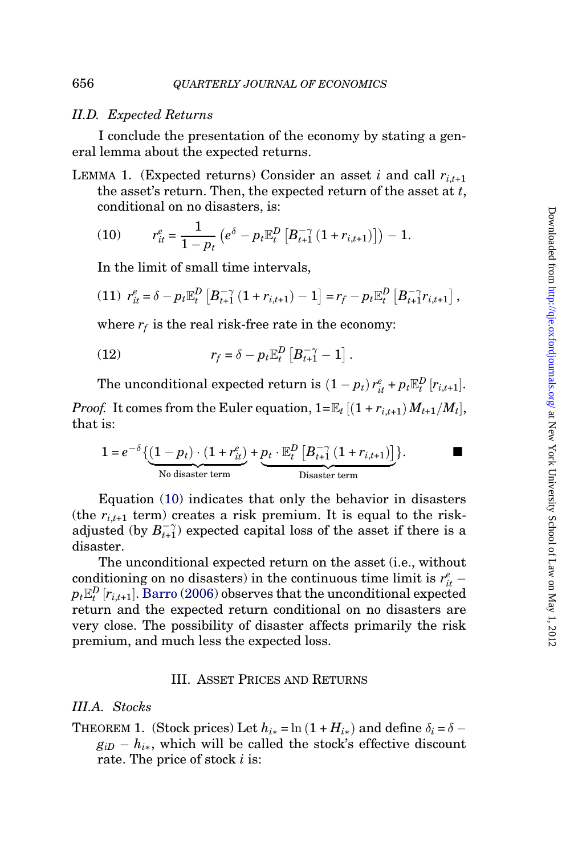# *II.D. Expected Returns*

I conclude the presentation of the economy by stating a general lemma about the expected returns.

LEMMA 1. (Expected returns) Consider an asset *i* and call  $r_{i,t+1}$ the asset's return. Then, the expected return of the asset at *t*, conditional on no disasters, is:

(10) 
$$
r_{it}^{e} = \frac{1}{1-p_{t}} \left( e^{\delta} - p_{t} \mathbb{E}_{t}^{D} \left[ B_{t+1}^{-\gamma} \left( 1 + r_{i,t+1} \right) \right] \right) - 1.
$$

In the limit of small time intervals,

(11) 
$$
r_{it}^e = \delta - p_t \mathbb{E}_t^D \left[ B_{t+1}^{-\gamma} (1 + r_{i,t+1}) - 1 \right] = r_f - p_t \mathbb{E}_t^D \left[ B_{t+1}^{-\gamma} r_{i,t+1} \right],
$$

where  $r_f$  is the real risk-free rate in the economy:

(12) 
$$
r_f = \delta - p_t \mathbb{E}_t^D \left[ B_{t+1}^{-\gamma} - 1 \right].
$$

The unconditional expected return is  $(1 - p_t) r_{it}^e + p_t \mathbb{E}_t^D [r_{i,t+1}]$ . *Proof.* It comes from the Euler equation,  $1=\mathbb{E}_{t}[(1+r_{i,t+1})M_{t+1}/M_{t}],$ that is:

$$
1 = e^{-\delta} \{ \underbrace{(1-p_t) \cdot (1+r_{it}^e)}_{\text{No disaster term}} + \underbrace{p_t \cdot \mathbb{E}_t^D \left[ B_{t+1}^{-\gamma} \left( 1 + r_{i,t+1} \right) \right]}_{\text{Disaster term}} \}.
$$

Equation (10) indicates that only the behavior in disasters (the  $r_{i,t+1}$  term) creates a risk premium. It is equal to the riskadjusted (by  $B_{t+1}^{-\gamma}$ ) expected capital loss of the asset if there is a disaster.

The unconditional expected return on the asset (i.e., without conditioning on no disasters) in the continuous time limit is  $r_{it}^e$  −  $p_t \mathbb{E}^D_t\left[r_{i,t+1}\right]$ . Barro (2006) observes that the unconditional expected return and the expected return conditional on no disasters are very close. The possibility of disaster affects primarily the risk premium, and much less the expected loss.

# III. ASSET PRICES AND RETURNS

# *III.A. Stocks*

THEOREM 1. (Stock prices) Let  $h_{i*} = \ln(1 + H_{i*})$  and define  $\delta_i = \delta$  $g_{iD} - h_{i*}$ , which will be called the stock's effective discount rate. The price of stock *i* is:

<span id="page-11-0"></span>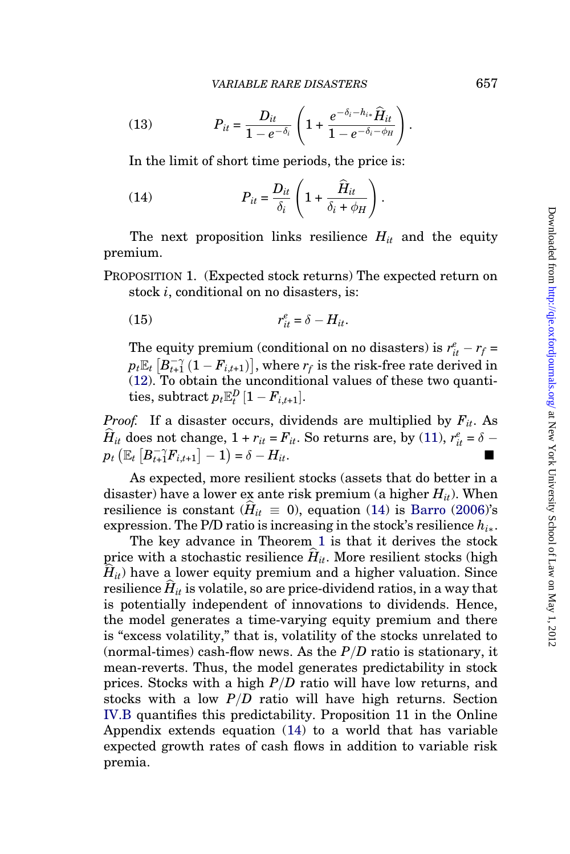<span id="page-12-0"></span>(13) 
$$
P_{it} = \frac{D_{it}}{1 - e^{-\delta_i}} \left( 1 + \frac{e^{-\delta_i - h_{i*}} \widehat{H}_{it}}{1 - e^{-\delta_i - \phi_H}} \right).
$$

In the limit of short time periods, the price is:

(14) 
$$
P_{it} = \frac{D_{it}}{\delta_i} \left( 1 + \frac{\widehat{H}_{it}}{\delta_i + \phi_H} \right).
$$

The next proposition links resilience  $H_{it}$  and the equity premium.

PROPOSITION 1. (Expected stock returns) The expected return on stock *i*, conditional on no disasters, is:

(15) *r<sup>e</sup> it* = δ − *Hit*.

The equity premium (conditional on no disasters) is  $r_{it}^e - r_f =$  $p_t \mathbb{E}_t\left[B_{t+1}^{-\gamma}\left(1 - F_{i,t+1}\right)\right],$  where  $r_f$  is the risk-free rate derived in [\(12](#page-11-0)). To obtain the unconditional values of these two quanti- $\text{ties, subtract } p_t \mathbb{E}_t^D \left[1 - F_{i,t+1} \right].$ 

*Proof.* If a disaster occurs, dividends are multiplied by  $F_{it}$ . As  $\hat{H}_{it}$  does not change,  $1 + r_{it} = F_{it}$ . So returns are, by [\(11](#page-11-0)),  $r_{it}^e = \delta - \frac{1}{2}$  $p_t\left(\mathbb{E}_t\left[B_{t+1}^{-\gamma}F_{i,t+1}\right]-1\right)=\delta-H_{it}.$ 

As expected, more resilient stocks (assets that do better in a disaster) have a lower ex ante risk premium (a higher  $H_{it}$ ). When resilience is constant ( $H_{it} \equiv 0$ ), equation (14) is [Barro](#page-53-0) [\(2006\)](#page-53-0)'s expression. The P/D ratio is increasing in the stock's resilience  $h_{i*}$ .

The key advance in Theorem [1](#page-11-0) is that it derives the stock price with a stochastic resilience  $H_{it}$ . More resilient stocks (high  $H_{it}$ ) have a lower equity premium and a higher valuation. Since resilience  $H_{it}$  is volatile, so are price-dividend ratios, in a way that is potentially independent of innovations to dividends. Hence, the model generates a time-varying equity premium and there is "excess volatility," that is, volatility of the stocks unrelated to (normal-times) cash-flow news. As the *P*/*D* ratio is stationary, it mean-reverts. Thus, the model generates predictability in stock prices. Stocks with a high *P*/*D* ratio will have low returns, and stocks with a low *P*/*D* ratio will have high returns. Section [IV.B](#page-23-0) quantifies this predictability. Proposition 11 in the Online Appendix extends equation (14) to a world that has variable expected growth rates of cash flows in addition to variable risk premia.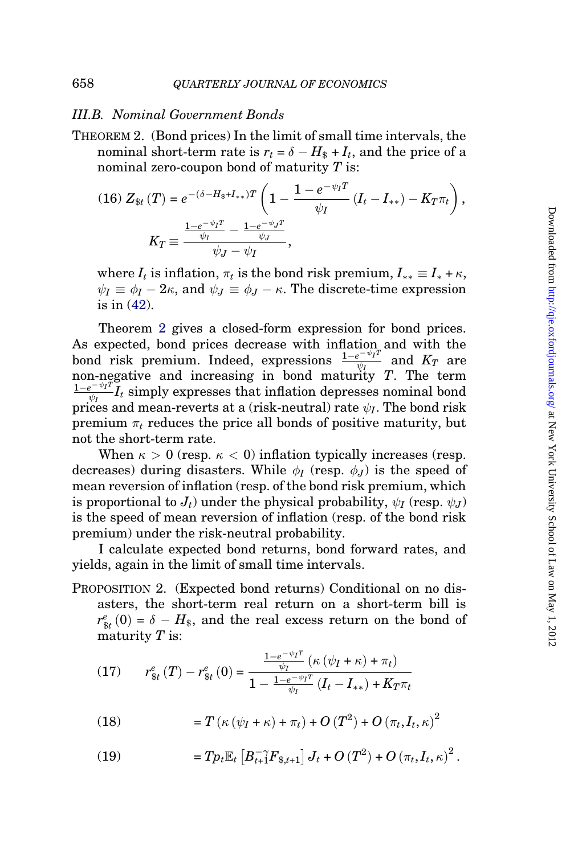## <span id="page-13-0"></span>*III.B. Nominal Government Bonds*

THEOREM 2. (Bond prices) In the limit of small time intervals, the nominal short-term rate is  $r_t = \delta - H_s + I_t$ , and the price of a nominal zero-coupon bond of maturity *T* is:

$$
(16) Z_{\$t}(T) = e^{-(\delta - H_{\$} + I_{**})T} \left( 1 - \frac{1 - e^{-\psi_I T}}{\psi_I} (I_t - I_{**}) - K_T \pi_t \right),
$$

$$
K_T \equiv \frac{\frac{1 - e^{-\psi_I T}}{\psi_I} - \frac{1 - e^{-\psi_J T}}{\psi_J}}{\psi_J - \psi_I},
$$

where  $I_t$  is inflation,  $\pi_t$  is the bond risk premium,  $I_{**} \equiv I_* + \kappa$ ,  $\psi_I \equiv \phi_I - 2\kappa$ , and  $\psi_J \equiv \phi_J - \kappa$ . The discrete-time expression is in [\(42\)](#page-51-0).

Theorem 2 gives a closed-form expression for bond prices. As expected, bond prices decrease with inflation and with the bond risk premium. Indeed, expressions  $\frac{1-e^{-\psi_I T}}{\psi_I}$  and  $K_T$  are non-negative and increasing in bond maturity *T*. The term  $\frac{1-e^{-\psi_I T}}{\psi_I} \tilde{I}_t$  simply expresses that inflation depresses nominal bond prices and mean-reverts at a (risk-neutral) rate  $\psi_I$ . The bond risk premium  $\pi_t$  reduces the price all bonds of positive maturity, but not the short-term rate.

When  $\kappa > 0$  (resp.  $\kappa < 0$ ) inflation typically increases (resp. decreases) during disasters. While  $\phi_I$  (resp.  $\phi_J$ ) is the speed of mean reversion of inflation (resp. of the bond risk premium, which is proportional to  $J_t$ ) under the physical probability,  $\psi_I$  (resp.  $\psi_J$ ) is the speed of mean reversion of inflation (resp. of the bond risk premium) under the risk-neutral probability.

I calculate expected bond returns, bond forward rates, and yields, again in the limit of small time intervals.

PROPOSITION 2. (Expected bond returns) Conditional on no disasters, the short-term real return on a short-term bill is  $r_{\text{S}t}^e(0) = \delta - H_{\text{S}}$ , and the real excess return on the bond of maturity *T* is:

(17) 
$$
r_{\text{st}}^{e}(T) - r_{\text{st}}^{e}(0) = \frac{\frac{1 - e^{-\psi_{I}T}}{\psi_{I}} (\kappa (\psi_{I} + \kappa) + \pi_{t})}{1 - \frac{1 - e^{-\psi_{I}T}}{\psi_{I}} (I_{t} - I_{**}) + K_{T}\pi_{t}}
$$

(18) 
$$
= T(\kappa(\psi_I + \kappa) + \pi_t) + O(T^2) + O(\pi_t, I_t, \kappa)^2
$$

(19) 
$$
= T p_t \mathbb{E}_t \left[ B_{t+1}^{-\gamma} F_{s,t+1} \right] J_t + O(T^2) + O(\pi_t, I_t, \kappa)^2.
$$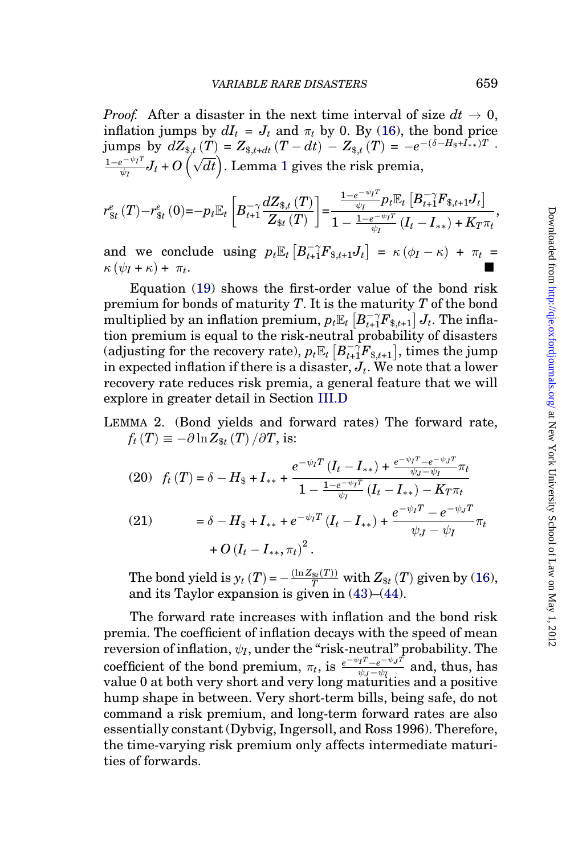<span id="page-14-0"></span>*Proof.* After a disaster in the next time interval of size  $dt \rightarrow 0$ , inflation jumps by  $dI_t = J_t$  and  $\pi_t$  by 0. By [\(16](#page-13-0)), the bond price jumps by  $dZ_{\$,t}(T) = Z_{\$,t+dt}(T - dt) - Z_{\$,t}(T) = -e^{-(\delta - H_{\$} + I_{**})T}$ .  $\frac{1-e^{-\psi_I T}}{\psi_I} J_t + O\left(\sqrt{dt}\right)$  $\frac{1-e^{-\psi_I T}}{\psi_I} J_t + O\left(\sqrt{dt}\right)$  $\frac{1-e^{-\psi_I T}}{\psi_I} J_t + O\left(\sqrt{dt}\right)$ . Lemma 1 gives the risk premia,

$$
r_{\$t}^{e}\left(T\right)-r_{\$t}^{e}\left(0\right)=-p_{t}\mathbb{E}_{t}\left[B_{t+1}^{-\gamma}\frac{dZ_{\$,t}\left(T\right)}{Z_{\$t}\left(T\right)}\right]=\frac{\frac{1-e^{-\psi_{I}T}}{\psi_{I}}p_{t}\mathbb{E}_{t}\left[B_{t+1}^{-\gamma}F_{\$,t+1}J_{t}\right]}{1-\frac{1-e^{-\psi_{I}T}}{\psi_{I}}\left(I_{t}-I_{\ast\ast}\right)+K_{T}\pi_{t}},
$$

and we conclude using  $p_t \mathbb{E}_t [B_{t+1}^{-\gamma} F_{s,t+1} J_t] = \kappa (\phi_I - \kappa) + \pi_t =$  $\kappa (\psi_I + \kappa) + \pi_t$ .

Equation [\(19\)](#page-13-0) shows the first-order value of the bond risk premium for bonds of maturity *T*. It is the maturity *T* of the bond  $\mathbf{F}_{t+1}$  multiplied by an inflation premium,  $p_t \mathbb{E}_t\left[B_{t+1}^{-\gamma}F_{\$_{t+1}}\right]J_t.$  The inflation premium is equal to the risk-neutral probability of disasters (adjusting for the recovery rate),  $p_t \mathbb{E}_t [B_{t+1}^{-\gamma} F_{s,t+1}]$ , times the jump in expected inflation if there is a disaster,  $J_t$ . We note that a lower recovery rate reduces risk premia, a general feature that we will explore in greater detail in Section [III.D](#page-16-0)

LEMMA 2. (Bond yields and forward rates) The forward rate,  $f_t(T) \equiv -\partial \ln Z_{\text{S}t}(T)/\partial T$ , is:

(20) 
$$
f_t(T) = \delta - H_{\$} + I_{**} + \frac{e^{-\psi_l T} (I_t - I_{**}) + \frac{e^{-\psi_l T} - e^{-\psi_l T}}{\psi_l - \psi_l}}{1 - \frac{1 - e^{-\psi_l T}}{\psi_l} (I_t - I_{**}) - K_T \pi_t}
$$
  
\n(21) 
$$
= \delta - H_{\$} + I_{**} + e^{-\psi_l T} (I_t - I_{**}) + \frac{e^{-\psi_l T} - e^{-\psi_l T}}{\psi_l - \psi_l}
$$
  
\n
$$
+ O(I_t - I_{**}, \pi_t)^2.
$$

The bond yield is  $y_t(T) = -\frac{\left(\ln Z_{\$t}(T)\right)}{T}$  with  $Z_{\$t}(T)$  given by [\(16\)](#page-13-0), and its Taylor expansion is given in [\(43\)](#page-51-0)–[\(44](#page-51-0)).

The forward rate increases with inflation and the bond risk premia. The coefficient of inflation decays with the speed of mean reversion of inflation,  $\psi_I$ , under the "risk-neutral" probability. The coefficient of the bond premium,  $\pi_t$ , is  $\frac{e^{-\psi_I T}-e^{-\psi_J T}}{\psi_J-\psi_I}$  and, thus, has value 0 at both very short and very long maturities and a positive hump shape in between. Very short-term bills, being safe, do not command a risk premium, and long-term forward rates are also essentially constant (Dybvig, Ingersoll, and Ross 1996). Therefore, the time-varying risk premium only affects intermediate maturities of forwards.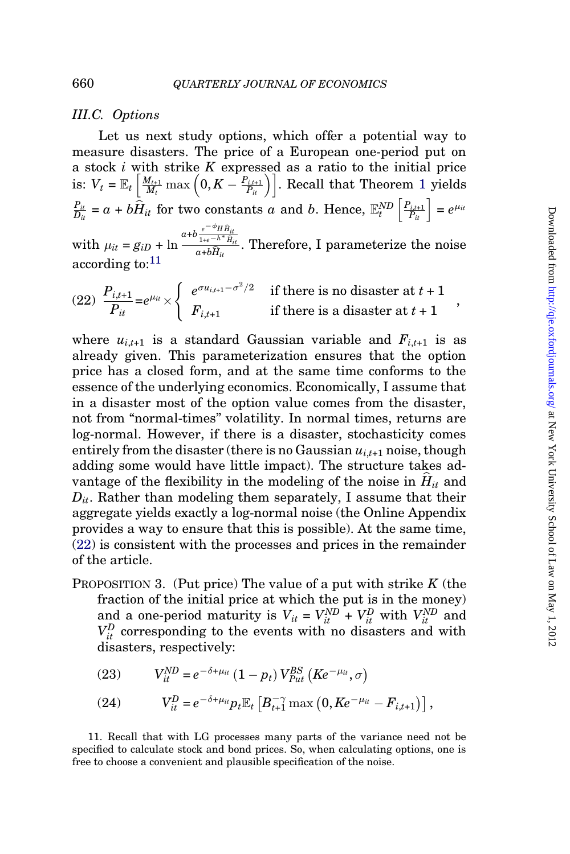## <span id="page-15-0"></span>*III.C. Options*

Let us next study options, which offer a potential way to measure disasters. The price of a European one-period put on a stock *i* with strike *K* expressed as a ratio to the initial price is:  $V_t = \mathbb{E}_t \left[ \frac{M_{t+1}}{M_t} \max\left(0, K - \frac{P_{i,t+1}}{P_{it}}\right) \right]$  $V_t = \mathbb{E}_t \left[ \frac{M_{t+1}}{M_t} \max\left(0, K - \frac{P_{i,t+1}}{P_{it}}\right) \right]$  $V_t = \mathbb{E}_t \left[ \frac{M_{t+1}}{M_t} \max\left(0, K - \frac{P_{i,t+1}}{P_{it}}\right) \right]$ . Recall that Theorem 1 yields  $\frac{P_{it}}{D_{it}} = a + b \hat{H}_{it}$  for two constants *a* and *b*. Hence,  $\mathbb{E}_t^{ND} \left[ \frac{P_{it+1}}{P_{it}} \right] = e^{\mu_{it}}$ with  $\mu_{it} = g_{iD} + \ln \frac{a + b \frac{e^{-\phi_H} \hat{H}_{it}}{1 + e^{-h^*} \hat{H}_{it}}}{a + h \hat{H}_{it}}$  $1+e<sup>−h</sup><sup>*</sup>  $\hat{H}_{it}$$  $\frac{1+e^{-\lambda t}H_{it}}{a+b\hat{H}_{it}}$ . Therefore, I parameterize the noise

according to:<sup>11</sup>

(22) 
$$
\frac{P_{i,t+1}}{P_{it}} = e^{\mu_{it}} \times \begin{cases} e^{\sigma u_{i,t+1} - \sigma^2/2} & \text{if there is no disaster at } t+1 \\ F_{i,t+1} & \text{if there is a disaster at } t+1 \end{cases}
$$

where  $u_{i,t+1}$  is a standard Gaussian variable and  $F_{i,t+1}$  is as already given. This parameterization ensures that the option price has a closed form, and at the same time conforms to the essence of the underlying economics. Economically, I assume that in a disaster most of the option value comes from the disaster, not from "normal-times" volatility. In normal times, returns are log-normal. However, if there is a disaster, stochasticity comes entirely from the disaster (there is no Gaussian  $u_{i,t+1}$  noise, though adding some would have little impact). The structure takes advantage of the flexibility in the modeling of the noise in  $H_{it}$  and *Dit*. Rather than modeling them separately, I assume that their aggregate yields exactly a log-normal noise (the Online Appendix provides a way to ensure that this is possible). At the same time, (22) is consistent with the processes and prices in the remainder of the article.

- PROPOSITION 3. (Put price) The value of a put with strike *K* (the fraction of the initial price at which the put is in the money) and a one-period maturity is  $V_{it} = V_{it}^{ND} + V_{it}^{D}$  with  $V_{it}^{ND}$  and  $V_{it}^{D}$  corresponding to the events with no disasters and with disasters, respectively:
	- (23)  $V_{it}^{ND} = e^{-\delta + \mu_{it}} (1 p_t) V_{Put}^{BS} (Ke^{-\mu_{it}}, \sigma)$

(24) 
$$
V_{it}^{D} = e^{-\delta + \mu_{it}} p_t \mathbb{E}_t \left[ B_{t+1}^{-\gamma} \max \left( 0, Ke^{-\mu_{it}} - F_{i,t+1} \right) \right],
$$

11. Recall that with LG processes many parts of the variance need not be specified to calculate stock and bond prices. So, when calculating options, one is free to choose a convenient and plausible specification of the noise.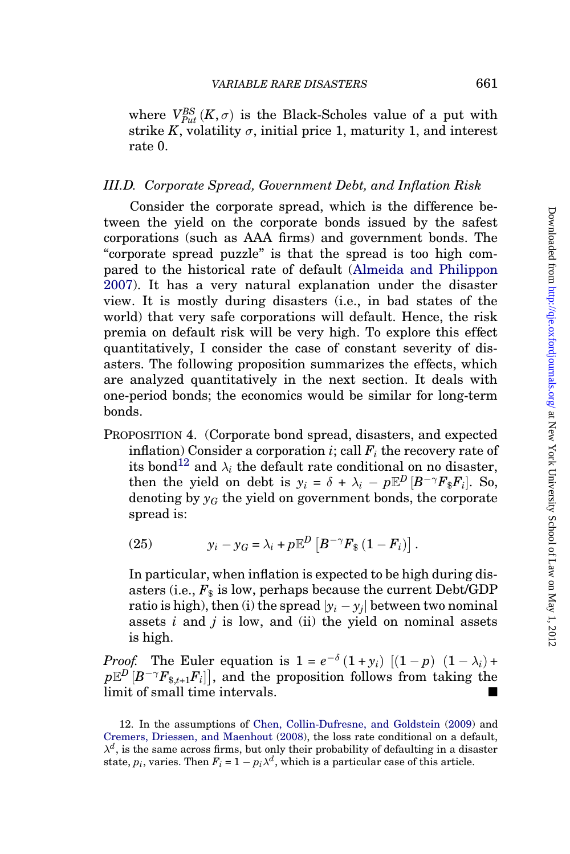<span id="page-16-0"></span>where  $V_{Put}^{BS}(K, \sigma)$  is the Black-Scholes value of a put with strike *K*, volatility  $\sigma$ , initial price 1, maturity 1, and interest rate 0.

## *III.D. Corporate Spread, Government Debt, and Inflation Risk*

Consider the corporate spread, which is the difference between the yield on the corporate bonds issued by the safest corporations (such as AAA firms) and government bonds. The "corporate spread puzzle" is that the spread is too high compared to the historical rate of default ([Almeida and Philippon](#page-52-0) [2007\)](#page-52-0). It has a very natural explanation under the disaster view. It is mostly during disasters (i.e., in bad states of the world) that very safe corporations will default. Hence, the risk premia on default risk will be very high. To explore this effect quantitatively, I consider the case of constant severity of disasters. The following proposition summarizes the effects, which are analyzed quantitatively in the next section. It deals with one-period bonds; the economics would be similar for long-term bonds.

PROPOSITION 4. (Corporate bond spread, disasters, and expected inflation) Consider a corporation  $i$ ; call  $F_i$  the recovery rate of its bond<sup>12</sup> and  $\lambda_i$  the default rate conditional on no disaster, then the yield on debt is  $y_i = \delta + \lambda_i - p \mathbb{E}^D [B^{-\gamma} F_s F_i]$ . So, denoting by  $y_G$  the yield on government bonds, the corporate spread is:

(25) 
$$
y_i - y_G = \lambda_i + p \mathbb{E}^D \left[ B^{-\gamma} F_{\$} \left( 1 - F_i \right) \right].
$$

In particular, when inflation is expected to be high during disasters (i.e.,  $F_{\$}$  is low, perhaps because the current Debt/GDP ratio is high), then (i) the spread  $|y_i - y_j|$  between two nominal assets *i* and *j* is low, and (ii) the yield on nominal assets is high.

*Proof.* The Euler equation is  $1 = e^{-\delta} (1 + y_i) [(1 - p) (1 - \lambda_i) +$  $p \mathbb{E}^D\left[B^{-\gamma}F_{\$_{t}+1}F_i\right]\right]$ , and the proposition follows from taking the limit of small time intervals.

<sup>12.</sup> In the assumptions of [Chen, Collin-Dufresne, and Goldstein](#page-53-0) [\(2009\)](#page-53-0) and [Cremers, Driessen, and Maenhout](#page-53-0) [\(2008\)](#page-53-0), the loss rate conditional on a default,  $\lambda^d$ , is the same across firms, but only their probability of defaulting in a disaster state,  $p_i$ , varies. Then  $F_i = 1 - p_i \lambda^d$ , which is a particular case of this article.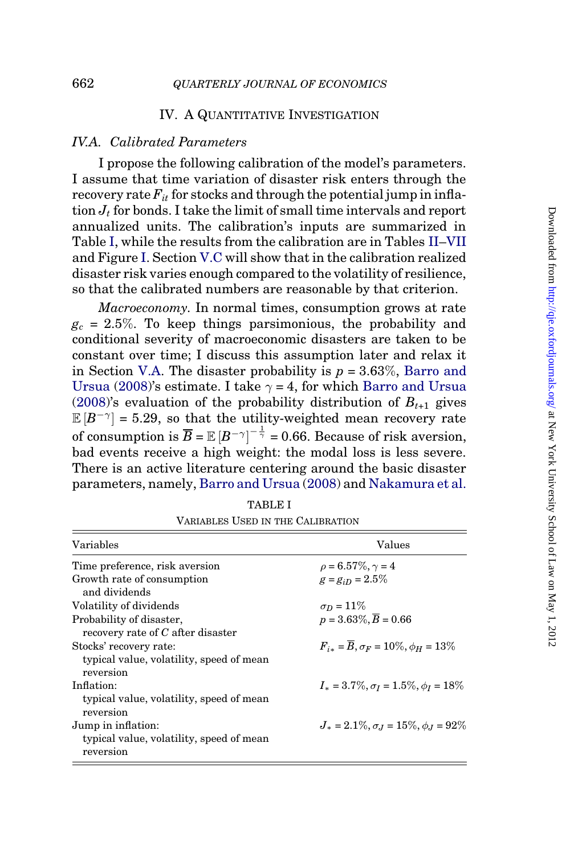## IV. A QUANTITATIVE INVESTIGATION

## <span id="page-17-0"></span>*IV.A. Calibrated Parameters*

I propose the following calibration of the model's parameters. I assume that time variation of disaster risk enters through the recovery rate  $F_{it}$  for stocks and through the potential jump in inflation  $J_t$  for bonds. I take the limit of small time intervals and report annualized units. The calibration's inputs are summarized in Table I, while the results from the calibration are in Tables [II–](#page-18-0)[VII](#page-34-0) and Figure [I.](#page-32-0) Section [V.C](#page-41-0) will show that in the calibration realized disaster risk varies enough compared to the volatility of resilience, so that the calibrated numbers are reasonable by that criterion.

*Macroeconomy.* In normal times, consumption grows at rate  $g_c = 2.5\%$ . To keep things parsimonious, the probability and conditional severity of macroeconomic disasters are taken to be constant over time; I discuss this assumption later and relax it in Section [V.A.](#page-36-0) The disaster probability is *p* = 3.63%, [Barro and](#page-53-0) [Ursua](#page-53-0) [\(2008\)](#page-53-0)'s estimate. I take  $\gamma = 4$ , for which [Barro and Ursua](#page-53-0)  $(2008)$  $(2008)$ 's evaluation of the probability distribution of  $B_{t+1}$  gives  $\mathbb{E}[B^{-\gamma}] = 5.29$ , so that the utility-weighted mean recovery rate of consumption is  $\overline{B} = \mathbb{E}[B^{-\gamma}]^{-\frac{1}{\gamma}} = 0.66$ . Because of risk aversion, bad events receive a high weight: the modal loss is less severe. There is an active literature centering around the basic disaster parameters, namely, Barro and Ursua (2008) and Nakamura et al.

| Variables                                                                       | Values                                                        |
|---------------------------------------------------------------------------------|---------------------------------------------------------------|
| Time preference, risk aversion                                                  | $\rho = 6.57\%, \gamma = 4$                                   |
| Growth rate of consumption<br>and dividends                                     | $g = g_{iD} = 2.5\%$                                          |
| Volatility of dividends                                                         | $\sigma_D = 11\%$                                             |
| Probability of disaster,<br>recovery rate of C after disaster                   | $p = 3.63\%, \overline{B} = 0.66$                             |
| Stocks' recovery rate:<br>typical value, volatility, speed of mean<br>reversion | $F_{i*} = \overline{B}$ , $\sigma_F = 10\%$ , $\phi_H = 13\%$ |
| Inflation:<br>typical value, volatility, speed of mean<br>reversion             | $I_* = 3.7\%, \sigma_I = 1.5\%, \phi_I = 18\%$                |
| Jump in inflation:<br>typical value, volatility, speed of mean<br>reversion     | $J_* = 2.1\%, \sigma_J = 15\%, \phi_J = 92\%$                 |

TABLE I VARIABLES USED IN THE CALIBRATION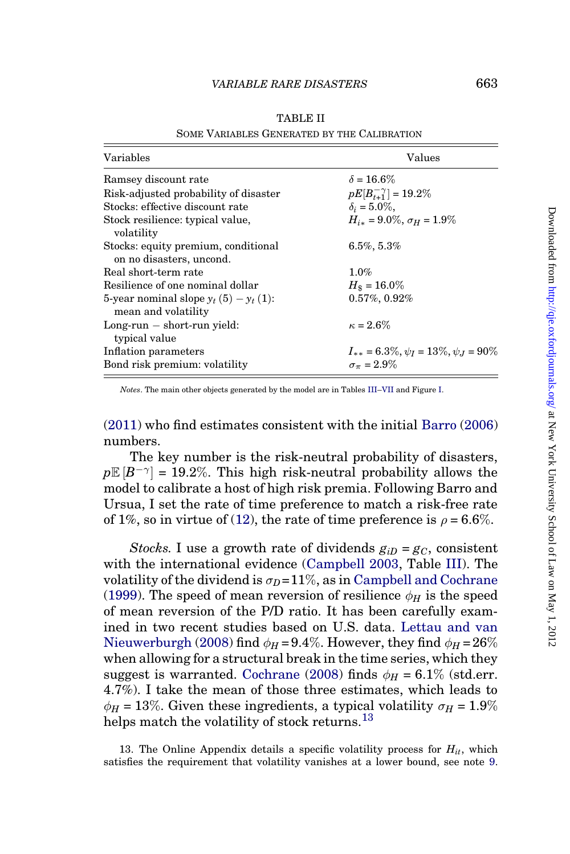<span id="page-18-0"></span>

| Variables                                                       | Values                                         |
|-----------------------------------------------------------------|------------------------------------------------|
| Ramsey discount rate                                            | $\delta = 16.6\%$                              |
| Risk-adjusted probability of disaster                           | $pE[B_{11}^{-\gamma}] = 19.2\%$                |
| Stocks: effective discount rate                                 | $\delta_i = 5.0\%$ ,                           |
| Stock resilience: typical value,<br>volatility                  | $H_{i*} = 9.0\%, \sigma_H = 1.9\%$             |
| Stocks: equity premium, conditional<br>on no disasters, uncond. | $6.5\%$ , $5.3\%$                              |
| Real short-term rate                                            | 1.0%                                           |
| Resilience of one nominal dollar                                | $H_{\rm s} = 16.0\%$                           |
| 5-year nominal slope $y_t(5) - y_t(1)$ :<br>mean and volatility | $0.57\%$ , $0.92\%$                            |
| $Long-run - short-run yield:$<br>typical value                  | $\kappa = 2.6\%$                               |
| Inflation parameters                                            | $I_{**} = 6.3\%, \psi_I = 13\%, \psi_J = 90\%$ |
| Bond risk premium: volatility                                   | $\sigma_{\pi} = 2.9\%$                         |

#### TABLE II

#### SOME VARIABLES GENERATED BY THE CALIBRATION

*Notes*. The main other objects generated by the model are in Tables [III](#page-23-0)[–VII](#page-34-0) and Figure [I.](#page-32-0)

[\(2011](#page-55-0)) who find estimates consistent with the initial [Barro\(2006](#page-53-0)) numbers.

The key number is the risk-neutral probability of disasters,  $p\mathbb{E}[B^{-\gamma}] = 19.2\%$ . This high risk-neutral probability allows the model to calibrate a host of high risk premia. Following Barro and Ursua, I set the rate of time preference to match a risk-free rate of 1%, so in virtue of [\(12\)](#page-11-0), the rate of time preference is  $\rho = 6.6\%$ .

*Stocks.* I use a growth rate of dividends  $g_{iD} = g_C$ , consistent with the international evidence [\(Campbell 2003](#page-53-0), Table [III](#page-23-0)). The volatility of the dividend is  $\sigma_D = 11\%$ , as in Campbell and Cochrane [\(1999](#page-53-0)). The speed of mean reversion of resilience  $\phi_H$  is the speed of mean reversion of the P/D ratio. It has been carefully examined in two recent studies based on U.S. data. [Lettau and van](#page-55-0) [Nieuwerburgh](#page-55-0) [\(2008\)](#page-55-0) find  $\phi$ <sub>*H*</sub> = 9.4%. However, they find  $\phi$ <sub>*H*</sub> = 26% when allowing for a structural break in the time series, which they suggest is warranted. [Cochrane](#page-53-0) [\(2008\)](#page-53-0) finds  $\phi_H = 6.1\%$  (std.err. 4.7%). I take the mean of those three estimates, which leads to  $\phi_H = 13\%$ . Given these ingredients, a typical volatility  $\sigma_H = 1.9\%$ helps match the volatility of stock returns.<sup>13</sup>

13. The Online Appendix details a specific volatility process for  $H_{it}$ , which satisfies the requirement that volatility vanishes at a lower bound, see note [9](#page-8-0).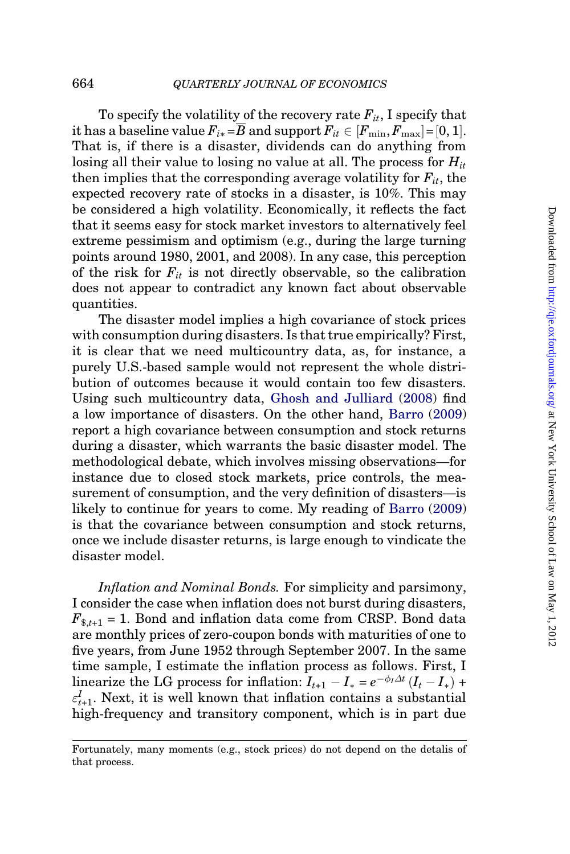To specify the volatility of the recovery rate  $F_{it}$ , I specify that it has a baseline value  $F_{i*} = \overline{B}$  and support  $F_{it} \in [F_{\min}, F_{\max}] = [0, 1].$ That is, if there is a disaster, dividends can do anything from losing all their value to losing no value at all. The process for *Hit* then implies that the corresponding average volatility for  $F_{it}$ , the expected recovery rate of stocks in a disaster, is 10%. This may be considered a high volatility. Economically, it reflects the fact that it seems easy for stock market investors to alternatively feel extreme pessimism and optimism (e.g., during the large turning points around 1980, 2001, and 2008). In any case, this perception of the risk for  $F_{it}$  is not directly observable, so the calibration does not appear to contradict any known fact about observable quantities.

The disaster model implies a high covariance of stock prices with consumption during disasters. Is that true empirically? First, it is clear that we need multicountry data, as, for instance, a purely U.S.-based sample would not represent the whole distribution of outcomes because it would contain too few disasters. Using such multicountry data, [Ghosh and Julliard](#page-54-0) [\(2008\)](#page-54-0) find a low importance of disasters. On the other hand, [Barro](#page-53-0) [\(2009](#page-53-0)) report a high covariance between consumption and stock returns during a disaster, which warrants the basic disaster model. The methodological debate, which involves missing observations—for instance due to closed stock markets, price controls, the measurement of consumption, and the very definition of disasters—is likely to continue for years to come. My reading of [Barro](#page-53-0) [\(2009](#page-53-0)) is that the covariance between consumption and stock returns, once we include disaster returns, is large enough to vindicate the disaster model.

*Inflation and Nominal Bonds.* For simplicity and parsimony, I consider the case when inflation does not burst during disasters,  $F_{\$,t+1} = 1$ . Bond and inflation data come from CRSP. Bond data are monthly prices of zero-coupon bonds with maturities of one to five years, from June 1952 through September 2007. In the same time sample, I estimate the inflation process as follows. First, I linearize the LG process for inflation:  $I_{t+1} - I_* = e^{-\phi_I \Delta t} (I_t - I_*)$  +  $\varepsilon_{t+1}^I$ . Next, it is well known that inflation contains a substantial high-frequency and transitory component, which is in part due

Fortunately, many moments (e.g., stock prices) do not depend on the detalis of that process.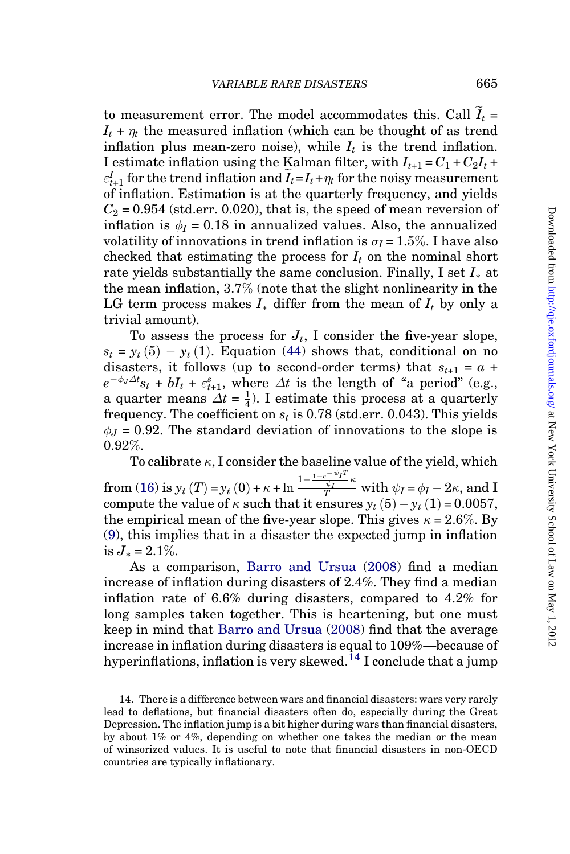to measurement error. The model accommodates this. Call  $\tilde{I}_t$  =  $I_t + \eta_t$  the measured inflation (which can be thought of as trend inflation plus mean-zero noise), while  $I_t$  is the trend inflation. I estimate inflation using the Kalman filter, with  $I_{t+1} = C_1 + C_2 I_t + C_3 I_t$  $\varepsilon_{t+1}^I$  for the trend inflation and  $\tilde{I}_t = I_t + \eta_t$  for the noisy measurement of inflation. Estimation is at the quarterly frequency, and yields  $C_2$  = 0.954 (std.err. 0.020), that is, the speed of mean reversion of inflation is  $\phi$ <sup>*I*</sup> = 0.18 in annualized values. Also, the annualized volatility of innovations in trend inflation is  $\sigma$ <sup> $I$ </sup> = 1.5%. I have also checked that estimating the process for  $I_t$  on the nominal short rate yields substantially the same conclusion. Finally, I set *I*<sup>∗</sup> at the mean inflation, 3.7% (note that the slight nonlinearity in the LG term process makes  $I_*$  differ from the mean of  $I_t$  by only a trivial amount).

To assess the process for  $J_t$ , I consider the five-year slope,  $s_t = y_t(5) - y_t(1)$ . Equation [\(44](#page-51-0)) shows that, conditional on no disasters, it follows (up to second-order terms) that  $s_{t+1} = a +$  $e^{-\phi_J \Delta t} s_t + bI_t + \varepsilon_{t+1}^s$ , where  $\Delta t$  is the length of "a period" (e.g., a quarter means  $\Delta t = \frac{1}{4}$ ). I estimate this process at a quarterly frequency. The coefficient on  $s_t$  is 0.78 (std.err. 0.043). This yields  $\phi_J$  = 0.92. The standard deviation of innovations to the slope is  $0.92\%$ .

To calibrate  $\kappa$ , I consider the baseline value of the yield, which from [\(16](#page-13-0)) is  $y_t(T) = y_t(0) + \kappa + \ln \frac{1 - \frac{1 - e^{-\psi_I T}}{\psi_I} \kappa}{T}$  with  $\psi_I = \phi_I - 2\kappa$ , and I compute the value of  $\kappa$  such that it ensures  $y_t(5) - y_t(1) = 0.0057$ , the empirical mean of the five-year slope. This gives  $\kappa = 2.6\%$ . By [\(9\)](#page-10-0), this implies that in a disaster the expected jump in inflation is  $J_* = 2.1\%$ .

As a comparison, [Barro and Ursua](#page-53-0) [\(2008\)](#page-53-0) find a median increase of inflation during disasters of 2.4%. They find a median inflation rate of 6.6% during disasters, compared to 4.2% for long samples taken together. This is heartening, but one must keep in mind that [Barro and Ursua](#page-53-0) [\(2008\)](#page-53-0) find that the average increase in inflation during disasters is equal to 109%—because of hyperinflations, inflation is very skewed.<sup>14</sup> I conclude that a jump

<sup>14.</sup> There is a difference between wars and financial disasters: wars very rarely lead to deflations, but financial disasters often do, especially during the Great Depression. The inflation jump is a bit higher during wars than financial disasters, by about 1% or 4%, depending on whether one takes the median or the mean of winsorized values. It is useful to note that financial disasters in non-OECD countries are typically inflationary.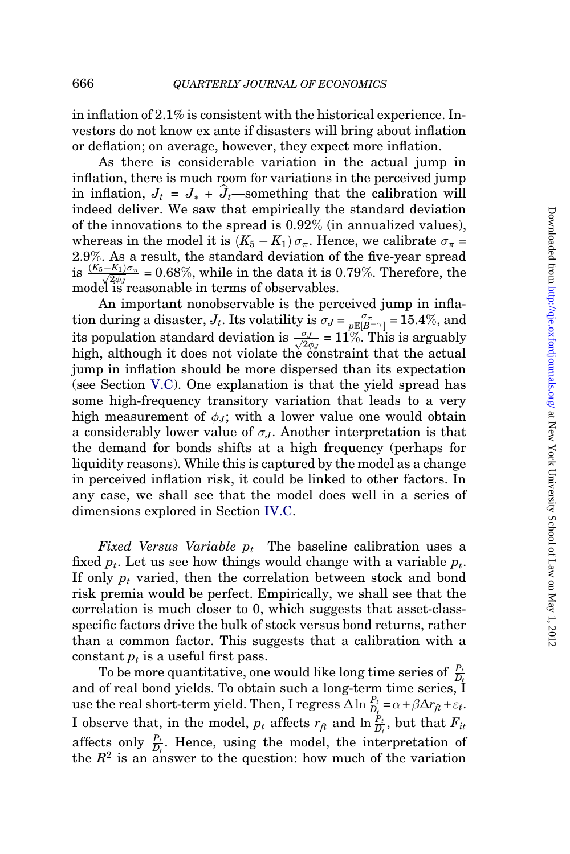in inflation of  $2.1\%$  is consistent with the historical experience. Investors do not know ex ante if disasters will bring about inflation or deflation; on average, however, they expect more inflation.

As there is considerable variation in the actual jump in inflation, there is much room for variations in the perceived jump in inflation,  $J_t = J_* + \hat{J}_t$ —something that the calibration will indeed deliver. We saw that empirically the standard deviation of the innovations to the spread is 0.92% (in annualized values), whereas in the model it is  $(K_5 - K_1) \sigma_{\pi}$ . Hence, we calibrate  $\sigma_{\pi}$  = 2.9%. As a result, the standard deviation of the five-year spread is  $\frac{(K_5 - K_1)\sigma_{\pi}}{\sqrt{2\sigma_{\pi}}}$  = 0.68%, while in the data it is 0.79%. Therefore, the  $\sqrt{2\phi_J}$  = 0.00%, while in the data is to<br>model is reasonable in terms of observables.

An important nonobservable is the perceived jump in inflation during a disaster,  $J_t$ . Its volatility is  $\sigma_J = \frac{\sigma_{\pi}}{p \mathbb{E}[B^{-\gamma}]} = 15.4\%$ , and its population standard deviation is  $\frac{\sigma_J}{\sqrt{2\phi_J}} = 11\%$ . This is arguably high, although it does not violate the constraint that the actual jump in inflation should be more dispersed than its expectation (see Section [V.C\)](#page-41-0). One explanation is that the yield spread has some high-frequency transitory variation that leads to a very high measurement of  $\phi_J$ ; with a lower value one would obtain a considerably lower value of  $\sigma_J$ . Another interpretation is that the demand for bonds shifts at a high frequency (perhaps for liquidity reasons). While this is captured by the model as a change in perceived inflation risk, it could be linked to other factors. In any case, we shall see that the model does well in a series of dimensions explored in Section [IV.C.](#page-26-0)

*Fixed Versus Variable*  $p_t$  The baseline calibration uses a fixed  $p_t$ . Let us see how things would change with a variable  $p_t$ . If only  $p_t$  varied, then the correlation between stock and bond risk premia would be perfect. Empirically, we shall see that the correlation is much closer to 0, which suggests that asset-classspecific factors drive the bulk of stock versus bond returns, rather than a common factor. This suggests that a calibration with a constant  $p_t$  is a useful first pass.

To be more quantitative, one would like long time series of  $\frac{P_t}{D_t}$ and of real bond yields. To obtain such a long-term time series, I use the real short-term yield. Then, I regress  $\Delta \ln \frac{P_t}{D_t} = \alpha + \beta \Delta r_{ft} + \varepsilon_t$ . I observe that, in the model,  $p_t$  affects  $r_{\hat{t}}$  and  $\ln \frac{P_t}{D_t}$ , but that  $F_{it}$ affects only  $\frac{P_t}{D_t}$ . Hence, using the model, the interpretation of the  $R^2$  is an answer to the question: how much of the variation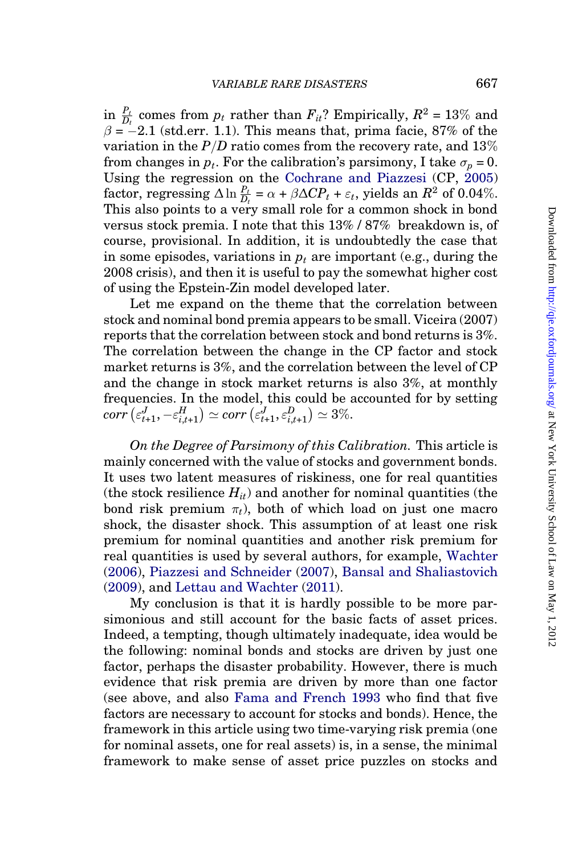in  $\frac{P_t}{D_t}$  comes from  $p_t$  rather than  $F_{it}$ ? Empirically,  $R^2 = 13\%$  and  $\beta = -2.1$  (std.err. 1.1). This means that, prima facie, 87% of the variation in the  $P/D$  ratio comes from the recovery rate, and  $13\%$ from changes in  $p_t$ . For the calibration's parsimony, I take  $\sigma_p = 0$ . Using the regression on the [Cochrane and Piazzesi](#page-53-0) (CP, [2005](#page-53-0)) factor, regressing  $\Delta \ln \frac{P_t}{D_t} = \alpha + \beta \Delta CP_t + \varepsilon_t$ , yields an  $R^2$  of 0.04%. This also points to a very small role for a common shock in bond versus stock premia. I note that this 13% / 87% breakdown is, of course, provisional. In addition, it is undoubtedly the case that in some episodes, variations in  $p_t$  are important (e.g., during the 2008 crisis), and then it is useful topay the somewhat higher cost of using the Epstein-Zin model developed later.

Let me expand on the theme that the correlation between stock and nominal bond premia appears to be small. Viceira (2007) reports that the correlation between stock and bond returns is  $3\%$ . The correlation between the change in the CP factor and stock market returns is 3%, and the correlation between the level of CP and the change in stock market returns is also 3%, at monthly frequencies. In the model, this could be accounted for by setting  $corr\left(\varepsilon_{t+1}^{J}, -\varepsilon_{i,t+1}^{H}\right) \simeq corr\left(\varepsilon_{t+1}^{J}, \varepsilon_{i,t+1}^{D}\right) \simeq 3\%.$ 

*On the Degree of Parsimony of this Calibration.* This article is mainly concerned with the value of stocks and government bonds. It uses two latent measures of riskiness, one for real quantities (the stock resilience  $H_{it}$ ) and another for nominal quantities (the bond risk premium  $\pi_t$ ), both of which load on just one macro shock, the disaster shock. This assumption of at least one risk premium for nominal quantities and another risk premium for real quantities is used by several authors, for example, [Wachter](#page-55-0) [\(2006](#page-55-0)), [Piazzesi and Schneider](#page-55-0) [\(2007\)](#page-55-0), [Bansal and Shaliastovich](#page-53-0) [\(2009](#page-53-0)), and [Lettau and Wachter](#page-55-0) [\(2011](#page-55-0)).

My conclusion is that it is hardly possible to be more parsimonious and still account for the basic facts of asset prices. Indeed, a tempting, though ultimately inadequate, idea would be the following: nominal bonds and stocks are driven by just one factor, perhaps the disaster probability. However, there is much evidence that risk premia are driven by more than one factor (see above, and also [Fama and French 1993](#page-54-0) who find that five factors are necessary to account for stocks and bonds). Hence, the framework in this article using two time-varying risk premia (one for nominal assets, one for real assets) is, in a sense, the minimal framework to make sense of asset price puzzles on stocks and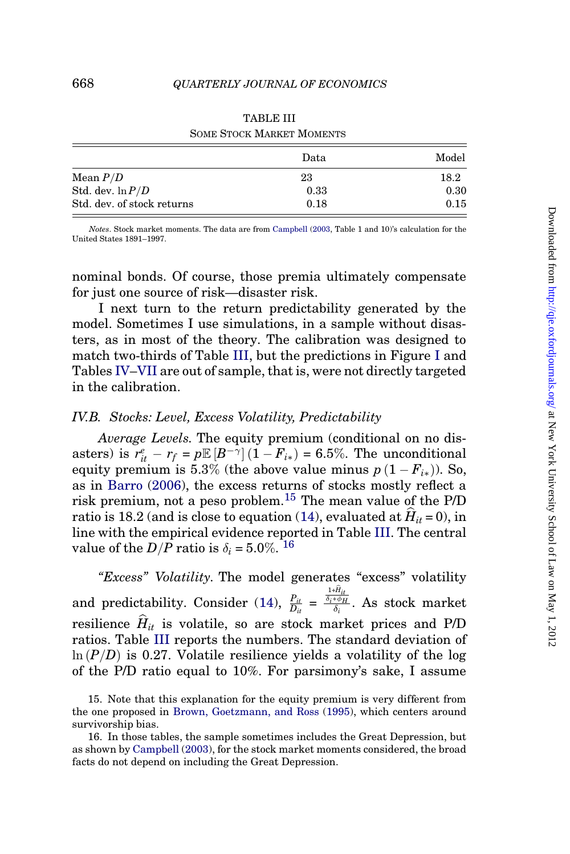<span id="page-23-0"></span>

|                                   | Data       | Model        |
|-----------------------------------|------------|--------------|
| Mean $P/D$<br>Std. dev. $\ln P/D$ | 23<br>0.33 | 18.2<br>0.30 |
| Std. dev. of stock returns        | 0.18       | 0.15         |

TABLE III SOME STOCK MARKET MOMENTS

*Notes*. Stock market moments. The data are from [Campbell](#page-53-0) [\(2003](#page-53-0), Table 1 and 10)'s calculation for the United States 1891–1997.

nominal bonds. Of course, those premia ultimately compensate for just one source of risk—disaster risk.

I next turn to the return predictability generated by the model. Sometimes I use simulations, in a sample without disasters, as in most of the theory. The calibration was designed to match two-thirds of Table III, but the predictions in Figure [I](#page-32-0) and Tables [IV–](#page-25-0)[VII](#page-34-0) are out of sample, that is, were not directly targeted in the calibration.

## *IV.B. Stocks: Level, Excess Volatility, Predictability*

*Average Levels.* The equity premium (conditional on no disasters) is  $r_{it}^e - r_f = p \mathbb{E}[B^{-\gamma}] (1 - F_{i*}) = 6.5\%$ . The unconditional equity premium is 5.3% (the above value minus  $p(1 - F_{i*})$ ). So, as in [Barro](#page-53-0) [\(2006\)](#page-53-0), the excess returns of stocks mostly reflect a risk premium, not a peso problem.<sup>15</sup> The mean value of the P/D ratio is 18.2 (and is close to equation [\(14\)](#page-12-0), evaluated at  $\hat{H}_{it} = 0$ ), in line with the empirical evidence reportedin Table III. The central value of the  $D/P$  ratio is  $\delta_i = 5.0\%$ . <sup>16</sup>

*"Excess" Volatility.* The model generates "excess" volatility and predictability. Consider [\(14\)](#page-12-0),  $\frac{P_{it}}{D_{it}} = \frac{\frac{1+H_{it}}{\delta_i+\phi_H}}{\delta_i}$ . As stock market resilience  $H_{it}$  is volatile, so are stock market prices and P/D ratios. Table III reports the numbers. The standard deviation of  $\ln (P/D)$  is 0.27. Volatile resilience yields a volatility of the log of the P/D ratio equal to 10%. For parsimony's sake, I assume

<sup>15.</sup> Note that this explanation for the equity premium is very different from the one proposed in [Brown, Goetzmann, and Ross](#page-53-0) [\(1995](#page-53-0)), which centers around survivorship bias.

<sup>16.</sup> In those tables, the sample sometimes includes the Great Depression, but as shown by Campbell (2003), for the stock market moments considered, the broad facts do not depend on including the Great Depression.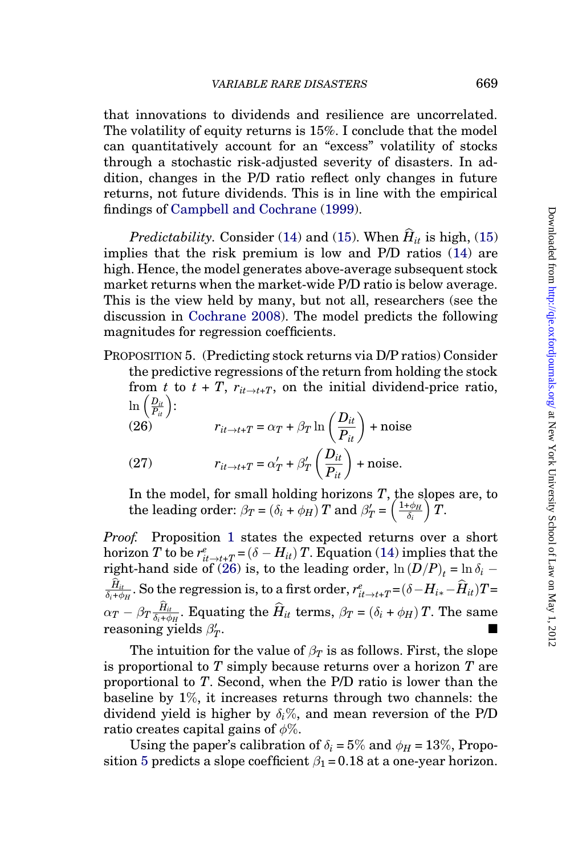<span id="page-24-0"></span>that innovations to dividends and resilience are uncorrelated. The volatility of equity returns is 15%. I conclude that the model can quantitatively account for an "excess" volatility of stocks through a stochastic risk-adjusted severity of disasters. In addition, changes in the P/D ratio reflect only changes in future returns, not future dividends. This is in line with the empirical findings of [Campbell and Cochrane](#page-53-0) [\(1999\)](#page-53-0).

*Predictability.* Consider [\(14\)](#page-12-0) and [\(15\)](#page-12-0). When  $H_{it}$  is high, [\(15](#page-12-0)) implies that the risk premium is low and P/D ratios [\(14](#page-12-0)) are high. Hence, the model generates above-average subsequent stock market returns when the market-wide P/D ratio is below average. This is the view held by many, but not all, researchers (see the discussion in [Cochrane 2008\)](#page-53-0). The model predicts the following magnitudes for regression coefficients.

PROPOSITION 5. (Predicting stock returns via D/P ratios) Consider the predictive regressions of the return from holding the stock from *t* to  $t + T$ ,  $r_{it \to t+T}$ , on the initial dividend-price ratio,  $\ln\left(\frac{D_{it}}{P_{it}}\right)$ : (26)  $r_{it \to t+T} = \alpha_T + \beta_T \ln\left(\frac{D_{it}}{P_{it}}\right) + \text{noise}$ (27)  $r_{it \to t+T} = \alpha'_T + \beta'_T \left(\frac{D_{it}}{P_{it}}\right) + \text{noise.}$ 

In the model, for small holding horizons *T*, the slopes are, to the leading order:  $\beta_T = (\delta_i + \phi_H)T$  and  $\beta'_T = \left(\frac{1+\phi_H}{\delta_i}\right)T$  $\int_{T}^{r}$ 

*Proof.* Proposition [1](#page-12-0) states the expected returns over a short horizon *T* to be  $r^e_{it \to t+T} = (\delta - H_{it})T$ . Equation [\(14\)](#page-12-0) implies that the right-hand side of (26) is, to the leading order,  $\ln(D/P)_t = \ln \delta_i$  −  $\frac{H_{it}}{\delta_i+\phi_H}.$  So the regression is, to a first order,  $r^e_{it\to t+T}$  = ( $\delta$   $-H_{i*}-\widehat{H}_{it}$ ) $T$  =  $\alpha_T - \beta_T \frac{H_{it}}{\delta_i + \phi_H}$ . Equating the  $\widehat{H}_{it}$  terms,  $\beta_T = (\delta_i + \phi_H)$  *T*. The same reasoning yields  $\beta'_T$ . *<sup>T</sup>*.

The intuition for the value of  $\beta_T$  is as follows. First, the slope is proportional to *T* simply because returns over a horizon *T* are proportional to *T*. Second, when the P/D ratio is lower than the baseline by 1%, it increases returns through two channels: the dividend yield is higher by δ*i*%, and mean reversion of the P/D ratio creates capital gains of  $\phi\%$ .

Using the paper's calibration of  $\delta_i = 5\%$  and  $\phi_H = 13\%$ , Proposition 5 predicts a slope coefficient  $\beta_1 = 0.18$  at a one-year horizon.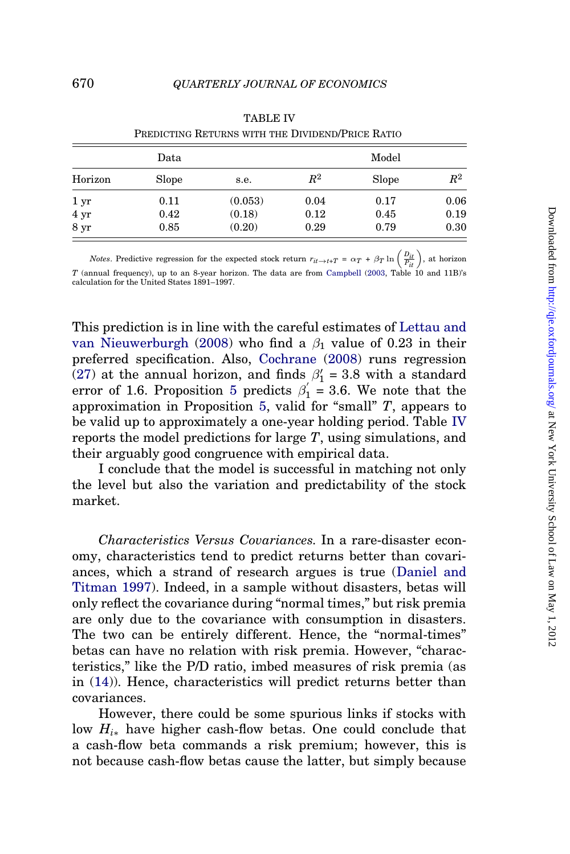<span id="page-25-0"></span>

| Data            |       | Model   |         |       |         |
|-----------------|-------|---------|---------|-------|---------|
| Horizon         | Slope | s.e.    | $\,R^2$ | Slope | $\,R^2$ |
| 1 <sub>yr</sub> | 0.11  | (0.053) | 0.04    | 0.17  | 0.06    |
| 4 yr            | 0.42  | (0.18)  | 0.12    | 0.45  | 0.19    |
| 8 yr            | 0.85  | (0.20)  | 0.29    | 0.79  | 0.30    |

TABLE IV PREDICTING RETURNS WITH THE DIVIDEND/PRICE RATIO

*Notes*. Predictive regression for the expected stock return  $r_{it\to t+T} = \alpha_T + \beta_T \ln\left(\frac{D_{it}}{P_{it}}\right)$ , at horizon *T* (annual frequency), up to an 8-year horizon. The data are from [Campbell](#page-53-0) [\(2003,](#page-53-0) Table 10 and 11B)'s calculation for the United States 1891–1997.

This prediction is in line with the careful estimates of [Lettau and](#page-55-0) [van Nieuwerburgh](#page-55-0) [\(2008](#page-55-0)) who find a  $\beta_1$  value of 0.23 in their preferred specification. Also, [Cochrane](#page-53-0) [\(2008\)](#page-53-0) runs regression [\(27](#page-24-0)) at the annual horizon, and finds  $\beta'_1 = 3.8$  with a standard error of 1.6. Proposition [5](#page-24-0) predicts  $\beta_1 = 3.6$ . We note that the approximation in Proposition [5,](#page-24-0) valid for "small" *T*, appears to be valid up to approximately a one-year holding period. Table IV reports the model predictions for large *T*, using simulations, and their arguably good congruence with empirical data.

I conclude that the model is successful in matching not only the level but also the variation and predictability of the stock market.

*Characteristics Versus Covariances.* In a rare-disaster economy, characteristics tend to predict returns better than covariances, which a strand of research argues is true ([Daniel and](#page-54-0) [Titman 1997\)](#page-54-0). Indeed, in a sample without disasters, betas will only reflect the covariance during "normal times,"but risk premia are only due to the covariance with consumption in disasters. The two can be entirely different. Hence, the "normal-times" betas can have no relation with risk premia. However, "characteristics," like the P/D ratio, imbed measures of risk premia (as in [\(14\)](#page-12-0)). Hence, characteristics will predict returns better than covariances.

However, there could be some spurious links if stocks with low *Hi*<sup>∗</sup> have higher cash-flow betas. One could conclude that a cash-flow beta commands a risk premium; however, this is not because cash-flow betas cause the latter, but simply because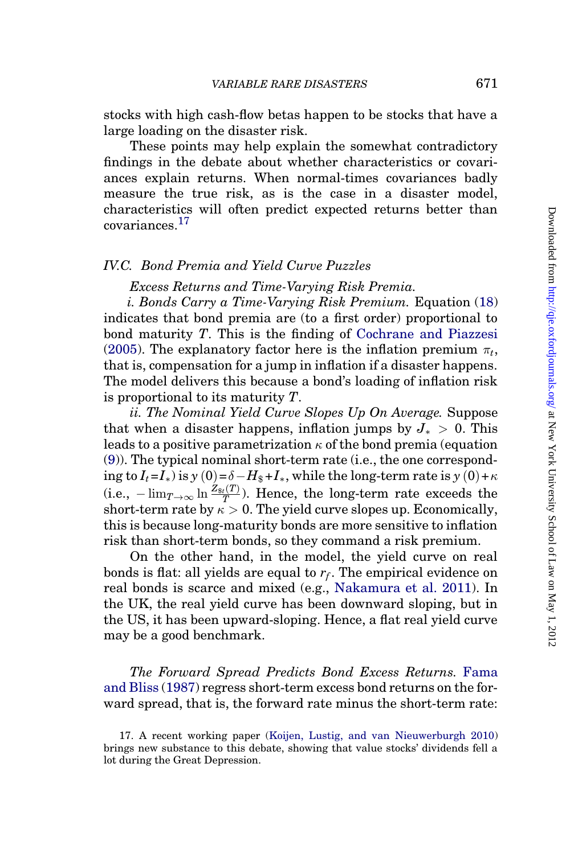<span id="page-26-0"></span>stocks with high cash-flow betas happen to be stocks that have a large loading on the disaster risk.

These points may help explain the somewhat contradictory findings in the debate about whether characteristics or covariances explain returns. When normal-times covariances badly measure the true risk, as is the case in a disaster model, characteristics will often predict expected returns better than covariances.<sup>17</sup>

## *IV.C. Bond Premia and Yield Curve Puzzles*

*Excess Returns and Time-Varying Risk Premia.*

*i. Bonds Carry a Time-Varying Risk Premium.* Equation [\(18](#page-13-0)) indicates that bond premia are (to a first order) proportional to bond maturity *T*. This is the finding of [Cochrane and Piazzesi](#page-53-0) [\(2005](#page-53-0)). The explanatory factor here is the inflation premium  $\pi_t$ , that is, compensation for a jumpin inflation if a disaster happens. The model delivers this because a bond's loading of inflation risk is proportional to its maturity *T*.

*ii. The Nominal Yield Curve Slopes Up On Average.* Suppose that when a disaster happens, inflation jumps by  $J_* > 0$ . This leads to a positive parametrization  $\kappa$  of the bond premia (equation [\(9\)](#page-10-0)). The typical nominal short-term rate (i.e., the one corresponding to  $I_t = I_*$ ) is  $y(0) = \delta - H_s + I_*$ , while the long-term rate is  $y(0) + \kappa$  $(i.e., -\lim_{T\to\infty} \ln \frac{Z_{\mathcal{S}_{\ell}}(T)}{T}$ . Hence, the long-term rate exceeds the short-term rate by  $\kappa > 0$ . The yield curve slopes up. Economically, this is because long-maturity bonds are more sensitive to inflation risk than short-term bonds, so they command a risk premium.

On the other hand, in the model, the yield curve on real bonds is flat: all yields are equal to  $r_f$ . The empirical evidence on real bonds is scarce and mixed (e.g., [Nakamura et al. 2011\)](#page-55-0). In the UK, the real yield curve has been downward sloping, but in the US, it has been upward-sloping. Hence, a flat real yield curve may be a good benchmark.

*The Forward Spread Predicts Bond Excess Returns.* [Fama](#page-54-0) and Bliss [\(1987\)](#page-54-0) regress short-term excess bond returns on the forward spread, that is, the forward rate minus the short-term rate:

<sup>17.</sup> A recent working paper [\(Koijen, Lustig, and van Nieuwerburgh 2010\)](#page-54-0) brings new substance to this debate, showing that value stocks' dividends fell a lot during the Great Depression.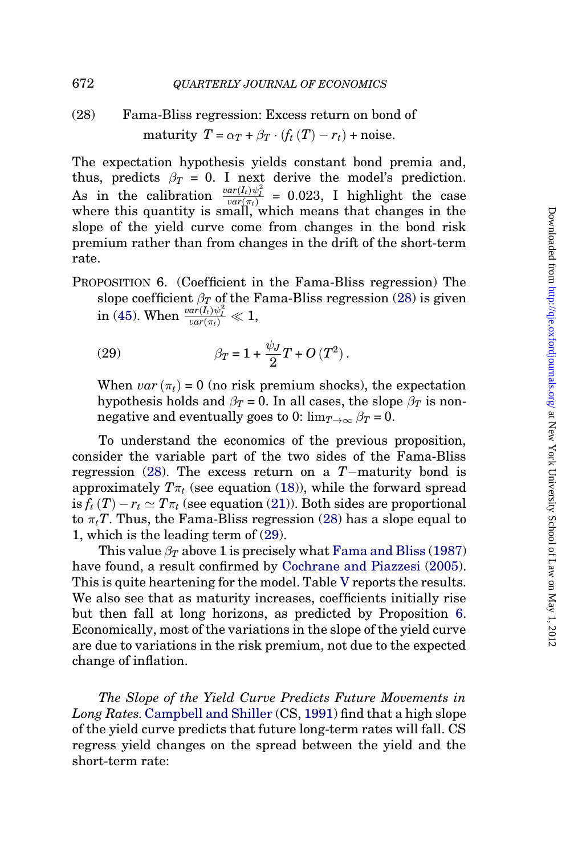# <span id="page-27-0"></span>(28) Fama-Bliss regression: Excess return on bond of maturity  $T = \alpha_T + \beta_T \cdot (f_t(T) - r_t) + \text{noise.}$

The expectation hypothesis yields constant bond premia and, thus, predicts  $\beta_T = 0$ . I next derive the model's prediction. As in the calibration  $\frac{var(I_t)\psi_I^2}{var(\pi_t)} = 0.023$ , I highlight the case where this quantity is small, which means that changes in the slope of the yield curve come from changes in the bond risk premium rather than from changes in the drift of the short-term rate.

PROPOSITION 6. (Coefficient in the Fama-Bliss regression) The slope coefficient  $\beta_T$  of the Fama-Bliss regression (28) is given in [\(45](#page-52-0)). When  $\frac{var(I_t)\psi_I^2}{var(\pi_t)} \ll 1$ ,

(29) 
$$
\beta_T = 1 + \frac{\psi_J}{2} T + O(T^2) .
$$

When  $var(\pi_t) = 0$  (no risk premium shocks), the expectation hypothesis holds and  $\beta_T = 0$ . In all cases, the slope  $\beta_T$  is nonnegative and eventually goes to 0:  $\lim_{T\to\infty} \beta_T = 0$ .

To understand the economics of the previous proposition, consider the variable part of the two sides of the Fama-Bliss regression (28). The excess return on a *T*−maturity bond is approximately  $T_{\pi_t}$  (see equation [\(18](#page-13-0))), while the forward spread is  $f_t(T) - r_t \simeq T\pi_t$  (see equation [\(21\)](#page-14-0)). Both sides are proportional to  $\pi_t T$ . Thus, the Fama-Bliss regression (28) has a slope equal to 1, which is the leading term of (29).

This value  $\beta_T$  above 1 is precisely what Fama and Bliss [\(1987](#page-54-0)) have found, a result confirmed by [Cochrane and Piazzesi](#page-53-0) [\(2005\)](#page-53-0). This is quite heartening for the model. Table [V](#page-28-0) reports the results. We also see that as maturity increases, coefficients initially rise but then fall at long horizons, as predicted by Proposition 6. Economically, most of the variations in the slope of the yield curve are due to variations in the risk premium, not due to the expected change of inflation.

*The Slope of the Yield Curve Predicts Future Movements in* Long Rates. Campbell and Shiller (CS, [1991\)](#page-53-0) find that a high slope of the yield curve predicts that future long-term rates will fall. CS regress yield changes on the spread between the yield and the short-term rate: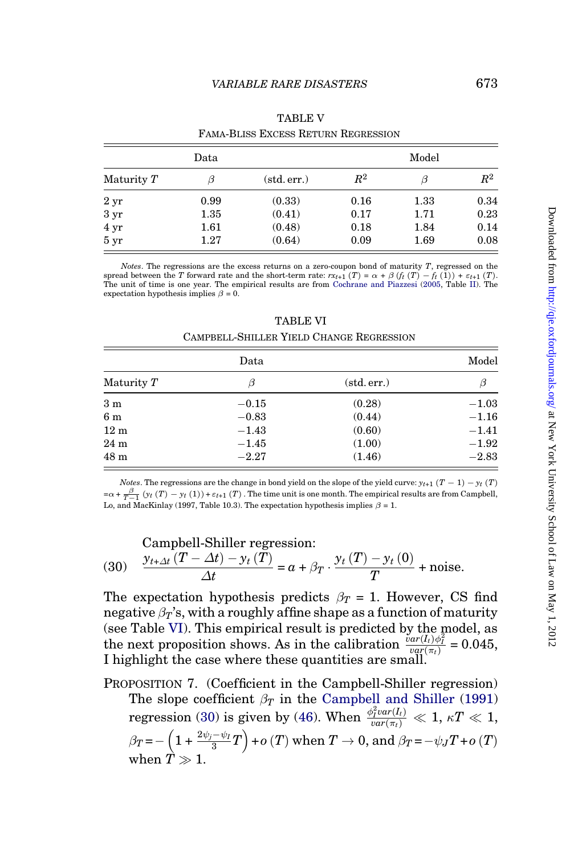<span id="page-28-0"></span>

| Data            |      | Model                             |       |      |       |
|-----------------|------|-----------------------------------|-------|------|-------|
| Maturity T      | Β    | $(\mathrm{std}.\, \mathrm{err.})$ | $R^2$ |      | $R^2$ |
| $2 \,\rm yr$    | 0.99 | (0.33)                            | 0.16  | 1.33 | 0.34  |
| $3 \mathrm{yr}$ | 1.35 | (0.41)                            | 0.17  | 1.71 | 0.23  |
| 4 yr            | 1.61 | (0.48)                            | 0.18  | 1.84 | 0.14  |
| 5 yr            | 1.27 | (0.64)                            | 0.09  | 1.69 | 0.08  |

TABLE V FAMA-BLISS EXCESS RETURN REGRESSION

*Notes*. The regressions are the excess returns on a zero-coupon bond of maturity *T*, regressed on the spread between the *T* forward rate and the short-term rate:  $r_{t+1}(T) = \alpha + \beta (f_t(T) - f_t(1)) + \varepsilon_{t+1}(T)$ . The unit of time is one year. The empirical results are from [Cochrane and Piazzesi](#page-53-0) [\(2005](#page-53-0), Table [II\)](#page-18-0). The expectation hypothesis implies  $\beta = 0$ .

|                 | Data    |             | Model   |
|-----------------|---------|-------------|---------|
| Maturity T      | β       | (std. err.) | β       |
| 3m              | $-0.15$ | (0.28)      | $-1.03$ |
| 6 <sub>m</sub>  | $-0.83$ | (0.44)      | $-1.16$ |
| 12 <sub>m</sub> | $-1.43$ | (0.60)      | $-1.41$ |
| $24 \text{ m}$  | $-1.45$ | (1.00)      | $-1.92$ |
| 48 m            | $-2.27$ | (1.46)      | $-2.83$ |

TABLE VI CAMPBELL-SHILLER YIELD CHANGE REGRESSION

*Notes*. The regressions are the change in bond yield on the slope of the yield curve:  $y_{t+1}$  (*T* − 1) −  $y_t$  (*T*)  $=\alpha + \frac{\beta}{T-1} (y_t(T) - y_t(1)) + \varepsilon_{t+1} (T)$ . The time unit is one month. The empirical results are from Campbell, Lo, and MacKinlay (1997, Table 10.3). The expectation hypothesis implies  $\beta = 1$ .

Campbell-Shiller regression:

$$
(30) \quad \frac{y_{t+\Delta t} (T - \Delta t) - y_t (T)}{\Delta t} = a + \beta_T \cdot \frac{y_t (T) - y_t (0)}{T} + \text{noise}.
$$

The expectation hypothesis predicts  $\beta_T = 1$ . However, CS find negative  $\beta_T$ 's, with a roughly affine shape as a function of maturity (see Table VI). This empirical result is predicted by the model, as the next proposition shows. As in the calibration  $\frac{var(I_t)\phi_I^2}{var(\pi_t)} = 0.045$ , I highlight the case where these quantities are small.

PROPOSITION 7. (Coefficient in the Campbell-Shiller regression) The slope coefficient  $\beta_T$  in the [Campbell and Shiller](#page-53-0) [\(1991](#page-53-0)) regression (30) is given by [\(46\)](#page-52-0). When  $\frac{\phi_f^2 var(I_t)}{var(\pi_t)} \ll 1$ ,  $\kappa T \ll 1$ ,  $\beta_T$  =  $\left(1 + \frac{2\psi_j - \psi_I}{3}T\right)$  +  $o$   $(T)$  when  $T \to 0$ , and  $\beta_T$  =  $-\psi_J T$  +  $o$   $(T)$ when  $\dot{T} \gg 1$ .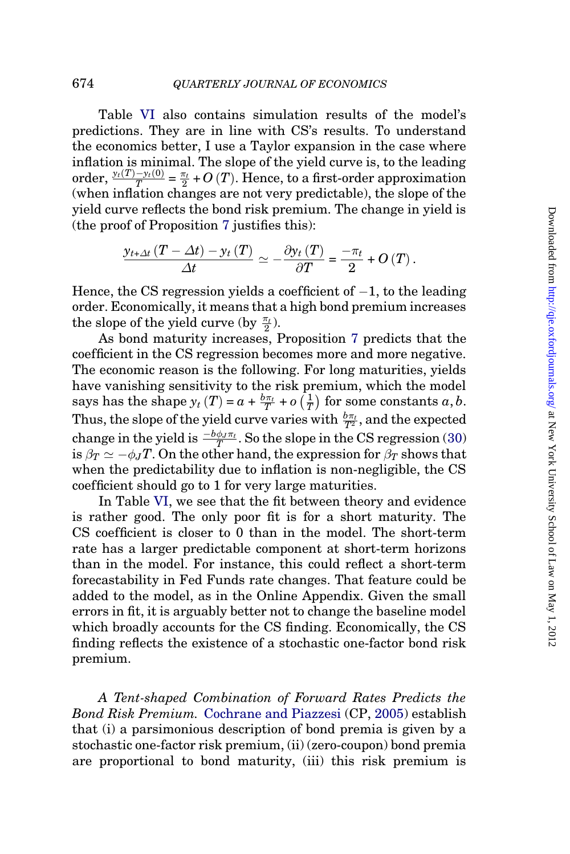Table [VI](#page-28-0) also contains simulation results of the model's predictions. They are in line with CS's results. To understand the economics better, I use a Taylor expansion in the case where inflation is minimal. The slope of the yield curve is, to the leading order,  $\frac{y_t(T)-y_t(0)}{T} = \frac{\pi_t}{2} + O(T)$ . Hence, to a first-order approximation (when inflation changes are not very predictable), the slope of the yield curve reflects the bond risk premium. The change in yield is (the proof of Proposition [7](#page-28-0) justifies this):

$$
\frac{y_{t+\Delta t} (T - \Delta t) - y_t (T)}{\Delta t} \simeq -\frac{\partial y_t (T)}{\partial T} = \frac{-\pi_t}{2} + O(T).
$$

Hence, the CS regression yields a coefficient of  $-1$ , to the leading order. Economically, it means that a high bond premium increases the slope of the yield curve (by  $\frac{\pi_t}{2}$ ).

As bond maturity increases, Proposition [7](#page-28-0) predicts that the coefficient in the CS regression becomes more and more negative. The economic reason is the following. For long maturities, yields have vanishing sensitivity to the risk premium, which the model says has the shape  $y_t(T) = a + \frac{b\pi_t}{T} + o\left(\frac{1}{T}\right)$  for some constants  $a, b$ . Thus, the slope of the yield curve varies with  $\frac{b\pi_t}{T^2}$ , and the expected change in the yield is  $\frac{-b\phi_J\pi_t}{T}$ . So the slope in the CS regression [\(30](#page-28-0)) is  $\beta_T \simeq -\phi_J T$ . On the other hand, the expression for  $\beta_T$  shows that when the predictability due to inflation is non-negligible, the CS coefficient should go to 1 for very large maturities.

In Table [VI,](#page-28-0) we see that the fit between theory and evidence is rather good. The only poor fit is for a short maturity. The CS coefficient is closer to 0 than in the model. The short-term rate has a larger predictable component at short-term horizons than in the model. For instance, this could reflect a short-term forecastability in Fed Funds rate changes. That feature could be added to the model, as in the Online Appendix. Given the small errors in fit, it is arguably better not to change the baseline model which broadly accounts for the CS finding. Economically, the CS finding reflects the existence of a stochastic one-factor bond risk premium.

*A Tent-shaped Combination of Forward Rates Predicts the Bond Risk Premium.* [Cochrane and Piazzesi](#page-53-0) (CP, [2005](#page-53-0)) establish that (i) a parsimonious description of bond premia is given by a stochastic one-factor risk premium, (ii) (zero-coupon) bond premia are proportional to bond maturity, (iii) this risk premium is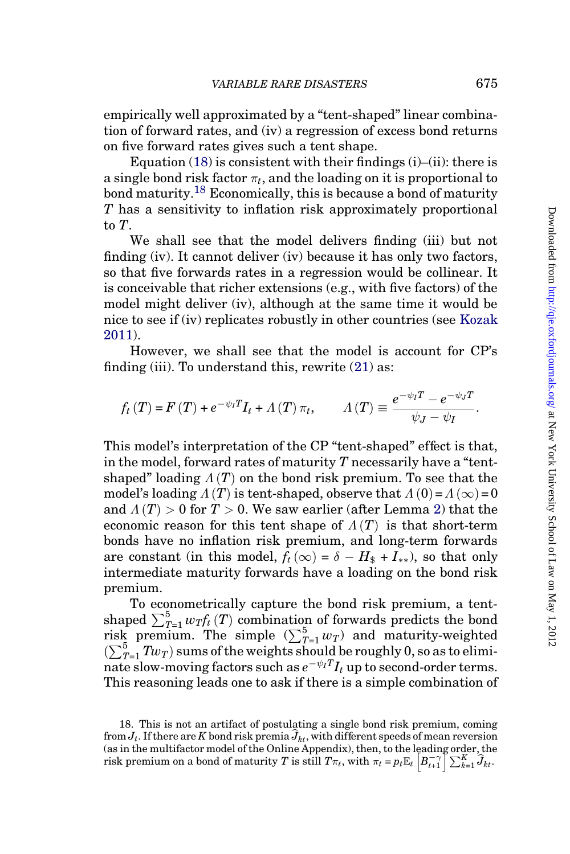empirically well approximated by a "tent-shaped" linear combination of forward rates, and (iv) a regression of excess bond returns on five forward rates gives such a tent shape.

Equation  $(18)$  is consistent with their findings  $(i)$ – $(ii)$ : there is a single bond risk factor  $\pi_t$ , and the loading on it is proportional to bond maturity.<sup>18</sup> Economically, this is because a bond of maturity *T* has a sensitivity to inflation risk approximately proportional to*T*.

We shall see that the model delivers finding (iii) but not finding (iv). It cannot deliver (iv) because it has only two factors, so that five forwards rates in a regression would be collinear. It is conceivable that richer extensions (e.g., with five factors) of the model might deliver (iv), although at the same time it would be nice to see if (iv) replicates robustly in other countries (see [Kozak](#page-55-0) [2011\)](#page-55-0).

However, we shall see that the model is account for CP's finding (iii). To understand this, rewrite  $(21)$  $(21)$  as:

$$
f_t(T) = F(T) + e^{-\psi_l T} I_t + \Lambda(T) \pi_t, \qquad \Lambda(T) \equiv \frac{e^{-\psi_l T} - e^{-\psi_l T}}{\psi_l - \psi_l}.
$$

This model's interpretation of the CP "tent-shaped" effect is that, in the model, forward rates of maturity T necessarily have a "tentshaped" loading  $\Lambda(T)$  on the bond risk premium. To see that the model's loading  $\Lambda(T)$  is tent-shaped, observe that  $\Lambda(0) = \Lambda(\infty) = 0$ and  $\Lambda(T) > 0$  for  $T > 0$ . We saw earlier (after Lemma [2](#page-14-0)) that the economic reason for this tent shape of  $\Lambda(T)$  is that short-term bonds have no inflation risk premium, and long-term forwards are constant (in this model,  $f_t(\infty) = \delta - H_{\$} + I_{**}$ ), so that only intermediate maturity forwards have a loading on the bond risk premium.

To econometrically capture the bond risk premium, a tentshaped  $\sum_{T=1}^{5} w_T f_t(T)$  combination of forwards predicts the bond risk premium. The simple  $(\sum_{T=1}^{5} w_T)$  and maturity-weighted  $(\sum_{T=1}^{5} Tw_T)$  sums of the weights should be roughly 0, so as to eliminate slow-moving factors such as  $e^{-\psi_l T} I_t$  up to second-order terms. This reasoning leads one to ask if there is a simple combination of

<sup>18.</sup> This is not an artifact of postulating a single bond risk premium, coming from  $J_t$ . If there are K bond risk premia  $J_{bt}$ , with different speeds of mean reversion (as inthemultifactormodel of theOnlineAppendix), then, totheleadingorder, the risk premium on a bond of maturity *T* is still  $T_{\pi}$ , with  $\pi_t = p_t \mathbb{E}_t \left[ B_{t+1}^{-\gamma} \right] \sum_{k=1}^K \hat{J}_{kt}$ .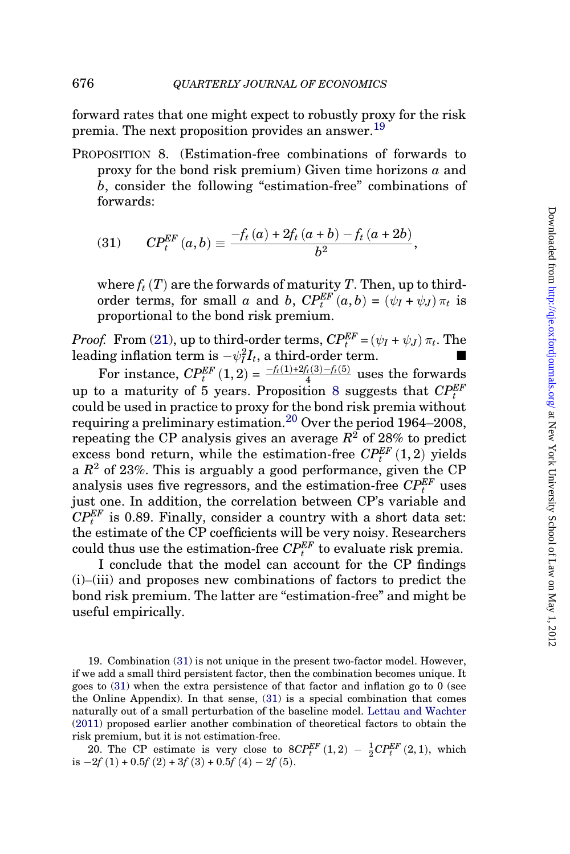# <span id="page-31-0"></span>forward rates that one might expect to robustly proxy for the risk PROPOSITION 8. (Estimation-free combinations of forwards to proxy for the bond risk premium) Given time horizons *a* and *b*, consider the following "estimation-free" combinations of

(31) 
$$
CP_t^{EF}(a,b) \equiv \frac{-f_t(a) + 2f_t(a+b) - f_t(a+2b)}{b^2},
$$

premia. The next proposition provides an answer.<sup>19</sup>

where  $f_t(T)$  are the forwards of maturity T. Then, up to thirdorder terms, for small *a* and *b*,  $CP_t^{EF}(a, b) = (\psi_I + \psi_J) \pi_t$  is proportional to the bond risk premium.

*Proof.* From [\(21\)](#page-14-0), up to third-order terms,  $CP_t^{EF} = (\psi_I + \psi_J) \pi_t$ . The leading inflation term is  $-\psi_I^2 I_t$ , a third-order term.

For instance,  $CP_{t}^{EF}(1, 2) = \frac{-f_{t}(1)+2f_{t}(3)-f_{t}(5)}{4}$  uses the forwards up to a maturity of 5 years. Proposition 8 suggests that *CPEF t* could be used in practice to proxy for the bond risk premia without requiring a preliminary estimation.<sup>20</sup> Over the period 1964–2008, repeating the CP analysis gives an average  $R^2$  of 28% to predict excess bond return, while the estimation-free  $CP_t^{EF}(1, 2)$  yields a  $R<sup>2</sup>$  of 23%. This is arguably a good performance, given the CP analysis uses five regressors, and the estimation-free  $CP^{EF}_{t}$  uses just one. In addition, the correlation between CP's variable and  $CP^{EF}_t$  is 0.89. Finally, consider a country with a short data set: the estimate of the CP coefficients will be very noisy. Researchers could thus use the estimation-free  $CP^{EF}_t$  to evaluate risk premia.

I conclude that the model can account for the CP findings (i)–(iii) and proposes new combinations of factors to predict the bond risk premium. The latter are "estimation-free" and might be useful empirically.

19. Combination (31) is not unique in the present two-factor model. However, if we add a small third persistent factor, then the combination becomes unique. It goes to (31) when the extra persistence of that factor and inflation go to 0 (see the Online Appendix). In that sense, (31) is a special combination that comes naturally out of a small perturbation of the baseline model. [Lettau and Wachter](#page-55-0) [\(2011](#page-55-0)) proposed earlier another combination of theoretical factors to obtain the risk premium, but it is not estimation-free.

20. The CP estimate is very close to  $8CP^{EF}_{t}(1,2) - \frac{1}{2}CP^{EF}_{t}(2,1)$ , which is  $-2f(1) + 0.5f(2) + 3f(3) + 0.5f(4) - 2f(5)$ .

forwards: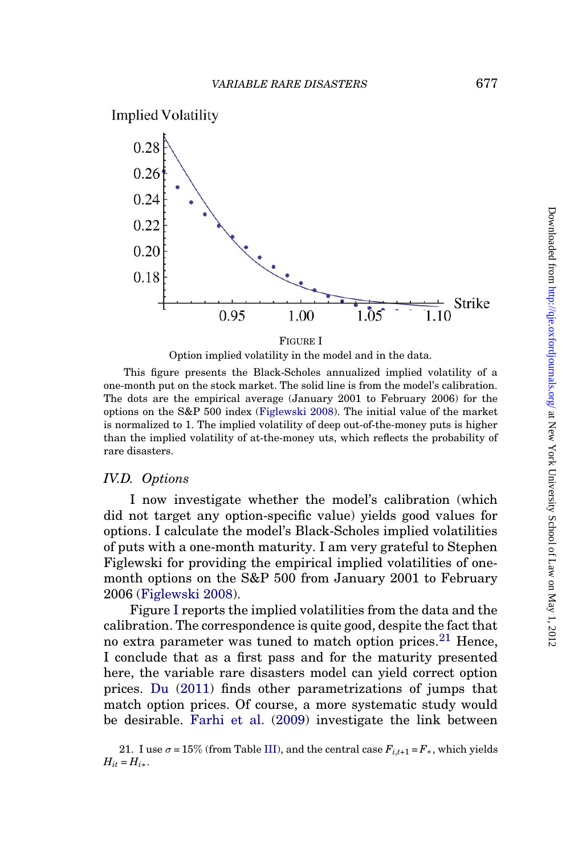<span id="page-32-0"></span>

Option implied volatility in the model and in the data.

This figure presents the Black-Scholes annualized implied volatility of a one-month put on the stock market. The solid line is from the model's calibration. The dots are the empirical average (January 2001 to February 2006) for the options on the S&P 500 index [\(Figlewski 2008\)](#page-54-0). The initial value of the market is normalized to 1. The implied volatility of deep out-of-the-money puts is higher than the implied volatility of at-the-money uts, which reflects the probability of rare disasters.

## *IV.D. Options*

I now investigate whether the model's calibration (which did not target any option-specific value) yields good values for options. I calculate the model's Black-Scholes implied volatilities of puts with a one-month maturity. I am very grateful to Stephen Figlewski for providing the empirical implied volatilities of onemonth options on the S&P 500 from January 2001 to February 2006 [\(Figlewski 2008\)](#page-54-0).

Figure I reports the implied volatilities from the data and the calibration. The correspondence is quite good, despite the fact that no extra parameter was tuned to match option prices.<sup>21</sup> Hence, I conclude that as a first pass and for the maturity presented here, the variable rare disasters model can yield correct option prices. [Du](#page-54-0) [\(2011\)](#page-54-0) finds other parametrizations of jumps that match option prices. Of course, a more systematic study would be desirable. [Farhi et al.](#page-54-0) [\(2009](#page-54-0)) investigate the link between

21. I use  $\sigma = 15\%$  (from Table [III\)](#page-23-0), and the central case  $F_{i,t+1} = F_*$ , which yields  $H_{it} = H_{i*}$ .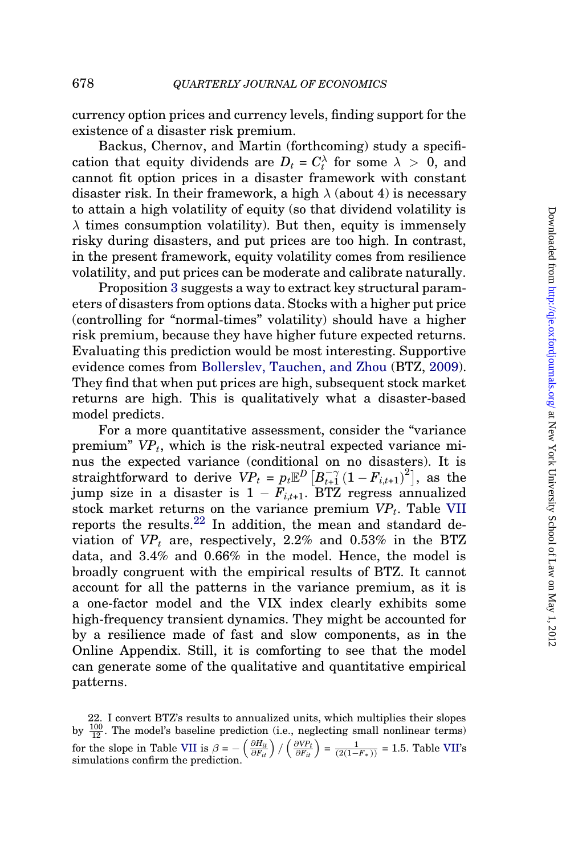currency option prices and currency levels, finding support for the existence of a disaster risk premium.

Backus, Chernov, and Martin (forthcoming) study a specification that equity dividends are  $D_t = C_t^{\lambda}$  for some  $\lambda > 0$ , and cannot fit option prices in a disaster framework with constant disaster risk. In their framework, a high  $\lambda$  (about 4) is necessary to attain a high volatility of equity (so that dividend volatility is  $\lambda$  times consumption volatility). But then, equity is immensely risky during disasters, and put prices are too high. In contrast, in the present framework, equity volatility comes from resilience volatility, and put prices can be moderate and calibrate naturally.

Proposition [3](#page-15-0) suggests a way to extract key structural parameters of disasters from options data. Stocks with a higher put price (controlling for "normal-times" volatility) should have a higher risk premium, because they have higher future expected returns. Evaluating this prediction would be most interesting. Supportive evidence comes from [Bollerslev, Tauchen, and Zhou](#page-53-0) (BTZ, [2009\)](#page-53-0). They find that when put prices are high, subsequent stock market returns are high. This is qualitatively what a disaster-based model predicts.

For a more quantitative assessment, consider the "variance premium"  $VP_t$ , which is the risk-neutral expected variance minus the expected variance (conditional on no disasters). It is straightforward to derive  $VP_t = p_t \mathbb{E}^D \left[ B_{t+1}^{-\gamma} \left(1 - F_{i,t+1}\right)^2 \right]$ , as the jump size in a disaster is  $1 - F_{i,t+1}$ . BTZ regress annualized stock market returns on the variance premium  $VP_t$ . Table [VII](#page-34-0) reports the results. $22$  In addition, the mean and standard deviation of  $VP_t$  are, respectively, 2.2% and 0.53% in the BTZ data, and 3.4% and 0.66% in the model. Hence, the model is broadly congruent with the empirical results of BTZ. It cannot account for all the patterns in the variance premium, as it is a one-factor model and the VIX index clearly exhibits some high-frequency transient dynamics. They might be accounted for by a resilience made of fast and slow components, as in the Online Appendix. Still, it is comforting to see that the model can generate some of the qualitative and quantitative empirical patterns.

22. I convert BTZ's results to annualized units, which multiplies their slopes by  $\frac{100}{12}$ . The model's baseline prediction (i.e., neglecting small nonlinear terms) for the slope in Table [VII](#page-34-0) is  $\beta = -\left(\frac{\partial H_{it}}{\partial F_{it}}\right) / \left(\frac{\partial V P_t}{\partial F_{it}}\right) = \frac{1}{(2(1 - F_*))} = 1.5$ . Table [VII'](#page-34-0)s simulations confirm the prediction.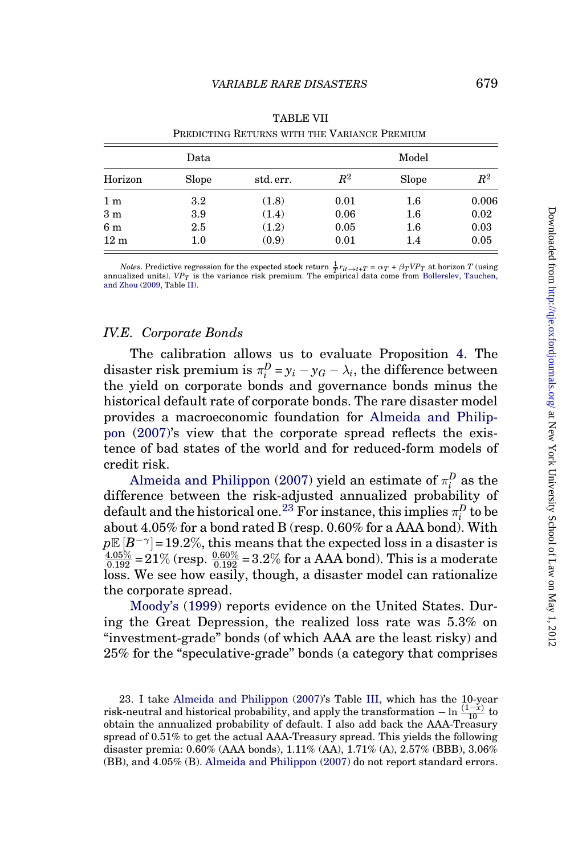<span id="page-34-0"></span>

| Data            |         | Model    |                |         |         |
|-----------------|---------|----------|----------------|---------|---------|
| Horizon         | Slope   | std.err. | $\mathbb{R}^2$ | Slope   | $\,R^2$ |
| 1 <sub>m</sub>  | $3.2\,$ | (1.8)    | 0.01           | $1.6\,$ | 0.006   |
| 3m              | 3.9     | (1.4)    | 0.06           | $1.6\,$ | 0.02    |
| 6 <sub>m</sub>  | 2.5     | (1.2)    | 0.05           | $1.6\,$ | 0.03    |
| 12 <sub>m</sub> | $1.0\,$ | (0.9)    | 0.01           | 1.4     | 0.05    |

TABLE VII PREDICTING RETURNS WITH THE VARIANCE PREMIUM

*Notes.* Predictive regression for the expected stock return  $\frac{1}{T}r_{it\rightarrow t+T} = \alpha_T + \beta_T VP_T$  at horizon T (using annualized units).  $VP_T$  is the variance risk premium. The empirical data come from [Bollerslev, Tauchen,](#page-53-0) [and Zhou](#page-53-0) [\(2009,](#page-53-0) Table [II\)](#page-18-0).

## *IV.E. Corporate Bonds*

The calibration allows us to evaluate Proposition [4.](#page-16-0) The disaster risk premium is  $\pi_i^D = y_i - y_G - \lambda_i$ , the difference between the yield on corporate bonds and governance bonds minus the historical default rate of corporate bonds. The rare disaster model provides a macroeconomic foundation for [Almeida and Philip](#page-52-0)[pon](#page-52-0) [\(2007](#page-52-0))'s view that the corporate spread reflects the existence of bad states of the world and for reduced-form models of credit risk.

[Almeida and Philippon](#page-52-0) [\(2007\)](#page-52-0) yield an estimate of  $\pi_i^D$  as the difference between the risk-adjusted annualized probability of default and the historical one.<sup>23</sup> For instance, this implies  $\pi^D_i$  to be about  $4.05\%$  for a bond rated B (resp.  $0.60\%$  for a AAA bond). With  $p \mathbb{E}[B^{-\gamma}]$ =19.2%, this means that the expected loss in a disaster is  $\frac{4.05\%}{0.192}$  = 21% (resp.  $\frac{0.60\%}{0.192}$  = 3.2% for a AAA bond). This is a moderate loss. We see how easily, though, a disaster model can rationalize the corporate spread.

[Moody's](#page-55-0) [\(1999\)](#page-55-0) reports evidence on the United States. During the Great Depression, the realized loss rate was 5.3% on "investment-grade" bonds (of which AAA are the least risky) and 25% for the "speculative-grade" bonds (a category that comprises

23. I take [Almeida and Philippon](#page-52-0) [\(2007](#page-52-0))'s Table [III,](#page-23-0) which has the 10-year risk-neutral and historical probability, and apply the transformation  $-\ln\frac{(1-x)}{10}$  to obtain the annualized probability of default. I also add back the AAA-Treasury spread of 0.51% to get the actual AAA-Treasury spread. This yields the following disaster premia: 0.60% (AAA bonds), 1.11% (AA), 1.71% (A), 2.57% (BBB), 3.06% (BB), and 4.05% (B). [Almeida and Philippon](#page-52-0) [\(2007\)](#page-52-0) do not report standard errors.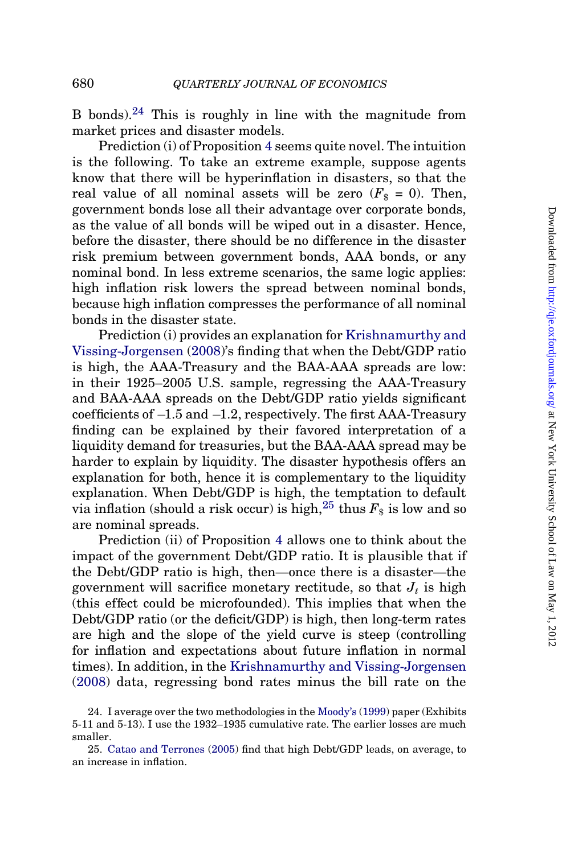B bonds). $24$  This is roughly in line with the magnitude from market prices and disaster models.

Prediction (i) of Proposition [4](#page-16-0) seems quite novel. The intuition is the following. To take an extreme example, suppose agents know that there will be hyperinflation in disasters, so that the real value of all nominal assets will be zero  $(F<sub>s</sub> = 0)$ . Then, government bonds lose all their advantage over corporate bonds, as the value of all bonds will be wiped out in a disaster. Hence, before the disaster, there should be no difference in the disaster risk premium between government bonds, AAA bonds, or any nominal bond. In less extreme scenarios, the same logic applies: high inflation risk lowers the spread between nominal bonds, because high inflation compresses the performance of all nominal bonds in the disaster state.

Prediction (i) provides an explanation for Krishnamurthy and [Vissing-Jorgensen](#page-55-0) [\(2008](#page-55-0))'s finding that when the Debt/GDP ratio is high, the AAA-Treasury and the BAA-AAA spreads are low: in their 1925–2005 U.S. sample, regressing the AAA-Treasury and BAA-AAA spreads on the Debt/GDP ratio yields significant coefficients of −1.5 and−1.2, respectively. The first AAA-Treasury finding can be explained by their favored interpretation of a liquidity demand for treasuries, but the BAA-AAA spread may be harder to explain by liquidity. The disaster hypothesis offers an explanation for both, hence it is complementary to the liquidity explanation. When Debt/GDP is high, the temptation to default via inflation (should a risk occur) is high,  $^{25}$  thus  $F_{\rm s}$  is low and so are nominal spreads.

Prediction (ii) of Proposition [4](#page-16-0) allows one to think about the impact of the government Debt/GDP ratio. It is plausible that if the Debt/GDP ratio is high, then—once there is a disaster—the government will sacrifice monetary rectitude, so that  $J_t$  is high (this effect could be microfounded). This implies that when the Debt/GDP ratio (or the deficit/GDP) is high, then long-term rates are high and the slope of the yield curve is steep (controlling for inflation and expectations about future inflation in normal times). In addition, in the [Krishnamurthy and Vissing-Jorgensen](#page-55-0) [\(2008](#page-55-0)) data, regressing bond rates minus the bill rate on the

<sup>24.</sup> I average over the twomethodologies in the [Moody's](#page-55-0) [\(1999\)](#page-55-0) paper (Exhibits 5-11 and 5-13). I use the 1932–1935 cumulative rate. The earlier losses are much smaller.

<sup>25.</sup> [Catao and Terrones](#page-53-0) [\(2005](#page-53-0)) find that high Debt/GDP leads, on average, to an increase in inflation.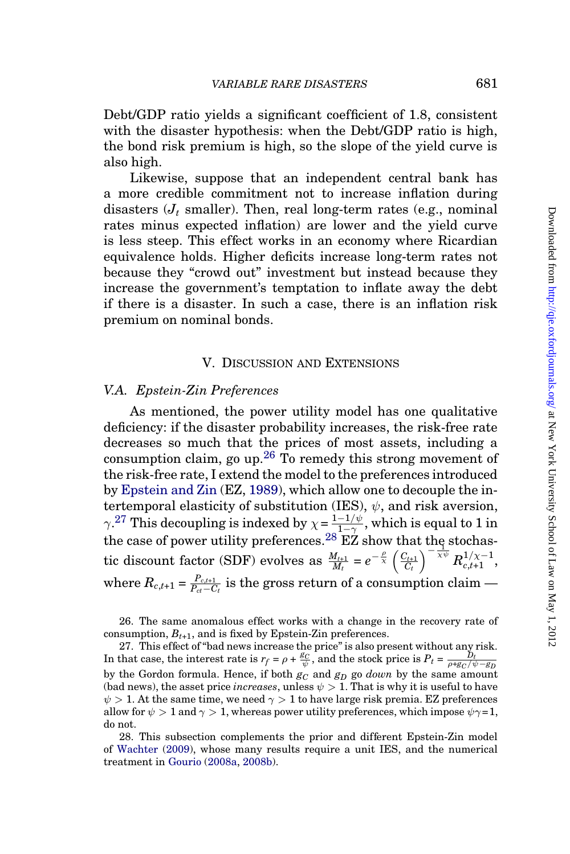<span id="page-36-0"></span>Debt/GDP ratio yields a significant coefficient of 1.8, consistent with the disaster hypothesis: when the Debt/GDP ratio is high, the bond risk premium is high, so the slope of the yield curve is also high.

Likewise, suppose that an independent central bank has a more credible commitment not to increase inflation during disasters  $(J_t$  smaller). Then, real long-term rates (e.g., nominal rates minus expected inflation) are lower and the yield curve is less steep. This effect works in an economy where Ricardian equivalence holds. Higher deficits increase long-term rates not because they "crowd out" investment but instead because they increase the government's temptation to inflate away the debt if there is a disaster. In such a case, there is an inflation risk premium on nominal bonds.

## V. DISCUSSION AND EXTENSIONS

### *V.A. Epstein-Zin Preferences*

As mentioned, the power utility model has one qualitative deficiency: if the disaster probability increases, the risk-free rate decreases so much that the prices of most assets, including a consumption claim, go up.<sup>26</sup> To remedy this strong movement of the risk-free rate, I extend the model to the preferences introduced by Epstein and Zin (EZ, [1989\)](#page-54-0), which allow one to decouple the intertemporal elasticity of substitution (IES),  $\psi$ , and risk aversion,  $\gamma$ <sup>27</sup> This decoupling is indexed by  $\chi = \frac{1-1/\psi}{2^2}$ , which is equal to 1 in the case of power utility preferences.<sup>28</sup> EZ show that the stochastic discount factor (SDF) evolves as  $\frac{M_{t+1}}{M_t} = e^{-\frac{\rho}{\chi}} \left( \frac{C_{t+1}}{C_t} \right)$  $\int_{-\frac{x\psi}{}}^{\frac{-x\psi}{}} R^{1/\chi-1}_{c,t+1},$ where  $R_{c,t+1} = \frac{P_{c,t+1}}{P_{ct}-C_t}$  is the gross return of a consumption claim —

26. The same anomalous effect works with a change in the recovery rate of consumption,  $B_{t+1}$ , and is fixed by Epstein-Zin preferences.

27. This effect of "bad news increase the price" is also present without any risk. In that case, the interest rate is  $r_f = \rho + \frac{g_C}{\psi}$ , and the stock price is  $P_t = \frac{\tilde{D}_t}{\rho + g_C/\psi - g_D}$ by the Gordon formula. Hence, if both  $g_C$  and  $g_D$  go *down* by the same amount (bad news), the asset price  $increases,$  unless  $\psi>1.$  That is why it is useful to have  $\psi > 1$ . At the same time, we need  $\gamma > 1$  to have large risk premia. EZ preferences allow for  $\psi > 1$  and  $\gamma > 1$ , whereas power utility preferences, which impose  $\psi \gamma = 1$ , do not.

28. This subsection complements the prior and different Epstein-Zin model of [Wachter](#page-55-0) [\(2009\)](#page-55-0), whose many results require a unit IES, and the numerical treatment in [Gourio](#page-54-0) [\(2008a,](#page-54-0) [2008b\)](#page-54-0).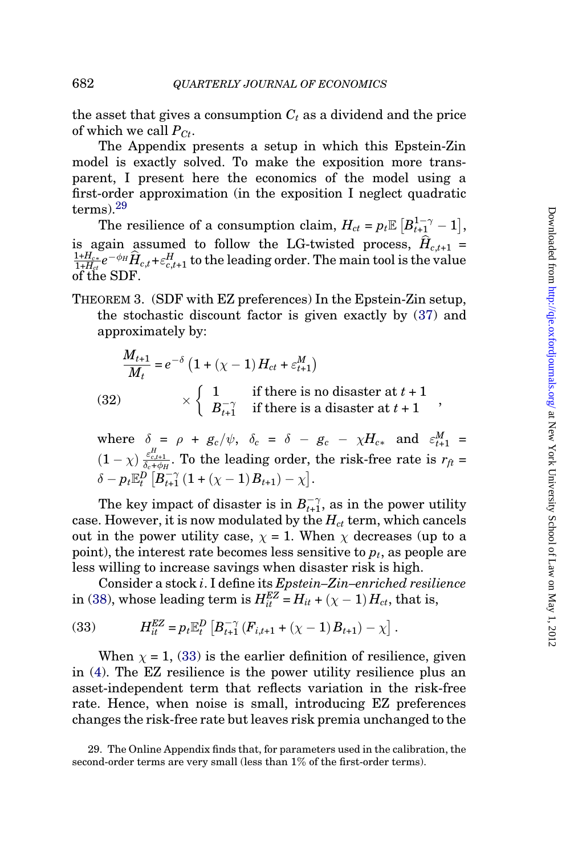the asset that gives a consumption  $C_t$  as a dividend and the price of which we call  $P_{C_t}$ .

The Appendix presents a setup in which this Epstein-Zin model is exactly solved. To make the exposition more transparent, I present here the economics of the model using a first-order approximation (in the exposition I neglect quadratic terms).<sup>29</sup>

The resilience of a consumption claim,  $H_{ct} = p_t \mathbb{E} \left[ B_{t+1}^{1-\gamma} - 1 \right]$ , is again assumed to follow the LG-twisted process,  $H_{c,t+1} = \frac{1+H_{c*}}{1+H_{ct}} e^{-\phi_H} \hat{H}_{c,t} + \varepsilon_{c,t+1}^H$  to the leading order. The main tool is the value of the SDF.

THEOREM 3. (SDF with EZ preferences) In the Epstein-Zin setup, the stochastic discount factor is given exactly by [\(37](#page-47-0)) and approximately by:

$$
\frac{M_{t+1}}{M_t} = e^{-\delta} \left( 1 + (\chi - 1) H_{ct} + \varepsilon_{t+1}^M \right)
$$
  
(32) 
$$
\times \begin{cases} 1 & \text{if there is no disaster at } t+1 \\ B_{t+1}^{-\gamma} & \text{if there is a disaster at } t+1 \end{cases}
$$

where  $\delta_{\nu} = \rho + g_c/\psi$ ,  $\delta_c = \delta - g_c - \chi H_{c*}$  and  $\varepsilon_{t+1}^M$  $(1 - \chi) \frac{\varepsilon_{c,t+1}^H}{\delta_c + \phi_H}$ . To the leading order, the risk-free rate is  $r_{ft}$  =  $\delta - p_t \mathbb{E}_t^D \left[ B_{t+1}^{-\gamma} \left( 1 + (\chi - 1) B_{t+1} \right) - \chi \right].$ 

The key impact of disaster is in  $B_{t+1}^{-\gamma}$ , as in the power utility case. However, it is now modulated by the  $H_{ct}$  term, which cancels out in the power utility case,  $\chi = 1$ . When  $\chi$  decreases (up to a point), the interest rate becomes less sensitive to  $p_t$ , as people are less willing to increase savings when disaster risk is high.

Considera stock*i*. I defineits *Epstein–Zin–enriched resilience* in [\(38](#page-47-0)), whose leading term is  $H_{it}^{EZ} = H_{it} + (\chi - 1) H_{ct}$ , that is,

(33) 
$$
H_{it}^{EZ} = p_t \mathbb{E}_t^D \left[ B_{t+1}^{-\gamma} \left( F_{i,t+1} + (\chi - 1) B_{t+1} \right) - \chi \right].
$$

When  $\chi$  = 1, (33) is the earlier definition of resilience, given in [\(4\)](#page-7-0). The EZ resilience is the power utility resilience plus an asset-independent term that reflects variation in the risk-free rate. Hence, when noise is small, introducing EZ preferences changes the risk-free rate but leaves risk premia unchanged to the

<span id="page-37-0"></span>

<sup>29.</sup> The Online Appendix finds that, for parameters used in the calibration, the second-order terms are very small (less than 1% of the first-order terms).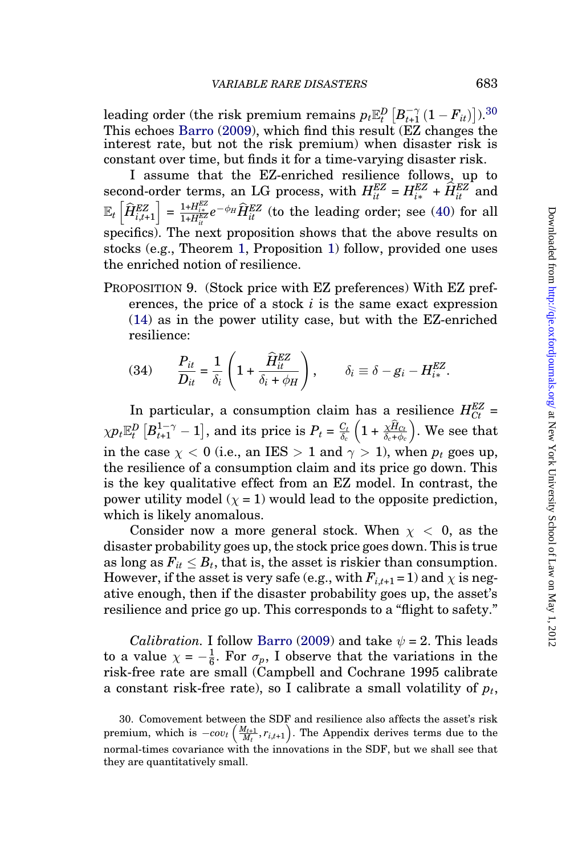<span id="page-38-0"></span>leading order (the risk premium remains  $p_t \mathbb{E}_t^D \left[ B_{t+1}^{-\gamma} \left( 1 - F_{it} \right) \right]$ ).<sup>30</sup> This echoes [Barro](#page-53-0) [\(2009\)](#page-53-0), which find this result (EZ changes the interest rate, but not the risk premium) when disaster risk is constant over time, but finds it for a time-varying disaster risk.

I assume that the EZ-enriched resilience follows, up to second-order terms, an LG process, with  $H_{it}^{EZ} = H_{i*}^{EZ} + \hat{H}_{it}^{EZ}$  and  $\mathbb{E}_t\left[\hat{H}_{i,t+1}^{EZ}\right] = \frac{1+H_{i*}^{EZ}}{1+H_{ii}^{EZ}}e^{-\phi_H}\hat{H}_{ii}^{EZ}$  (to the leading order; see [\(40](#page-48-0)) for all specifics). The next proposition shows that the above results on stocks (e.g., Theorem [1,](#page-11-0) Proposition [1\)](#page-12-0) follow, provided one uses the enriched notion of resilience.

PROPOSITION 9. (Stock price with EZ preferences) With EZ preferences, the price of a stock *i* is the same exact expression [\(14](#page-12-0)) as in the power utility case, but with the EZ-enriched resilience:

(34) 
$$
\frac{P_{it}}{D_{it}} = \frac{1}{\delta_i} \left( 1 + \frac{\widehat{H}_{it}^{EZ}}{\delta_i + \phi_H} \right), \qquad \delta_i \equiv \delta - g_i - H_{i*}^{EZ}.
$$

In particular, a consumption claim has a resilience  $H_{Ct}^{EZ}$  =  $\chi p_t \mathbb{E}^D_t \left[ B^{1-\gamma}_{t+1} - 1 \right]$ , and its price is  $P_t = \frac{C_t}{\delta_c}$  $\left(1 + \frac{\chi \widehat{H}_{Ct}}{\delta_c + \phi_c}\right)$  . We see that in the case  $\chi$  < 0 (i.e., an IES > 1 and  $\gamma$  > 1), when  $p_t$  goes up, the resilience of a consumption claim and its price go down. This is the key qualitative effect from an EZ model. In contrast, the power utility model  $(y = 1)$  would lead to the opposite prediction, which is likely anomalous.

Consider now a more general stock. When  $\chi$  < 0, as the disaster probability goes up, the stock price goes down. This is true as long as  $F_{it} \leq B_t$ , that is, the asset is riskier than consumption. However, if the asset is very safe (e.g., with  $F_{i,t+1} = 1$ ) and  $\chi$  is negative enough, then if the disaster probability goes up, the asset's resilience and price go up. This corresponds to a "flight to safety."

*Calibration.* I follow [Barro](#page-53-0) [\(2009](#page-53-0)) and take  $\psi = 2$ . This leads to a value  $\chi = -\frac{1}{6}$ . For  $\sigma_p$ , I observe that the variations in the risk-free rate are small (Campbell and Cochrane 1995 calibrate a constant risk-free rate), so I calibrate a small volatility of *pt*,

30. Comovement between the SDF and resilience also affects the asset's risk premium, which is  $-cov_t\left(\frac{M_{t+1}}{M_t}, r_{i,t+1}\right)$ . The Appendix derives terms due to the normal-times covariance with the innovations in the SDF, but we shall see that they are quantitatively small.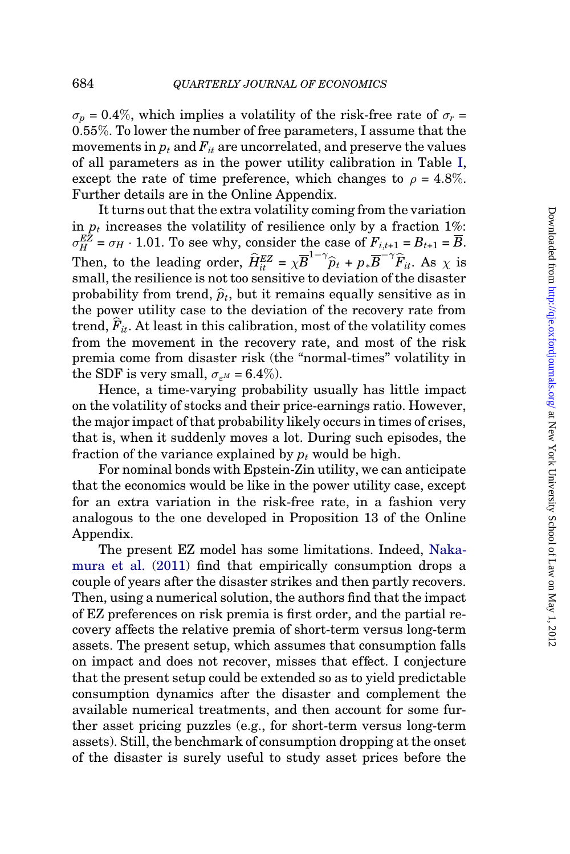$\sigma_p = 0.4\%$ , which implies a volatility of the risk-free rate of  $\sigma_r =$ 0.55%. Tolower the number of free parameters, I assume that the movements in  $p_t$  and  $F_{it}$  are uncorrelated, and preserve the values of all parameters as in the power utility calibration in Table [I,](#page-17-0) except the rate of time preference, which changes to  $\rho = 4.8\%$ . Further details are in the Online Appendix.

It turns out that the extra volatility coming from the variation in  $p_t$  increases the volatility of resilience only by a fraction 1%:  $\sigma_H^{EZ} = \sigma_H \cdot 1.01$ . To see why, consider the case of  $F_{i,t+1} = B_{t+1} = \overline{B}$ . Then, to the leading order,  $\widehat{H}_{it}^{EZ} = \chi \overline{B}^{1-\gamma} \widehat{p}_t + p_* \overline{B}^{-\gamma} \widehat{F}_{it}$ . As  $\chi$  is small, the resilience is not too sensitive to deviation of the disaster probability from trend,  $\hat{p}_t$ , but it remains equally sensitive as in the power utility case to the deviation of the recovery rate from trend,  $\ddot{F}_{it}$ . At least in this calibration, most of the volatility comes from the movement in the recovery rate, and most of the risk premia come from disaster risk (the "normal-times" volatility in the SDF is very small,  $\sigma_{\epsilon M} = 6.4\%$ ).

Hence, a time-varying probability usually has little impact on the volatility of stocks and their price-earnings ratio. However, the major impact of that probability likely occurs in times of crises, that is, when it suddenly moves a lot. During such episodes, the fraction of the variance explained by  $p_t$  would be high.

For nominal bonds with Epstein-Zin utility, we can anticipate that the economics would be like in the power utility case, except for an extra variation in the risk-free rate, in a fashion very analogous to the one developed in Proposition 13 of the Online Appendix.

The present EZ model has some limitations. Indeed, [Naka](#page-55-0)[mura et al.](#page-55-0) [\(2011\)](#page-55-0) find that empirically consumption drops a couple of years after the disaster strikes and then partly recovers. Then, using a numerical solution, the authors find that the impact of EZ preferences on risk premia is first order, and the partial recovery affects the relative premia of short-term versus long-term assets. The present setup, which assumes that consumption falls on impact and does not recover, misses that effect. I conjecture that the present setup could be extended so as to yield predictable consumption dynamics after the disaster and complement the available numerical treatments, and then account for some further asset pricing puzzles (e.g., for short-term versus long-term assets). Still, the benchmark of consumption dropping at the onset of the disaster is surely useful to study asset prices before the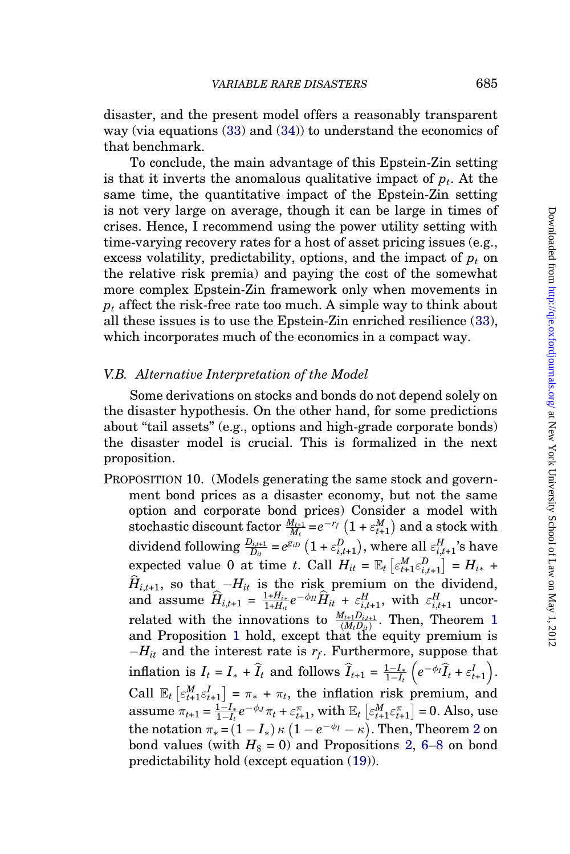<span id="page-40-0"></span>disaster, and the present model offers a reasonably transparent way (via equations [\(33\)](#page-37-0) and [\(34\)](#page-38-0)) to understand the economics of that benchmark.

To conclude, the main advantage of this Epstein-Zin setting is that it inverts the anomalous qualitative impact of *pt*. At the same time, the quantitative impact of the Epstein-Zin setting is not very large on average, though it can be large in times of crises. Hence, I recommend using the power utility setting with time-varying recovery rates for a host of asset pricing issues (e.g., excess volatility, predictability, options, and the impact of  $p_t$  on the relative risk premia) and paying the cost of the somewhat more complex Epstein-Zin framework only when movements in  $p_t$  affect the risk-free rate too much. A simple way to think about all these issues is to use the Epstein-Zin enriched resilience [\(33\)](#page-37-0), which incorporates much of the economics in a compact way.

## *V.B. Alternative Interpretation of the Model*

Some derivations on stocks and bonds do not depend solely on the disaster hypothesis. On the other hand, for some predictions about "tail assets" (e.g., options and high-grade corporate bonds) the disaster model is crucial. This is formalized in the next proposition.

PROPOSITION 10. (Models generating the same stock and government bond prices as a disaster economy, but not the same option and corporate bond prices) Consider a model with stochastic discount factor  $\frac{M_{t+1}}{M_t} = e^{-r_f} \left(1 + \varepsilon_{t+1}^M \right)$  and a stock with dividend following  $\frac{D_{i,t+1}}{D_{it}} = e^{g_{iD}} \left(1 + \varepsilon_{i,t+1}^D\right)$ , where all  $\varepsilon_{i,t+1}^H$ 's have expected value 0 at time *t*. Call  $H_{it} = \mathbb{E}_t \left[ \varepsilon_{t+1}^M \varepsilon_{i,t+1}^D \right] = H_{i*} +$  $\hat{H}_{i,t+1}$ , so that  $-H_{it}$  is the risk premium on the dividend, and assume  $\hat{H}_{i,t+1} = \frac{1+H_{i*}}{1+H_{it}} e^{-\phi_H} \hat{H}_{it} + \varepsilon_{i,t+1}^H$ , with  $\varepsilon_{i,t+1}^H$  uncorrelated with the innovations to  $\frac{M_{t+1}D_{i,t+1}}{(M_tD_{it})}$  $\frac{M_{t+1}D_{i,t+1}}{(M_tD_{it})}$  $\frac{M_{t+1}D_{i,t+1}}{(M_tD_{it})}$ . Then, Theorem 1 and Proposition [1](#page-12-0) hold, except that the equity premium is  $-H_{it}$  and the interest rate is  $r_f$ . Furthermore, suppose that inflation is  $I_t = I_* + \hat{I}_t$  and follows  $\hat{I}_{t+1} = \frac{1-I_*}{1-I_t}$  $\left(e^{-\phi_I} \hat{I}_t + \varepsilon_{t+1}^I\right)$ . Call  $\mathbb{E}_t \left[ \varepsilon_{t+1}^M \varepsilon_{t+1}^I \right] = \pi_* + \pi_t$ , the inflation risk premium, and assume  $\pi_{t+1} = \frac{1 - I_*}{1 - I_t} e^{-\phi_J} \pi_t + \varepsilon_{t+1}^\pi$ , with  $\mathbb{E}_t \left[ \varepsilon_{t+1}^M \varepsilon_{t+1}^\pi \right] = 0$ . Also, use the notation  $\pi_* = (1 - I_*) \kappa (1 - e^{-\phi_I} - \kappa)$ . Then, Theorem [2](#page-13-0) on bond values (with  $H_{\$} = 0$ ) and Propositions [2,](#page-13-0) [6–](#page-27-0)[8](#page-31-0) on bond predictability hold (except equation [\(19\)](#page-13-0)).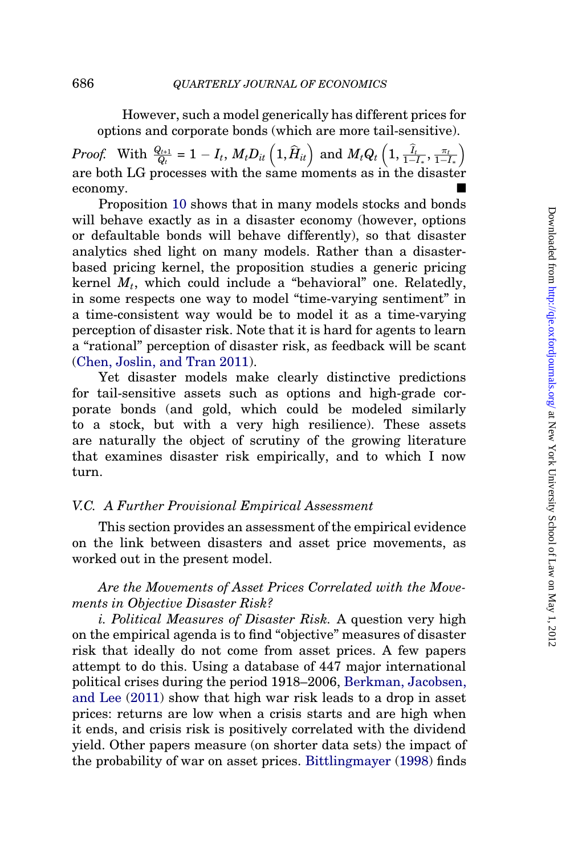<span id="page-41-0"></span>However, such a model generically has different prices for options and corporate bonds (which are more tail-sensitive).

*Proof.* With  $\frac{Q_{t+1}}{Q_t} = 1 - I_t$ ,  $M_t D_{it} \left( 1, \hat{H}_{it} \right)$  and  $M_t Q_t \left( 1, \frac{\hat{I}_t}{1 - I_*}, \frac{\pi_t}{1 - I_*} \right)$  $\overline{\phantom{0}}$ are both LG processes with the same moments as in the disaster economy.

Proposition [10](#page-40-0) shows that in many models stocks and bonds will behave exactly as in a disaster economy (however, options or defaultable bonds will behave differently), so that disaster analytics shed light on many models. Rather than a disasterbased pricing kernel, the proposition studies a generic pricing kernel *Mt*, which could include a "behavioral" one. Relatedly, in some respects one way to model "time-varying sentiment" in a time-consistent way would be to model it as a time-varying perception of disaster risk. Note that it is hard for agents to learn a "rational" perception of disaster risk, as feedback will be scant [\(Chen, Joslin, and Tran 2011\)](#page-53-0).

Yet disaster models make clearly distinctive predictions for tail-sensitive assets such as options and high-grade corporate bonds (and gold, which could be modeled similarly to a stock, but with a very high resilience). These assets are naturally the object of scrutiny of the growing literature that examines disaster risk empirically, and to which I now turn.

# *V.C. A Further Provisional Empirical Assessment*

This section provides an assessment of the empirical evidence on the link between disasters and asset price movements, as worked out in the present model.

# *Are the Movements of Asset Prices Correlated with the Movements in Objective Disaster Risk?*

*i. Political Measures of Disaster Risk.* A question very high on the empirical agenda is tofind "objective" measures of disaster risk that ideally do not come from asset prices. A few papers attempt to do this. Using a database of 447 major international political crises during the period 1918–2006, [Berkman, Jacobsen,](#page-53-0) [and Lee](#page-53-0) [\(2011](#page-53-0)) show that high war risk leads to a drop in asset prices: returns are low when a crisis starts and are high when it ends, and crisis risk is positively correlated with the dividend yield. Other papers measure (on shorter data sets) the impact of the probability of war on asset prices. [Bittlingmayer](#page-53-0) [\(1998\)](#page-53-0) finds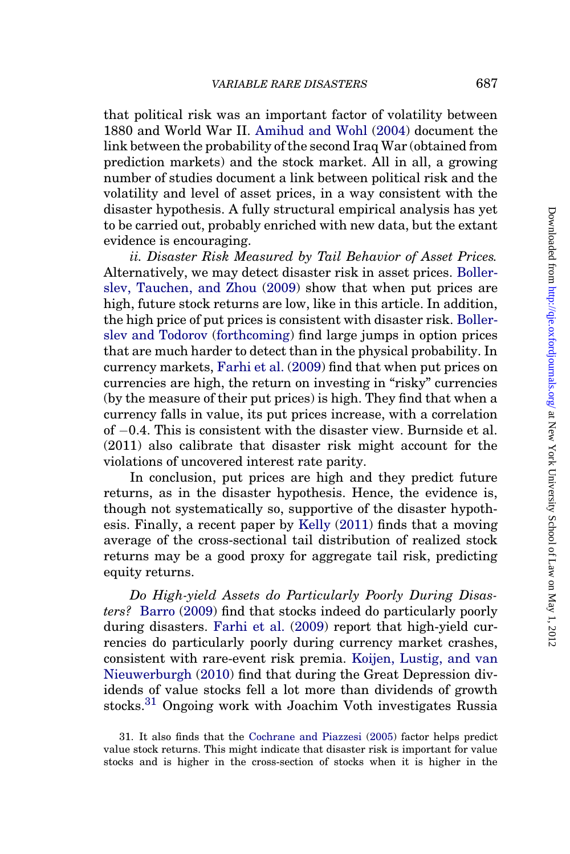that political risk was an important factor of volatility between 1880 and World War II. [Amihud and Wohl](#page-52-0) [\(2004\)](#page-52-0) document the link between the probability of the second Iraq War (obtained from prediction markets) and the stock market. All in all, a growing number of studies document a link between political risk and the volatility and level of asset prices, in a way consistent with the disaster hypothesis. A fully structural empirical analysis has yet to be carried out, probably enriched with new data, but the extant evidence is encouraging.

*ii. Disaster Risk Measured by Tail Behavior of Asset Prices.* Alternatively, we may detect disaster risk in asset prices. [Boller](#page-53-0)[slev, Tauchen, and Zhou](#page-53-0) [\(2009](#page-53-0)) show that when put prices are high, future stock returns are low, like in this article. In addition, the high price of put prices is consistent with disaster risk. [Boller](#page-53-0)[slev and Todorov](#page-53-0) [\(forthcoming\)](#page-53-0) find large jumps in option prices that are much harder to detect than in the physical probability. In currency markets, [Farhi et al.](#page-54-0) [\(2009\)](#page-54-0) find that when put prices on currencies are high, the return on investing in "risky" currencies (by the measure of their put prices) is high. They find that when a currency falls in value, its put prices increase, with a correlation of −0.4. This is consistent with the disaster view. Burnside et al. (2011) also calibrate that disaster risk might account for the violations of uncovered interest rate parity.

In conclusion, put prices are high and they predict future returns, as in the disaster hypothesis. Hence, the evidence is, though not systematically so, supportive of the disaster hypothesis. Finally, a recent paper by [Kelly](#page-54-0) [\(2011\)](#page-54-0) finds that a moving average of the cross-sectional tail distribution of realized stock returns may be a good proxy for aggregate tail risk, predicting equity returns.

*Do High-yield Assets do Particularly Poorly During Disasters?* [Barro](#page-53-0) [\(2009\)](#page-53-0) find that stocks indeed do particularly poorly during disasters. [Farhi et al.](#page-54-0) [\(2009\)](#page-54-0) report that high-yield currencies do particularly poorly during currency market crashes, consistent with rare-event risk premia. [Koijen, Lustig, and van](#page-54-0) [Nieuwerburgh](#page-54-0) [\(2010](#page-54-0)) find that during the Great Depression dividends of value stocks fell a lot more than dividends of growth stocks.<sup>31</sup> Ongoing work with Joachim Voth investigates Russia

<sup>31.</sup> It also finds that the [Cochrane and Piazzesi](#page-53-0) [\(2005](#page-53-0)) factor helps predict value stock returns. This might indicate that disaster risk is important for value stocks and is higher in the cross-section of stocks when it is higher in the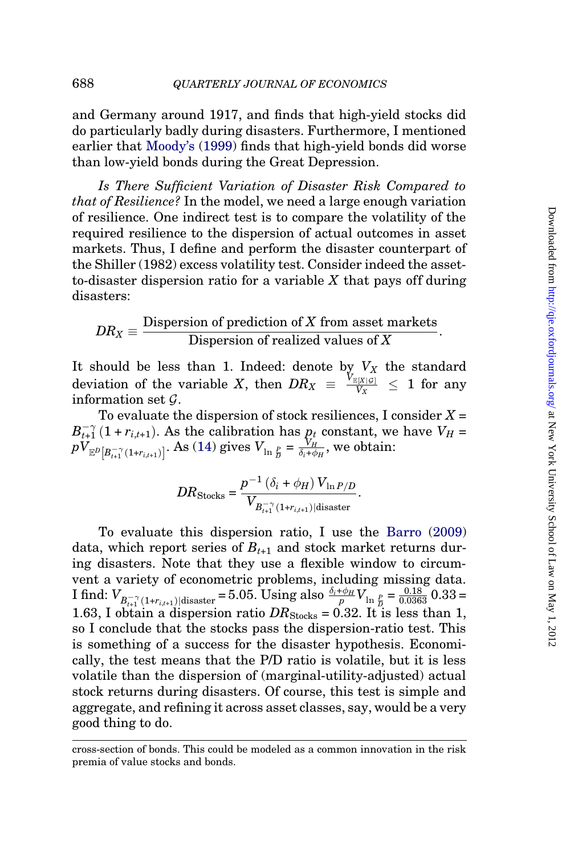and Germany around 1917, and finds that high-yield stocks did doparticularly badly during disasters. Furthermore, I mentioned earlier that [Moody's](#page-55-0) [\(1999](#page-55-0)) finds that high-yield bonds did worse than low-yield bonds during the Great Depression.

*Is There Sufficient Variation of Disaster Risk Compared to that of Resilience?* In the model, we need a large enough variation of resilience. One indirect test is to compare the volatility of the required resilience to the dispersion of actual outcomes in asset markets. Thus, I define and perform the disaster counterpart of the Shiller (1982) excess volatility test. Consider indeed the assetto-disaster dispersion ratio for a variable *X* that pays off during disasters:

$$
DR_X \equiv \frac{\text{Disperson of prediction of } X \text{ from asset markets}}{\text{Disperson of realized values of } X}.
$$

It should be less than 1. Indeed: denote by  $V_X$  the standard deviation of the variable *X*, then  $DR_X = \frac{V_{E[X|G]}}{V_X} \le 1$  for any information set  $\mathcal{G}$ .

To evaluate the dispersion of stock resiliences, I consider *X* =  $B_{t+1}^{-\gamma}$  (1 + *r*<sub>*i*,*t*+1</sub>). As the calibration has  $p_t$  constant, we have  $V_H =$  $p\widetilde{V}_{\mathbb{E}^D[B_{t+1}^{-\gamma}(1+r_{i,t+1})]}.$  As [\(14\)](#page-12-0) gives  $V_{\ln\frac{p}{D}}=\frac{V_H}{\delta_i+\phi_H}$ , we obtain:

$$
DR_{\text{Stocks}} = \frac{p^{-1} \left( \delta_i + \phi_H \right) V_{\ln P/D}}{V_{B_{i+1}^{-\gamma} (1 + r_{i,t+1}) | \text{disaster}}}.
$$

To evaluate this dispersion ratio, I use the [Barro](#page-53-0) [\(2009](#page-53-0)) data, which report series of  $B_{t+1}$  and stock market returns during disasters. Note that they use a flexible window to circumvent a variety of econometric problems, including missing data. I find:  $V_{B_{t+1}^{-\gamma}(1+r_{i,t+1})|{\text{disaster}}} = 5.05$ . Using also  $\frac{\delta_i + \phi_H}{p} V_{\ln \frac{p}{D}} = \frac{0.18}{0.0363} \cdot 0.33 = 0.33$ 1.63, I obtain a dispersion ratio  $DR_{\text{Stocks}} = 0.32$ . It is less than 1, so I conclude that the stocks pass the dispersion-ratio test. This is something of a success for the disaster hypothesis. Economically, the test means that the P/D ratio is volatile, but it is less volatile than the dispersion of (marginal-utility-adjusted) actual stock returns during disasters. Of course, this test is simple and aggregate, and refining it across asset classes, say, would be a very good thing to do.

cross-section of bonds. This could be modeled as a common innovation in the risk premia of value stocks and bonds.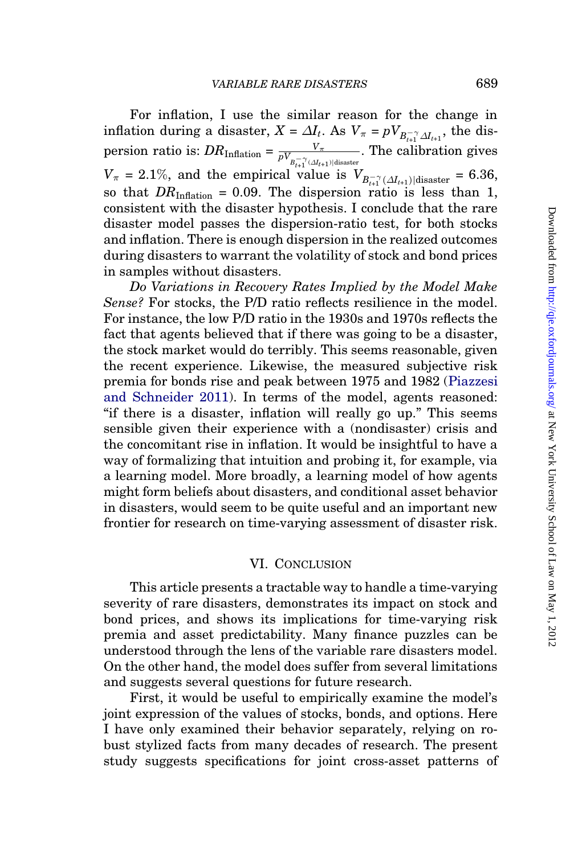For inflation, I use the similar reason for the change in inflation during a disaster,  $X = \Delta I_t$ . As  $V_{\pi} = pV_{B_{t+1}^{-\gamma} \Delta I_{t+1}}$ , the dis- $\text{person ratio is: } DR_{\text{Inflation}} = \frac{V_{\pi}}{p V_{B_{t+1}^{-\gamma}(\Delta I_{t+1})|\text{disaster}}}$ . The calibration gives *V*<sub>π</sub> = 2.1%, and the empirical value is  $V_{B_{t+1}^{-\gamma}(\Delta I_{t+1})|\text{dissster}} = 6.36$ , so that  $DR<sub>Inflation</sub> = 0.09$ . The dispersion ratio is less than 1, consistent with the disaster hypothesis. I conclude that the rare disaster model passes the dispersion-ratio test, for both stocks and inflation. There is enough dispersion in the realized outcomes during disasters towarrant the volatility of stock and bond prices in samples without disasters.

*Do Variations in Recovery Rates Implied by the Model Make Sense?* For stocks, the P/D ratio reflects resilience in the model. For instance, the low P/D ratio in the 1930s and 1970s reflects the fact that agents believed that if there was going to be a disaster, the stock market would do terribly. This seems reasonable, given the recent experience. Likewise, the measured subjective risk premia for bonds rise and peak between 1975 and 1982 [\(Piazzesi](#page-55-0) [and Schneider 2011\)](#page-55-0). In terms of the model, agents reasoned: "if there is a disaster, inflation will really go up." This seems sensible given their experience with a (nondisaster) crisis and the concomitant rise in inflation. It would be insightful to have a way of formalizing that intuition and probing it, for example, via a learning model. More broadly, a learning model of how agents might form beliefs about disasters, and conditional asset behavior in disasters, would seem to be quite useful and an important new frontier for research on time-varying assessment of disaster risk.

## VI. CONCLUSION

This article presents a tractable way to handle a time-varying severity of rare disasters, demonstrates its impact on stock and bond prices, and shows its implications for time-varying risk premia and asset predictability. Many finance puzzles can be understood through the lens of the variable rare disasters model. On the other hand, the model does suffer from several limitations and suggests several questions for future research.

First, it would be useful to empirically examine the model's joint expression of the values of stocks, bonds, and options. Here I have only examined their behavior separately, relying on robust stylized facts from many decades of research. The present study suggests specifications for joint cross-asset patterns of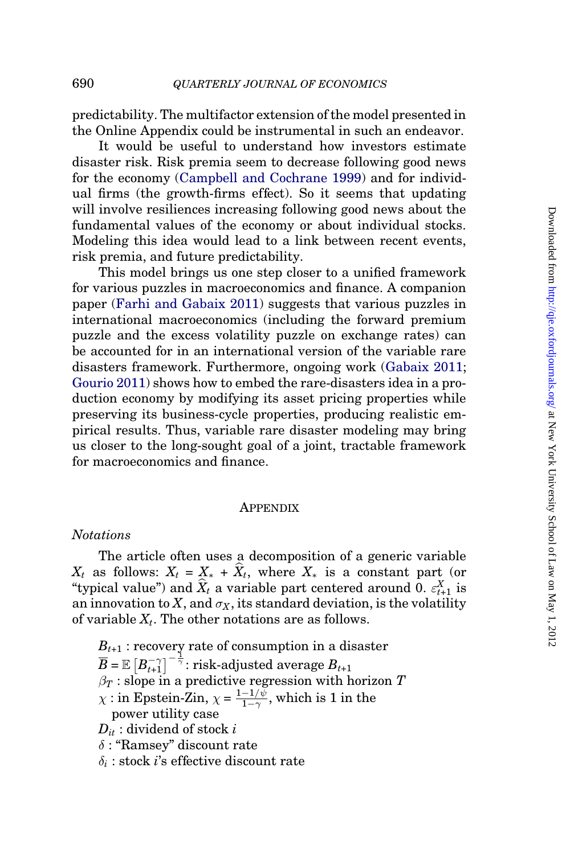predictability. The multifactor extension of the model presented in the Online Appendix could be instrumental in such an endeavor.

It would be useful to understand how investors estimate disaster risk. Risk premia seem to decrease following good news for the economy [\(Campbell and Cochrane 1999\)](#page-53-0) and for individual firms (the growth-firms effect). So it seems that updating will involve resiliences increasing following good news about the fundamental values of the economy or about individual stocks. Modeling this idea would lead to a link between recent events, risk premia, and future predictability.

This model brings us one step closer to a unified framework for various puzzles in macroeconomics and finance. A companion paper [\(Farhi and Gabaix 2011\)](#page-54-0) suggests that various puzzles in international macroeconomics (including the forward premium puzzle and the excess volatility puzzle on exchange rates) can be accounted for in an international version of the variable rare disasters framework. Furthermore, ongoing work [\(Gabaix 2011;](#page-54-0) Gourio 2011) shows how to embed the rare-disasters idea in a production economy by modifying its asset pricing properties while preserving its business-cycle properties, producing realistic empirical results. Thus, variable rare disaster modeling may bring us closer to the long-sought goal of a joint, tractable framework for macroeconomics and finance.

#### APPENDIX

## *Notations*

The article often uses a decomposition of a generic variable  $X_t$  as follows:  $X_t = X_* + \hat{X}_t$ , where  $X_*$  is a constant part (or "typical value") and  $\widehat{X}_t$  a variable part centered around 0.  $\varepsilon_{t+1}^X$  is an innovation to X, and  $\sigma_X$ , its standard deviation, is the volatility of variable  $X_t$ . The other notations are as follows.

 $B_{t+1}$ : recovery rate of consumption in a disaster  $\overline{B} = \mathbb{E} \left[ B_{t+1}^{-\gamma} \right]^{-\frac{1}{\gamma}}$ : risk-adjusted average  $B_{t+1}$  $\beta_T$ : slope in a predictive regression with horizon *T*  $\chi$ : in Epstein-Zin,  $\chi = \frac{1-1/\psi}{1-\gamma}$ , which is 1 in the power utility case *Dit* : dividend of stock *i*  $\delta$  : "Ramsey" discount rate δ*<sup>i</sup>* : stock *i*'s effective discount rate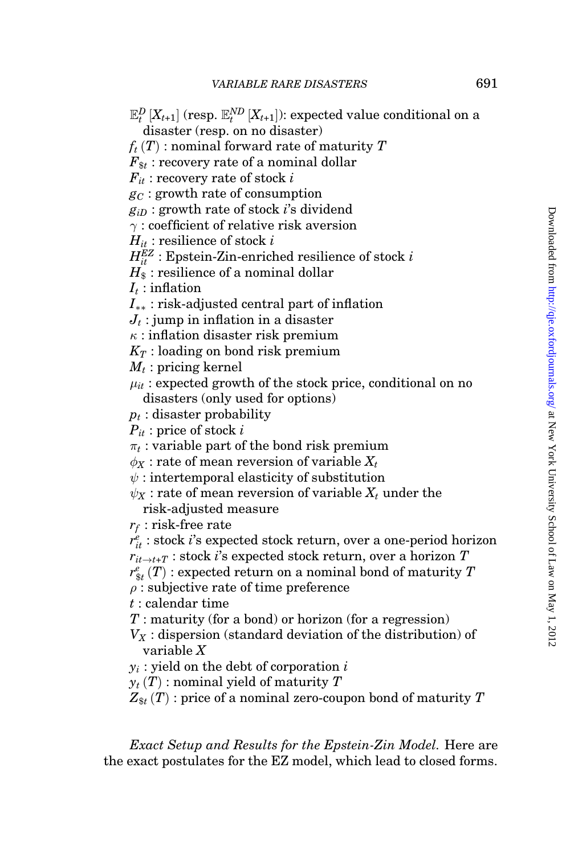$\mathbb{E}^D_t \left[ X_{t+1} \right]$  (resp.  $\mathbb{E}^{ND}_t \left[ X_{t+1} \right]$ ): expected value conditional on a disaster (resp. on no disaster) *ft* (*T*) : nominal forward rate of maturity *T*  $F_{\text{st}}$ : recovery rate of a nominal dollar *Fit* : recovery rate of stock *i*  $g_C$ : growth rate of consumption *giD* : growth rate of stock *i*'s dividend  $\gamma$ : coefficient of relative risk aversion *Hit* : resilience of stock *i*  $H_{it}^{EZ}$  : Epstein-Zin-enriched resilience of stock  $i$  $H_{\$}$ : resilience of a nominal dollar *It* : inflation *I*∗∗ : risk-adjusted central part of inflation  $J_t$ : jump in inflation in a disaster  $\kappa$ : inflation disaster risk premium  $K_T$ : loading on bond risk premium  $M_t$ : pricing kernel  $\mu_{it}$ : expected growth of the stock price, conditional on no disasters (only used for options) *pt* : disaster probability *Pit* : price of stock *i*  $\pi_t$ : variable part of the bond risk premium  $\phi_X$ : rate of mean reversion of variable  $X_t$  $\psi$ : intertemporal elasticity of substitution  $\psi_X$ : rate of mean reversion of variable  $X_t$  under the risk-adjusted measure *rf* : risk-free rate  $r_{it}^e$ : stock *i*'s expected stock return, over a one-period horizon  $r_{it \rightarrow t+T}$  : stock *i*'s expected stock return, over a horizon  $T$  $r^e_{\text{\tiny \rm \$\ensuremath{t}}} \left( T \right)$  : expected return on a nominal bond of maturity  $T$  $\rho$ : subjective rate of time preference *t* : calendar time *T* : maturity (for a bond) or horizon (for a regression)  $V_X$ : dispersion (standard deviation of the distribution) of variable *X yi* : yield on the debt of corporation *i*  $y_t(T)$ : nominal yield of maturity *T*  $Z_{\text{S}t}$  (*T*) : price of a nominal zero-coupon bond of maturity *T* 

*Exact Setup and Results for the Epstein-Zin Model.* Here are the exact postulates for the EZ model, which lead to closed forms.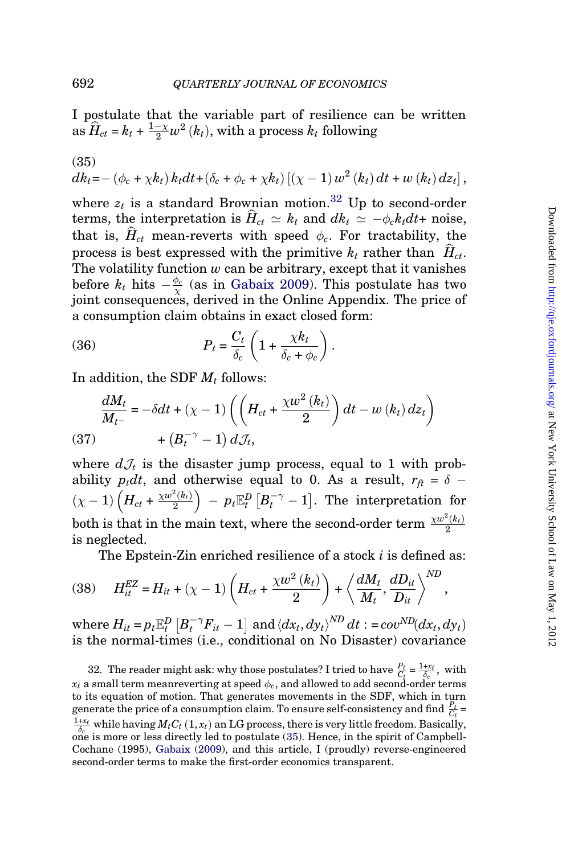<span id="page-47-0"></span>I postulate that the variable part of resilience can be written as  $\hat{H}_{ct} = k_t + \frac{1-\chi}{2} w^2 (k_t)$ , with a process  $k_t$  following

(35)  
\n
$$
dk_t = - (\phi_c + \chi k_t) k_t dt + (\delta_c + \phi_c + \chi k_t) [(\chi - 1) w^2 (k_t) dt + w (k_t) dz_t],
$$

where  $z_t$  is a standard Brownian motion.<sup>32</sup> Up to second-order terms, the interpretation is  $\hat{H}_{ct} \simeq k_t$  and  $dk_t \simeq -\phi_c k_t dt + \text{noise}$ , that is,  $\hat{H}_{ct}$  mean-reverts with speed  $\phi_c$ . For tractability, the process is best expressed with the primitive  $k_t$  rather than  $\hat{H}_{ct}$ . The volatility function *w* can be arbitrary, except that it vanishes before  $k_t$  hits  $-\frac{\phi_c}{\chi}$  (as in [Gabaix 2009](#page-54-0)). This postulate has two joint consequences, derived in the Online Appendix. The price of a consumption claim obtains in exact closed form:

(36) 
$$
P_t = \frac{C_t}{\delta_c} \left( 1 + \frac{\chi k_t}{\delta_c + \phi_c} \right).
$$

In addition, the SDF  $M_t$  follows:

$$
\frac{dM_t}{M_{t-}} = -\delta dt + (\chi - 1) \left( \left( H_{ct} + \frac{\chi w^2 (k_t)}{2} \right) dt - w (k_t) dz_t \right)
$$
\n(37)\n
$$
+ \left( B_t^{-\gamma} - 1 \right) d\mathcal{J}_t,
$$

where  $dJ_t$  is the disaster jump process, equal to 1 with probability  $p_t dt$ , and otherwise equal to 0. As a result,  $r_{ft} = \delta$  –  $\left(\chi-1\right)\left(H_{ct}+\frac{\chi w^2(k_t)}{2}\right)~-~p_t\mathbb{E}_t^D\left[B_t^{-\gamma}-1\right].$  The interpretation for both is that in the main text, where the second-order term  $\frac{\chi w^2(k_t)}{2}$ is neglected.

The Epstein-Zin enriched resilience of a stock *i* is defined as:

(38) 
$$
H_{it}^{EZ} = H_{it} + (\chi - 1) \left( H_{ct} + \frac{\chi w^2 (k_t)}{2} \right) + \left\langle \frac{dM_t}{M_t}, \frac{dD_{it}}{D_{it}} \right\rangle^{ND},
$$

 $\mathbf{a} \cdot \mathbf{b} = \int_{t}^{T} \mathbf{E}_{t}^{D} \left[ B_{t}^{-\gamma} F_{it} - 1 \right] \text{ and } \langle dx_{t}, dy_{t} \rangle^{ND} dt := cov^{ND}(dx_{t}, dy_{t})$ is the normal-times (i.e., conditional on No Disaster) covariance

32. The reader might ask: why those postulates? I tried to have  $\frac{P_t}{C_t} = \frac{1+\chi_t}{\delta_c}$ , with  $x_t$  a small term meanreverting at speed  $\phi_c$ , and allowed to add second-order terms to its equation of motion. That generates movements in the SDF, which in turn generate the price of a consumption claim. To ensure self-consistency and find  $\frac{P_t}{C_t}$  =  $\frac{1+x_t}{\delta_c}$  while having  $M_tC_t(1, x_t)$  an LG process, there is very little freedom. Basically, one is more or less directly led to postulate (35). Hence, in the spirit of Campbell-Cochane (1995), [Gabaix](#page-54-0) [\(2009\)](#page-54-0), and this article, I (proudly) reverse-engineered second-order terms to make the first-order economics transparent.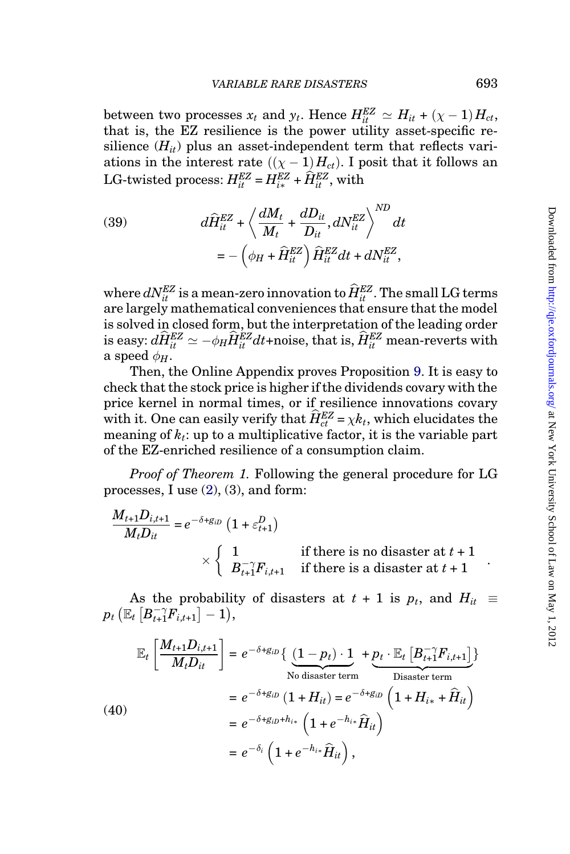<span id="page-48-0"></span>between two processes  $x_t$  and  $y_t$ . Hence  $H_{it}^{EZ} \simeq H_{it} + (\chi - 1)H_{ct}$ , that is, the EZ resilience is the power utility asset-specific resilience  $(H_{it})$  plus an asset-independent term that reflects variations in the interest rate  $((\chi - 1)H_{ct})$ . I posit that it follows an LG-twisted process:  $H_{it}^{EZ} = H_{i*}^{EZ} + \hat{H}_{it}^{EZ}$ , with

(39) 
$$
d\widehat{H}_{it}^{EZ} + \left\langle \frac{dM_t}{M_t} + \frac{dD_{it}}{D_{it}}, dN_{it}^{EZ} \right\rangle^{ND} dt
$$

$$
= -\left(\phi_H + \widehat{H}_{it}^{EZ}\right) \widehat{H}_{it}^{EZ} dt + dN_{it}^{EZ},
$$

where  $dN^{EZ}_{it}$  is a mean-zero innovation to  $\hat{H}^{EZ}_{it}$  . The small LG terms are largely mathematical conveniences that ensure that the model is solved in closed form, but the interpretation of the leading order is easy:  $d\widehat{H}^{EZ}_{it} \simeq -\phi_H\widehat{H}^{EZ}_{it}dt +$ noise, that is,  $\widehat{H}^{EZ}_{it}$  mean-reverts with a speed  $\phi_H$ .

Then, the Online Appendix proves Proposition [9](#page-38-0). It is easy to check that the stock price is higher if the dividends covary with the price kernel in normal times, or if resilience innovations covary with it. One can easily verify that  $\hat{H}_{ct}^{EZ} = \chi k_t$ , which elucidates the meaning of  $k_t$ : up to a multiplicative factor, it is the variable part of the EZ-enriched resilience of a consumption claim.

*Proof of Theorem 1.* Following the general procedure for LG processes, I use  $(2)$ ,  $(3)$ , and form:

$$
\frac{M_{t+1}D_{i,t+1}}{M_t D_{it}} = e^{-\delta + g_{iD}} (1 + \varepsilon_{t+1}^D)
$$
\n
$$
\times \left\{ \begin{array}{ll} 1 & \text{if there is no disaster at } t+1 \\ B_{t+1}^- F_{i,t+1} & \text{if there is a disaster at } t+1 \end{array} \right.\ .
$$

As the probability of disasters at  $t + 1$  is  $p_t$ , and  $H_{it} \equiv$  $p_t\left(\mathbb{E}_t\left[B_{t+1}^{-\gamma} \bar{F_{i,t+1}}\right]-1\right),$ 

$$
\mathbb{E}_{t}\left[\frac{M_{t+1}D_{i,t+1}}{M_{t}D_{it}}\right] = e^{-\delta + g_{iD}}\left\{\underbrace{(1-p_{t}) \cdot 1}_{\text{No disaster term}} + \underbrace{p_{t} \cdot \mathbb{E}_{t}\left[B_{t+1}^{-\gamma}F_{i,t+1}\right]}_{\text{Disaster term}}\right\}
$$
\n
$$
(40)
$$
\n
$$
= e^{-\delta + g_{iD}}\left(1 + H_{it}\right) = e^{-\delta + g_{iD}}\left(1 + H_{i*} + \widehat{H}_{it}\right)
$$
\n
$$
= e^{-\delta + g_{iD} + h_{i*}}\left(1 + e^{-h_{i*}}\widehat{H}_{it}\right)
$$
\n
$$
= e^{-\delta_{i}}\left(1 + e^{-h_{i*}}\widehat{H}_{it}\right),
$$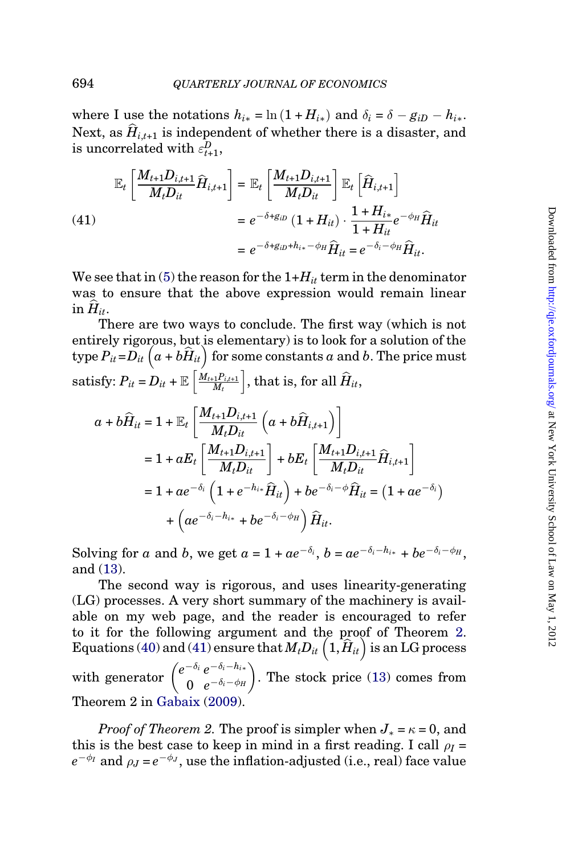where I use the notations  $h_{i*} = \ln(1 + H_{i*})$  and  $\delta_i = \delta - g_{iD} - h_{i*}$ . Next, as  $H_{i,t+1}$  is independent of whether there is a disaster, and  $\text{is uncorrelated with }\varepsilon_{t+1}^D,$ 

(41)  

$$
\mathbb{E}_{t}\left[\frac{M_{t+1}D_{i,t+1}}{M_{t}D_{it}}\hat{H}_{i,t+1}\right] = \mathbb{E}_{t}\left[\frac{M_{t+1}D_{i,t+1}}{M_{t}D_{it}}\right]\mathbb{E}_{t}\left[\hat{H}_{i,t+1}\right]
$$

$$
= e^{-\delta + g_{iD}}\left(1 + H_{it}\right) \cdot \frac{1 + H_{i*}}{1 + H_{it}}e^{-\phi_{H}}\hat{H}_{it}
$$

$$
= e^{-\delta + g_{iD} + h_{i*} - \phi_{H}}\hat{H}_{it} = e^{-\delta_{i} - \phi_{H}}\hat{H}_{it}.
$$

We see that in  $(5)$  $(5)$  the reason for the  $1+H_{it}$  term in the denominator was to ensure that the above expression would remain linear in  $H_{it}$ .

There are two ways to conclude. The first way (which is not entirely rigorous, but is elementary) is to look for a solution of the type  $P_{it} = D_{it} \left( a + b \hat{H}_{it} \right)$  for some constants *a* and *b*. The price must satisfy:  $P_{it} = D_{it} + \mathbb{E}\left[\frac{M_{t+1}P_{i,t+1}}{M_t}\right]$  $\Big]$ , that is, for all  $\widehat{H}_{it}$ ,

$$
a + b\hat{H}_{it} = 1 + \mathbb{E}_{t} \left[ \frac{M_{t+1}D_{i,t+1}}{M_{t}D_{it}} \left( a + b\hat{H}_{i,t+1} \right) \right]
$$
  

$$
= 1 + aE_{t} \left[ \frac{M_{t+1}D_{i,t+1}}{M_{t}D_{it}} \right] + bE_{t} \left[ \frac{M_{t+1}D_{i,t+1}}{M_{t}D_{it}} \hat{H}_{i,t+1} \right]
$$
  

$$
= 1 + ae^{-\delta_{i}} \left( 1 + e^{-h_{i*}} \hat{H}_{it} \right) + be^{-\delta_{i} - \phi} \hat{H}_{it} = \left( 1 + ae^{-\delta_{i}} \right)
$$
  

$$
+ \left( ae^{-\delta_{i} - h_{i*}} + be^{-\delta_{i} - \phi_{H}} \right) \hat{H}_{it}.
$$

Solving for *a* and *b*, we get  $a = 1 + ae^{-\delta_i}$ ,  $b = ae^{-\delta_i - h_{i*}} + be^{-\delta_i - \phi_H}$ , and [\(13](#page-11-0)).

The second way is rigorous, and uses linearity-generating (LG) processes. A very short summary of the machinery is available on my web page, and the reader is encouraged to refer to it for the following argument and the proof of Theorem [2.](#page-13-0) Equations [\(40](#page-48-0)) and (41) ensure that  $M_t D_{it} (1, \hat{H}_{it})$  is an LG process with generator  $\begin{pmatrix} e^{-\delta_i} & e^{-\delta_i - h_{i*}} \\ 0 & e^{-\delta_i - \delta u} \end{pmatrix}$  $0 \quad e^{-\delta_i - \phi_H}$  $\lambda$ . The stock price [\(13\)](#page-11-0) comes from Theorem 2 in [Gabaix](#page-54-0) [\(2009\)](#page-54-0).

*Proof of Theorem 2.* The proof is simpler when  $J_* = \kappa = 0$ , and this is the best case to keep in mind in a first reading. I call  $\rho_I =$  $e^{-\phi_I}$  and  $\rho_J = e^{-\phi_J}$ , use the inflation-adjusted (i.e., real) face value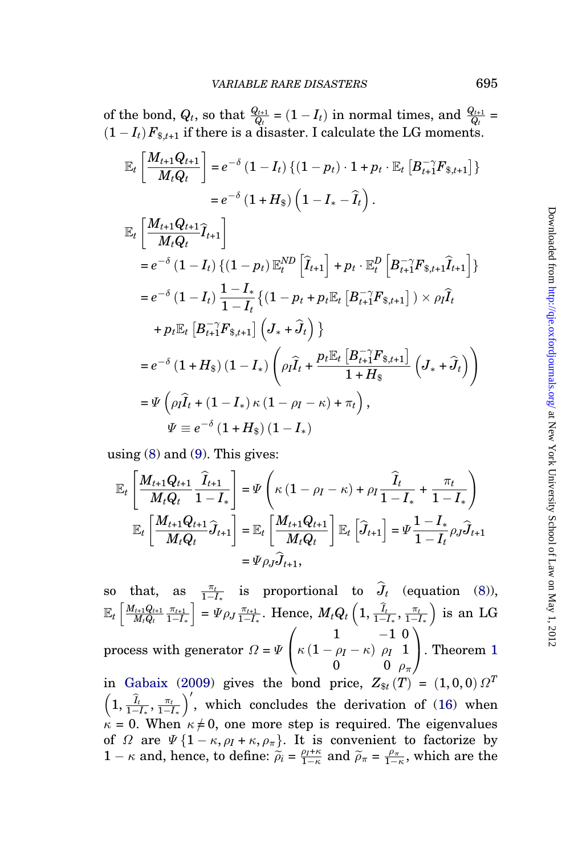of the bond,  $Q_t$ , so that  $\frac{Q_{t+1}}{Q_t} = (1 - I_t)$  in normal times, and  $\frac{Q_{t+1}}{Q_t} =$  $(1 - I_t) F_{\$,t+1}$  if there is a disaster. I calculate the LG moments.

$$
\mathbb{E}_{t}\left[\frac{M_{t+1}Q_{t+1}}{M_{t}Q_{t}}\right] = e^{-\delta} (1 - I_{t}) \left\{ (1 - p_{t}) \cdot 1 + p_{t} \cdot \mathbb{E}_{t}\left[B_{t+1}^{-\gamma}F_{\$,t+1}\right]\right\}
$$
  
=  $e^{-\delta} (1 + H_{\$}) \left(1 - I_{*} - \widehat{I}_{t}\right).$ 

$$
\mathbb{E}_{t} \left[ \frac{M_{t+1} Q_{t+1}}{M_{t} Q_{t}} \hat{I}_{t+1} \right]
$$
\n
$$
= e^{-\delta} (1 - I_{t}) \left\{ (1 - p_{t}) \mathbb{E}_{t}^{ND} \left[ \hat{I}_{t+1} \right] + p_{t} \cdot \mathbb{E}_{t}^{D} \left[ B_{t+1}^{-\gamma} F_{s,t+1} \hat{I}_{t+1} \right] \right\}
$$
\n
$$
= e^{-\delta} (1 - I_{t}) \frac{1 - I_{*}}{1 - I_{t}} \left\{ (1 - p_{t} + p_{t} \mathbb{E}_{t} \left[ B_{t+1}^{-\gamma} F_{s,t+1} \right] \right) \times \rho_{I} \hat{I}_{t}
$$
\n
$$
+ p_{t} \mathbb{E}_{t} \left[ B_{t+1}^{-\gamma} F_{s,t+1} \right] \left( J_{*} + \hat{J}_{t} \right) \right\}
$$
\n
$$
= e^{-\delta} (1 + H_{s}) (1 - I_{*}) \left( \rho_{I} \hat{I}_{t} + \frac{p_{t} \mathbb{E}_{t} \left[ B_{t+1}^{-\gamma} F_{s,t+1} \right]}{1 + H_{s}} \left( J_{*} + \hat{J}_{t} \right) \right)
$$
\n
$$
= \Psi \left( \rho_{I} \hat{I}_{t} + (1 - I_{*}) \kappa (1 - \rho_{I} - \kappa) + \pi_{t} \right),
$$
\n
$$
\Psi \equiv e^{-\delta} (1 + H_{s}) (1 - I_{*})
$$

using  $(8)$  $(8)$  and  $(9)$  $(9)$ . This gives:

$$
\mathbb{E}_t \left[ \frac{M_{t+1} Q_{t+1}}{M_t Q_t} \frac{\widehat{I}_{t+1}}{1-I_*} \right] = \Psi \left( \kappa \left( 1 - \rho_I - \kappa \right) + \rho_I \frac{\widehat{I}_t}{1-I_*} + \frac{\pi_t}{1-I_*} \right)
$$
\n
$$
\mathbb{E}_t \left[ \frac{M_{t+1} Q_{t+1}}{M_t Q_t} \widehat{J}_{t+1} \right] = \mathbb{E}_t \left[ \frac{M_{t+1} Q_{t+1}}{M_t Q_t} \right] \mathbb{E}_t \left[ \widehat{J}_{t+1} \right] = \Psi \frac{1 - I_*}{1 - I_t} \rho_J \widehat{J}_{t+1}
$$
\n
$$
= \Psi \rho_J \widehat{J}_{t+1},
$$

so that, as  $\frac{\pi_t}{1-I_*}$  is proportional to  $\hat{J}_t$  (equation [\(8](#page-10-0))),  $\mathbb{E}_t \left[ \frac{M_{t+1} Q_{t+1}}{M_t Q_t} \frac{\pi_{t+1}}{1-I_*} \right]$  $\left[ \frac{1}{2} \pm \frac{W\rho_J \frac{\pi_{t+1}}{1-I_*}}{\pi_{t+1}} \right]$ . Hence,  $M_t Q_t \left( 1, \frac{\hat{I}_t}{1-I_*}, \frac{\pi_t}{1-I_*} \right)$  is an LG  $\sqrt{ }$  $1 \t -10$  $\setminus$ 

process with generator  $\Omega = \Psi$  $\mathbf{I}$  $\kappa \left( 1 - \rho_I - \kappa \right) \; \rho_I \; \; \; 1$ 0 0  $\rho_{\pi}$ . Theorem [1](#page-11-0) in [Gabaix](#page-54-0) [\(2009](#page-54-0)) gives the bond price,  $Z_{\text{St}}(T) = (1, 0, 0) \Omega^T$ 

 $\left(1, \frac{\widehat{I}_t}{1-I_*}, \frac{\pi_t}{1-I_*}\right)$  $\int'$ , which concludes the derivation of [\(16](#page-13-0)) when  $\kappa = 0$ . When  $\kappa \neq 0$ , one more step is required. The eigenvalues of  $\Omega$  are  $\Psi$  {1 –  $\kappa$ ,  $\rho_I$  +  $\kappa$ ,  $\rho_\pi$ }. It is convenient to factorize by 1 –  $\kappa$  and, hence, to define:  $\tilde{\rho}_i = \frac{\rho_I + \kappa}{1 - \kappa}$  and  $\tilde{\rho}_\pi = \frac{\rho_\pi}{1 - \kappa}$ , which are the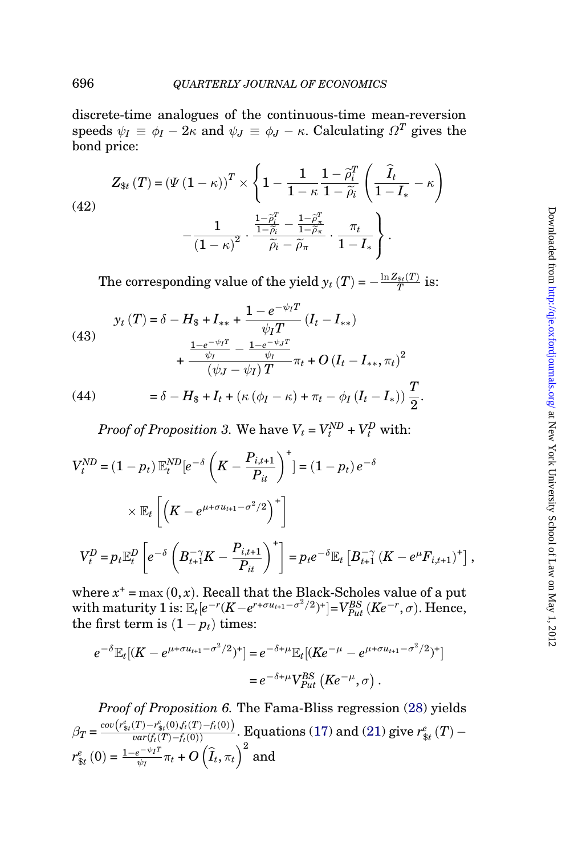<span id="page-51-0"></span>discrete-time analogues of the continuous-time mean-reversion speeds  $\psi_I \equiv \phi_I - 2\kappa$  and  $\psi_J \equiv \phi_J - \kappa$ . Calculating  $\Omega^T$  gives the bond price:

(42)  

$$
Z_{\$t}(T) = (\Psi (1 - \kappa))^T \times \left\{ 1 - \frac{1}{1 - \kappa} \frac{1 - \tilde{\rho}_i^T}{1 - \tilde{\rho}_i} \left( \frac{\tilde{I}_t}{1 - I_*} - \kappa \right) - \frac{1}{(1 - \kappa)^2} \cdot \frac{\frac{1 - \tilde{\rho}_i^T}{1 - \tilde{\rho}_i} - \frac{1 - \tilde{\rho}_i^T}{1 - \tilde{\rho}_i}}{\tilde{\rho}_i - \tilde{\rho}_\pi} \cdot \frac{\pi_t}{1 - I_*} \right\}.
$$

The corresponding value of the yield  $y_t(T) = -\frac{\ln Z_{\text{St}}(T)}{T}$  is:

(43)  

$$
y_t(T) = \delta - H_{\$} + I_{**} + \frac{1 - e^{-\psi_l T}}{\psi_l T} (I_t - I_{**}) + \frac{\frac{1 - e^{-\psi_l T}}{\psi_l} - \frac{1 - e^{-\psi_l T}}{\psi_l}}{(\psi_J - \psi_l) T} \pi_t + O(I_t - I_{**}, \pi_t)^2
$$

$$
= \delta - H_{\$} + I_t + (\kappa (\phi_l - \kappa) + \pi_t - \phi_l (I_t - I_{*})) \frac{T}{2}.
$$

*Proof of Proposition 3.* We have  $V_t = V_t^{ND} + V_t^D$  with:

$$
V_t^{ND} = (1 - p_t) \mathbb{E}_t^{ND} [e^{-\delta} \left( K - \frac{P_{i,t+1}}{P_{it}} \right)^+] = (1 - p_t) e^{-\delta}
$$
  
\$\times \mathbb{E}\_t \left[ \left( K - e^{\mu + \sigma u\_{t+1} - \sigma^2/2} \right)^+ \right] \quad \text{or} \quad \mathbf{V}\_t^D = p\_t \mathbb{E}\_t^D \left[ e^{-\delta} \left( B\_{t+1}^{-\gamma} K - \frac{P\_{i,t+1}}{P\_{it}} \right)^+ \right] = p\_t e^{-\delta} \mathbb{E}\_t \left[ B\_{t+1}^{-\gamma} (K - e^{\mu} F\_{i,t+1})^+ \right],

where  $x^+$  = max  $(0, x)$ . Recall that the Black-Scholes value of a put with maturity 1 is:  $\mathbb{E}_t[e^{-r}(K-e^{r+\sigma u_{t+1}-\sigma^2/2})^+]$ = $V_{Put}^{BS}(Ke^{-r},\sigma)$ . Hence, the first term is  $(1 - p_t)$  times:

$$
e^{-\delta} \mathbb{E}_t[(K - e^{\mu + \sigma u_{t+1} - \sigma^2/2})^+] = e^{-\delta + \mu} \mathbb{E}_t[(K e^{-\mu} - e^{\mu + \sigma u_{t+1} - \sigma^2/2})^+]
$$
  
=  $e^{-\delta + \mu} V_{Put}^{BS}(K e^{-\mu}, \sigma)$ .

*Proof of Proposition 6.* The Fama-Bliss regression [\(28\)](#page-27-0) yields  $\beta_T = \frac{cov(r_{s}^e(T) - r_{s}^e(0), f_t(T) - f_t(0))}{var(f_t(T) - f_t(0))}$ . Equations [\(17\)](#page-13-0) and [\(21\)](#page-14-0) give  $r_{s}^e(T)$  –  $r_{\$t}^{e}(0) = \frac{1-e^{-\psi_{I}T}}{\psi_{I}} \pi_{t} + O\left(\widehat{I}_{t}, \pi_{t}\right)^{2}$  and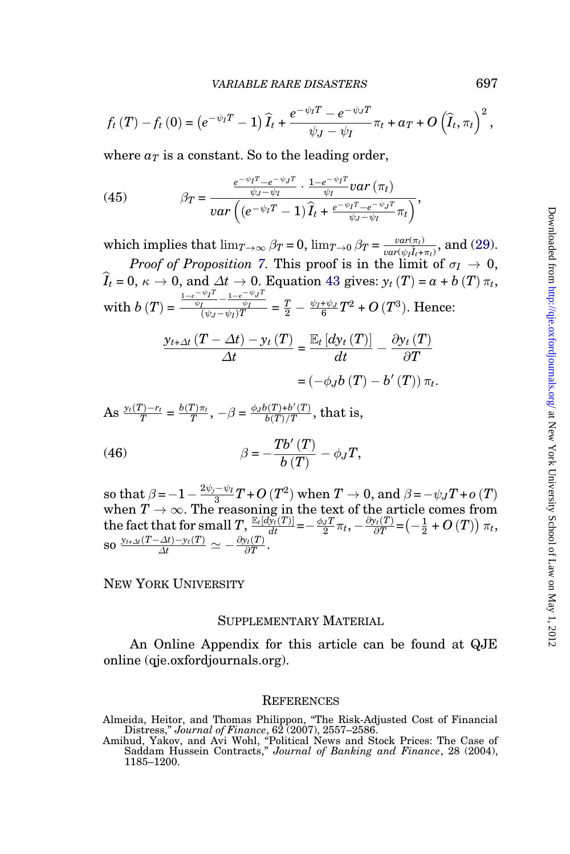<span id="page-52-0"></span>
$$
f_t(T) - f_t(0) = \left(e^{-\psi_l T} - 1\right)\widehat{I}_t + \frac{e^{-\psi_l T} - e^{-\psi_l T}}{\psi_l - \psi_l}\pi_t + \alpha_T + O\left(\widehat{I}_t, \pi_t\right)^2,
$$

where  $a_T$  is a constant. So to the leading order,

(45) 
$$
\beta_T = \frac{\frac{e^{-\psi_I T} - e^{-\psi_J T}}{\psi_J - \psi_I} \cdot \frac{1 - e^{-\psi_I T}}{\psi_I} \nu a r \left(\pi_t\right)}{\nu a r \left((e^{-\psi_I T} - 1) \hat{I}_t + \frac{e^{-\psi_I T} - e^{-\psi_J T}}{\psi_J - \psi_I} \pi_t\right)},
$$

which implies that  $\lim_{T\to\infty} \beta_T = 0$ ,  $\lim_{T\to 0} \beta_T = \frac{var(\pi_t)}{var(\psi_t \hat{l}_t + \pi_t)}$ , and [\(29\)](#page-27-0).

*Proof of Proposition* [7.](#page-28-0) This proof is in the limit of  $\sigma$ <sup>*I*</sup>  $\rightarrow$  0,  $bI_t = 0$ ,  $\kappa \to 0$ , and  $\Delta t \to 0$ . Equation [43](#page-51-0) gives:  $y_t(T) = a + b(T) \pi_t$ ,  $\text{with } b(T) = \frac{\frac{1-e^{-\psi_I T}}{\psi_I} - \frac{1-e^{-\psi_J T}}{\psi_I}}{(\psi_J - \psi_I)T} = \frac{T}{2} - \frac{\psi_I + \psi_J}{6} T^2 + O(T^3).$  Hence:

$$
\frac{y_{t+\Delta t} (T - \Delta t) - y_t (T)}{\Delta t} = \frac{\mathbb{E}_t [dy_t (T)]}{dt} - \frac{\partial y_t (T)}{\partial T}
$$

$$
= (-\phi_J b (T) - b' (T)) \pi_t.
$$

As 
$$
\frac{y_t(T)-r_t}{T} = \frac{b(T)\pi_t}{T}
$$
,  $-\beta = \frac{\phi_J b(T)+b'(T)}{b(T)/T}$ , that is,

(46) 
$$
\beta = -\frac{Tb'(T)}{b(T)} - \phi_J T,
$$

 $\int \sec^2 \theta \, d\theta = -1 - \frac{2\psi_j - \psi_I}{3} T + O\left(T^2\right) \, \text{when} \; T \to 0, \text{ and } \beta = -\psi_J T + o\left(T\right)$ when  $T \to \infty$ . The reasoning in the text of the article comes from the fact that for small  $T$ ,  $\frac{\mathbb{E}_t[d\mathbf{y}_t(T)]}{dt} = -\frac{\phi_J T}{2}\pi_t$ ,  $-\frac{\partial \mathbf{y}_t(T)}{\partial T} = \left(-\frac{1}{2} + O(T)\right)\pi_t$ ,  $\text{so } \frac{y_{t+\varDelta t}(T-\varDelta t)-y_t(T)}{\varDelta t}\simeq -\frac{\partial y_t(T)}{\partial T}.$ 

NEW YORK UNIVERSITY

## SUPPLEMENTARY MATERIAL

An Online Appendix for this article can be found at QJE online (qje.oxfordjournals.org).

## **REFERENCES**

Almeida, Heitor, and Thomas Philippon, "The Risk-Adjusted Cost of Financial Distress," *Journal of Finance*, 62 (2007), 2557–2586. Amihud, Yakov, and Avi Wohl, "Political News and Stock Prices: The Case of

Saddam Hussein Contracts," *Journal of Banking and Finance*, 28 (2004), 1185–1200.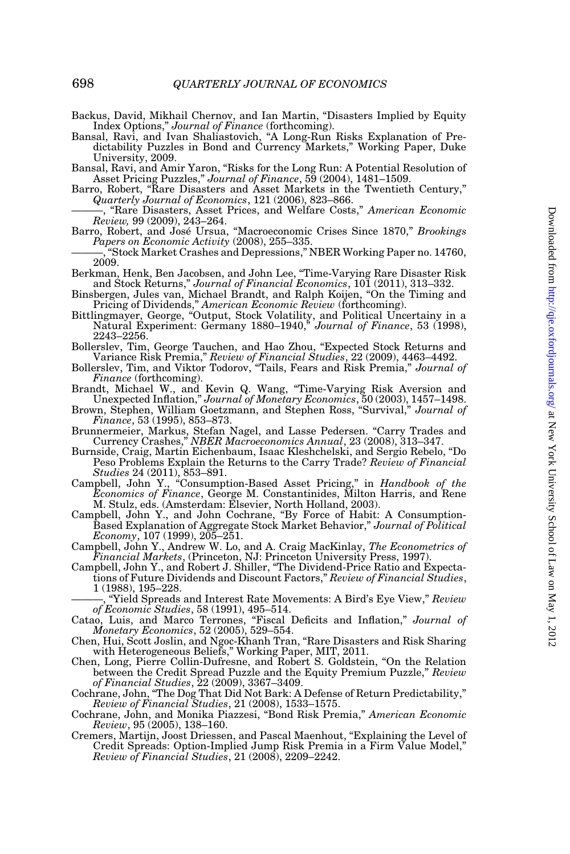- <span id="page-53-0"></span>Backus, David, Mikhail Chernov, and Ian Martin, "Disasters Implied by Equity Index Options," *Journal of Finance* (forthcoming). Bansal, Ravi, and Ivan Shaliastovich, "A Long-Run Risks Explanation of Pre-
- dictability Puzzles in Bond and Currency Markets," Working Paper, Duke University, 2009.
- Bansal, Ravi, and Amir Yaron, "Risks for the Long Run: A Potential Resolution of Asset Pricing Puzzles," *Journal of Finance*, 59 (2004), 1481–1509.
- Barro, Robert, "Rare Disasters and Asset Markets in the Twentieth Century," *Quarterly Journal of Economics*, 121 (2006), 823–866.
- ———, "Rare Disasters, Asset Prices, and Welfare Costs," *American Economic Review,* 99 (2009), 243–264.
- Barro, Robert, and Jos´e Ursua, "Macroeconomic Crises Since 1870," *Brookings Papers on Economic Activity* (2008), 255–335.
- ———, "StockMarket Crashes andDepressions,"NBERWorkingPaperno. 14760, 2009.
- Berkman, Henk, Ben Jacobsen, and John Lee, "Time-Varying Rare Disaster Risk<br>and Stock Returns," Jou*rnal of Financial Economics*, 101 (2011), 313–332.<br>Binsbergen, Jules van, Michael Brandt, and Ralph Koijen, "On the Timing
- Pricing of Dividends," *American Economic Review* (forthcoming).
- Bittlingmayer, George, "Output, Stock Volatility, and Political Uncertainy in a Natural Experiment: Germany 1880–1940," *Journal of Finance*, 53 (1998), 2243–2256.
- Bollerslev, Tim, George Tauchen, and Hao Zhou, "Expected Stock Returns and Variance Risk Premia," *Review of Financial Studies*, 22 (2009), 4463–4492. Bollerslev, Tim, and Viktor Todorov, "Tails, Fears and Risk Premia," *Journal of*
- *Finance* (forthcoming).
- Brandt, Michael W., and Kevin Q. Wang, "Time-Varying Risk Aversion and
- UnexpectedInflation,"*Journal of Monetary Economics*, 50 (2003), 1457–1498. Brown, Stephen, William Goetzmann, and Stephen Ross, "Survival," *Journal of Finance*, 53 (1995), 853–873.
- Brunnermeier, Markus, Stefan Nagel, and Lasse Pedersen. "Carry Trades and Currency Crashes," *NBER Macroeconomics Annual*, 23 (2008), 313–347.
- Burnside, Craig, Martin Eichenbaum, Isaac Kleshchelski, and Sergio Rebelo, "Do Peso Problems Explain the Returns to the Carry Trade? *Review of Financial*
- *Studies* 24 (2011), 853–891. Campbell, John Y., "Consumption-Based Asset Pricing," in *Handbook of the Economics of Finance*, George M. Constantinides, Milton Harris, and Rene M. Stulz, eds. (Amsterdam: Elsevier, North Holland, 2003).
- Campbell, John Y., and John Cochrane, "By Force of Habit: A Consumption-Based Explanation of Aggregate Stock Market Behavior," *Journal of Political*
- *Economy*, 107 (1999), 205–251. Campbell, John Y., Andrew W. Lo, and A. Craig MacKinlay, *The Econometrics of Financial Markets*, (Princeton, NJ: Princeton University Press, 1997).
- Campbell, John Y., and Robert J. Shiller, "The Dividend-Price Ratio and Expectations of Future Dividends and Discount Factors," Review of Financial Studies, 1 (1988), 195–228.
	- ———, "Yield Spreads and Interest Rate Movements: A Bird's Eye View," *Review of Economic Studies*, 58 (1991), 495–514.
- Catao, Luis, and Marco Terrones, "Fiscal Deficits and Inflation," *Journal of Monetary Economics*, 52 (2005), 529–554.
- Chen, Hui, Scott Joslin, and Ngoc-Khanh Tran, "Rare Disasters and Risk Sharing with Heterogeneous Beliefs," Working Paper, MIT, 2011.
- Chen, Long, Pierre Collin-Dufresne, and Robert S. Goldstein, "On the Relation between the Credit Spread Puzzle and the Equity Premium Puzzle," *Review of Financial Studies*, 22 (2009), 3367–3409. Cochrane, John, "The Dog That DidNot Bark: A Defense of Return Predictability,"
- *Review of Financial Studies*, 21 (2008), 1533–1575.
- Cochrane, John, and Monika Piazzesi, "Bond Risk Premia," *American Economic Review*, 95 (2005), 138–160.
- Cremers, Martijn, Joost Driessen, and Pascal Maenhout, "Explaining the Level of Credit Spreads: Option-Implied Jump Risk Premia in a Firm Value Model," *Review of Financial Studies*, 21 (2008), 2209–2242.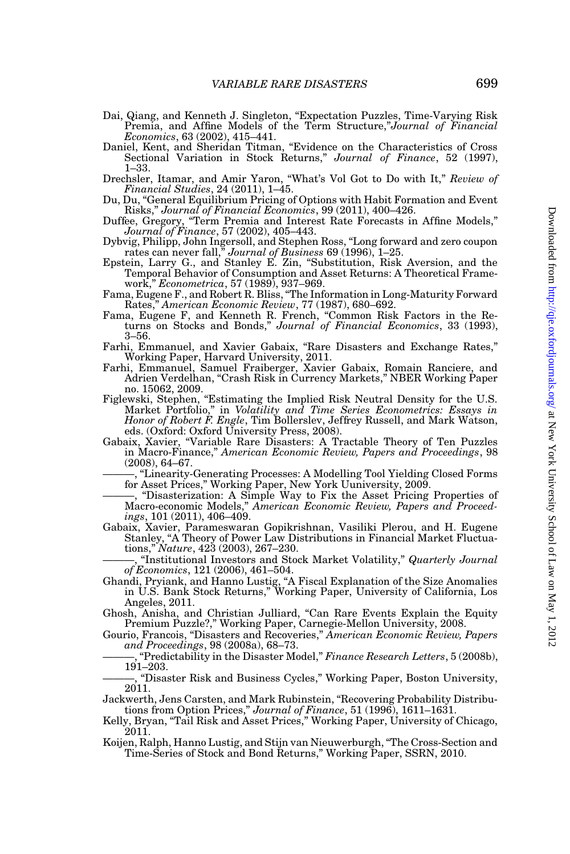- <span id="page-54-0"></span>Dai, Qiang, and Kenneth J. Singleton, "Expectation Puzzles, Time-Varying Risk Premia, and Affine Models of the Term Structure,"*Journal of Financial Economics*, 63 (2002), 415–441.
- Daniel, Kent, and Sheridan Titman, "Evidence on the Characteristics of Cross Sectional Variation in Stock Returns," *Journal of Finance*, 52 (1997), 1–33.
- Drechsler, Itamar, and Amir Yaron, "What's Vol Got to Do with It," *Review of Financial Studies*, 24 (2011), 1–45.
- Du, Du, "General Equilibrium Pricing of Options with Habit Formation and Event Risks," *Journal of Financial Economics*, 99 (2011), 400–426.
- Duffee, Gregory, "Term Premia and Interest Rate Forecasts in Affine Models," *Journal of Finance*, 57 (2002), 405–443.
- Dybvig, Philipp, John Ingersoll, and Stephen Ross, "Long forward and zero coupon rates can never fall," *Journal of Business* 69 (1996), 1–25. Epstein, Larry G., and Stanley E. Zin, "Substitution, Risk Aversion, and the
- Temporal Behavior of Consumption and Asset Returns: A Theoretical Framework," *Econometrica*, 57 (1989), 937–969.
- Fama, Eugene F., and Robert R. Bliss, "The Information in Long-Maturity Forward Rates," *American Economic Review*, 77 (1987), 680–692.
- Fama, Eugene F, and Kenneth R. French, "Common Risk Factors in the Returns on Stocks and Bonds," *Journal of Financial Economics*, 33 (1993),
- 3–56. Farhi, Emmanuel, and Xavier Gabaix, "Rare Disasters and Exchange Rates," Working Paper, Harvard University, 2011. Farhi, Emmanuel, Samuel Fraiberger, Xavier Gabaix, Romain Ranciere, and
- Adrien Verdelhan, "Crash Risk in Currency Markets," NBER Working Paper no. 15062, 2009.
- Figlewski, Stephen, "Estimating the Implied Risk Neutral Density for the U.S.<br>Market Portfolio," in *Volatility and Time Series Econometrics: Essays in*<br>*Honor of Robert F. Engle*, Tim Bollerslev, Jeffrey Russell, and Mark eds. (Oxford: Oxford University Press, 2008).
- Gabaix, Xavier, "Variable Rare Disasters: A Tractable Theory of Ten Puzzles in Macro-Finance," *American Economic Review, Papers and Proceedings*, 98 (2008), 64–67.
	- ———, "Linearity-Generating Processes: A Modelling Tool Yielding Closed Forms for Asset Prices," Working Paper, New York Uuniversity, 2009.
	- ———, "Disasterization: A Simple Way to Fix the Asset Pricing Properties of Macro-economic Models," *American Economic Review, Papers and Proceed-ings*, 101 (2011), 406–409.
- Gabaix, Xavier, Parameswaran Gopikrishnan, Vasiliki Plerou, and H. Eugene Stanley, "A Theory of Power Law Distributions in Financial Market Fluctuations," *Nature*, 423 (2003), 267–230.

———, "Institutional Investors and Stock Market Volatility," *Quarterly Journal of Economics*, 121 (2006), 461–504.

- Ghandi, Pryiank, and Hanno Lustig, "A Fiscal Explanation of the Size Anomalies in U.S. Bank Stock Returns," Working Paper, University of California, Los Angeles, 2011.
- Ghosh, Anisha, and Christian Julliard, "Can Rare Events Explain the Equity Premium Puzzle?," Working Paper, Carnegie-Mellon University, 2008.
- Gourio, Francois, "Disasters and Recoveries," *American Economic Review, Papers and Proceedings*, 98 (2008a), 68–73.
	- ———, "Predictability in the Disaster Model,"*Finance Research Letters*, 5 (2008b), 191–203.
- "Disaster Risk and Business Cycles," Working Paper, Boston University, 2011.
- Jackwerth, Jens Carsten, and Mark Rubinstein, "Recovering Probability Distributions from Option Prices," *Journal of Finance*, 51 (1996), 1611–1631.
- Kelly, Bryan, "Tail Risk and Asset Prices," Working Paper, University of Chicago, 2011.
- Koijen, Ralph, Hanno Lustig, and Stijn van Nieuwerburgh, "The Cross-Section and Time-Series of Stock and Bond Returns," Working Paper, SSRN, 2010.